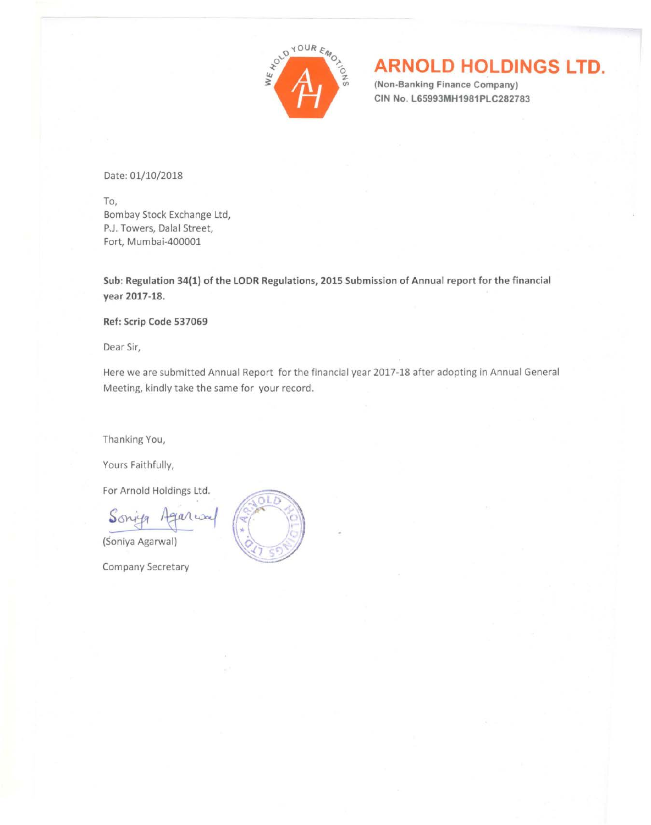

# **ARNOLD HOLDINGS LTD.**

(Non-Banking Finance Company) CIN No. L65993MH1981PLC282783

Date: 01/10/2018

To, Bombay Stock Exchange Ltd, P,J. Towers, Dalal Street, Fort, Mumbai-400001

Sub: Regulation 34(1) of the LODR Regulations, 2015 Submission of Annual report for the financial year 2017-18.

## Ref: Scrip Code 537069

Dear Sir,

Here we are submitted Annual Report for the financial year 2017-18 after adopting in Annual General Meeting, kindly take the same for your record.

Thanking You,

Yours Faithfully,

For Arnold Holdings Ltd.

 $50n/gq$  Hearing

(Soniya Agarwal)

Company Secretary

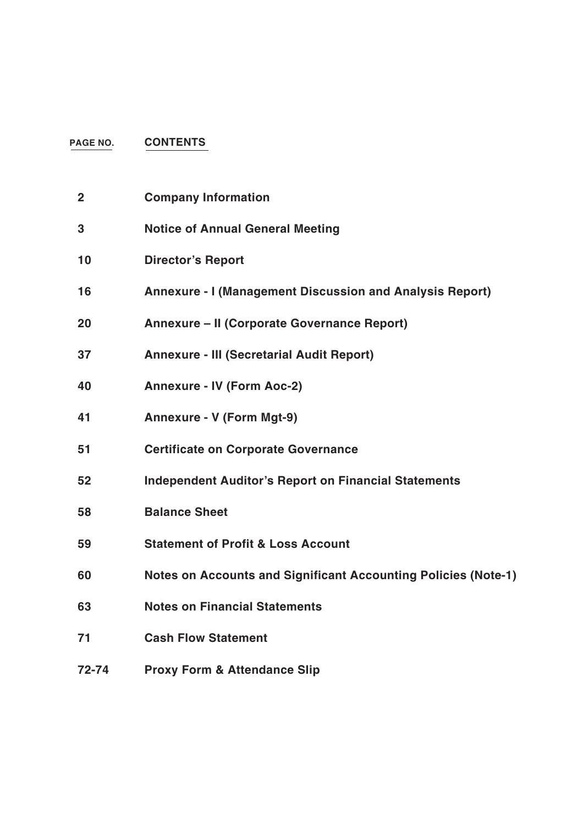## PAGE NO. CONTENTS

2 Company Information 3 Notice of Annual General Meeting 10 Director's Report 16 Annexure - I (Management Discussion and Analysis Report) 20 Annexure – II (Corporate Governance Report) 37 Annexure - III (Secretarial Audit Report) 40 Annexure - IV (Form Aoc-2) 41 Annexure - V (Form Mgt-9) 51 Certificate on Corporate Governance 52 Independent Auditor's Report on Financial Statements 58 Balance Sheet 59 Statement of Profit & Loss Account 60 Notes on Accounts and Significant Accounting Policies (Note-1) 63 Notes on Financial Statements 71 Cash Flow Statement 72-74 Proxy Form & Attendance Slip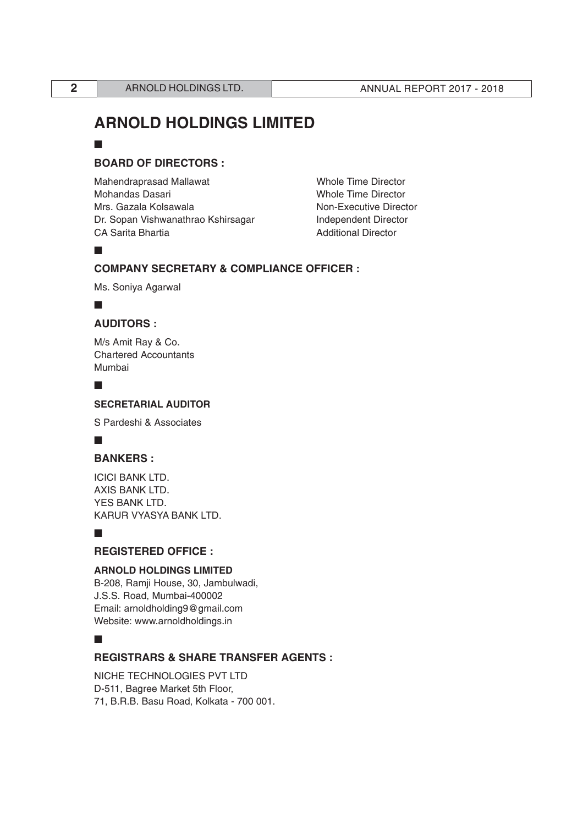# ARNOLD HOLDINGS LIMITED

#### $\blacksquare$

## BOARD OF DIRECTORS :

Mahendraprasad Mallawat Whole Time Director Mohandas Dasari **Mohandas Dasari** Whole Time Director Mrs. Gazala Kolsawala Non-Executive Director Dr. Sopan Vishwanathrao Kshirsagar Independent Director CA Sarita Bhartia **Additional Director** Additional Director

 $\mathcal{L}_{\mathcal{A}}$ 

## COMPANY SECRETARY & COMPLIANCE OFFICER :

Ms. Soniya Agarwal

#### $\Box$

## AUDITORS :

M/s Amit Ray & Co. Chartered Accountants Mumbai

#### $\mathcal{L}_{\mathcal{A}}$

#### SECRETARIAL AUDITOR

S Pardeshi & Associates

#### $\mathcal{L}$

## BANKERS :

ICICI BANK LTD. AXIS BANK LTD. YES BANK LTD. KARUR VYASYA BANK LTD.

## $\blacksquare$

## REGISTERED OFFICE :

## ARNOLD HOLDINGS LIMITED

B-208, Ramji House, 30, Jambulwadi, J.S.S. Road, Mumbai-400002 Email: arnoldholding9@gmail.com Website: www.arnoldholdings.in

## $\overline{\phantom{a}}$

## REGISTRARS & SHARE TRANSFER AGENTS :

NICHE TECHNOLOGIES PVT LTD D-511, Bagree Market 5th Floor, 71, B.R.B. Basu Road, Kolkata - 700 001.

2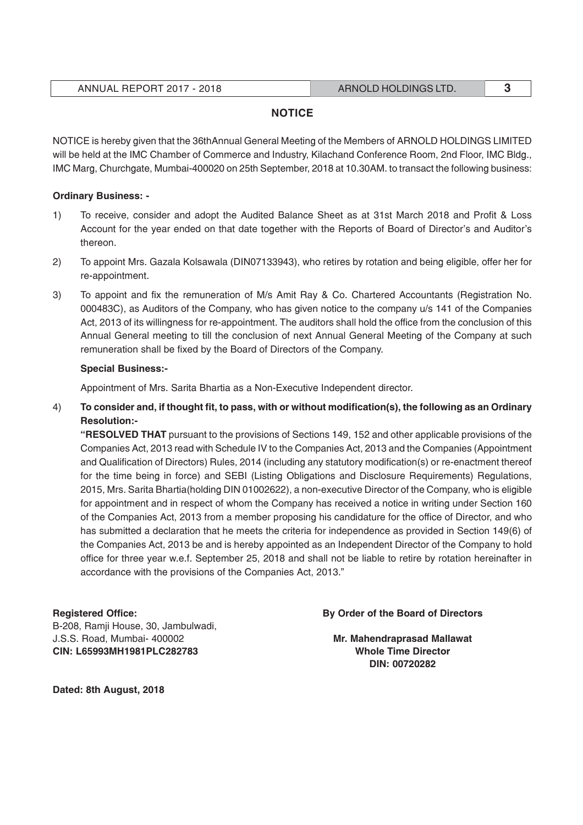| <b>ANNUAL REPORT 2017 - 2018</b> | ARNOLD HOLDINGS LTD. |  |
|----------------------------------|----------------------|--|
|----------------------------------|----------------------|--|

## **NOTICE**

NOTICE is hereby given that the 36thAnnual General Meeting of the Members of ARNOLD HOLDINGS LIMITED will be held at the IMC Chamber of Commerce and Industry, Kilachand Conference Room, 2nd Floor, IMC Bldg., IMC Marg, Churchgate, Mumbai-400020 on 25th September, 2018 at 10.30AM. to transact the following business:

## Ordinary Business: -

- 1) To receive, consider and adopt the Audited Balance Sheet as at 31st March 2018 and Profit & Loss Account for the year ended on that date together with the Reports of Board of Director's and Auditor's thereon.
- 2) To appoint Mrs. Gazala Kolsawala (DIN07133943), who retires by rotation and being eligible, offer her for re-appointment.
- 3) To appoint and fix the remuneration of M/s Amit Ray & Co. Chartered Accountants (Registration No. 000483C), as Auditors of the Company, who has given notice to the company u/s 141 of the Companies Act, 2013 of its willingness for re-appointment. The auditors shall hold the office from the conclusion of this Annual General meeting to till the conclusion of next Annual General Meeting of the Company at such remuneration shall be fixed by the Board of Directors of the Company.

## Special Business:-

Appointment of Mrs. Sarita Bhartia as a Non-Executive Independent director.

4) To consider and, if thought fit, to pass, with or without modification(s), the following as an Ordinary Resolution:-

"RESOLVED THAT pursuant to the provisions of Sections 149, 152 and other applicable provisions of the Companies Act, 2013 read with Schedule IV to the Companies Act, 2013 and the Companies (Appointment and Qualification of Directors) Rules, 2014 (including any statutory modification(s) or re-enactment thereof for the time being in force) and SEBI (Listing Obligations and Disclosure Requirements) Regulations, 2015, Mrs. Sarita Bhartia(holding DIN 01002622), a non-executive Director of the Company, who is eligible for appointment and in respect of whom the Company has received a notice in writing under Section 160 of the Companies Act, 2013 from a member proposing his candidature for the office of Director, and who has submitted a declaration that he meets the criteria for independence as provided in Section 149(6) of the Companies Act, 2013 be and is hereby appointed as an Independent Director of the Company to hold office for three year w.e.f. September 25, 2018 and shall not be liable to retire by rotation hereinafter in accordance with the provisions of the Companies Act, 2013."

B-208, Ramji House, 30, Jambulwadi, J.S.S. Road, Mumbai- 400002 Mr. Mahendraprasad Mallawat CIN: L65993MH1981PLC282783 Whole Time Director

Registered Office: The Board of Directors and Directors and Directors and Directors and Directors and Directors

DIN: 00720282

Dated: 8th August, 2018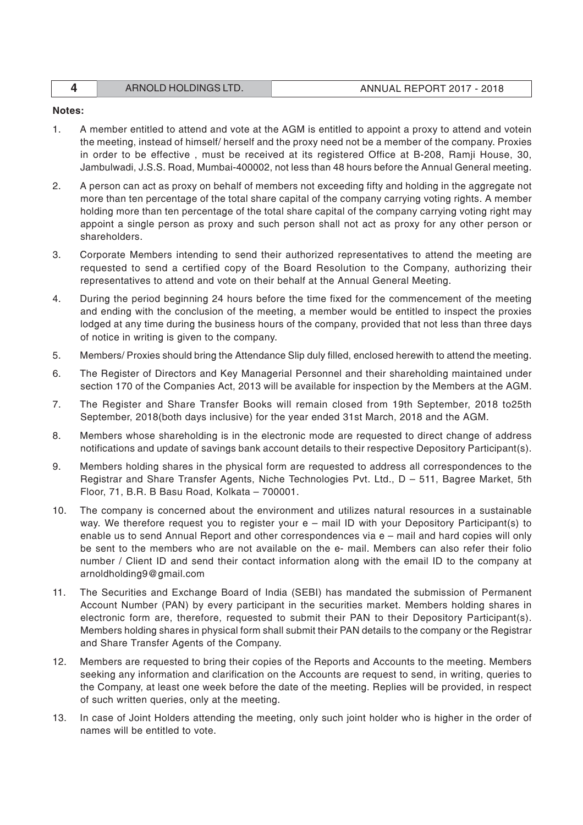|  | ARNOLD HOLDINGS LTD. | <b>ANNUAL REPORT 2017 - 2018</b> |
|--|----------------------|----------------------------------|
|--|----------------------|----------------------------------|

#### Notes:

- 1. A member entitled to attend and vote at the AGM is entitled to appoint a proxy to attend and votein the meeting, instead of himself/ herself and the proxy need not be a member of the company. Proxies in order to be effective , must be received at its registered Office at B-208, Ramji House, 30, Jambulwadi, J.S.S. Road, Mumbai-400002, not less than 48 hours before the Annual General meeting.
- 2. A person can act as proxy on behalf of members not exceeding fifty and holding in the aggregate not more than ten percentage of the total share capital of the company carrying voting rights. A member holding more than ten percentage of the total share capital of the company carrying voting right may appoint a single person as proxy and such person shall not act as proxy for any other person or shareholders.
- 3. Corporate Members intending to send their authorized representatives to attend the meeting are requested to send a certified copy of the Board Resolution to the Company, authorizing their representatives to attend and vote on their behalf at the Annual General Meeting.
- 4. During the period beginning 24 hours before the time fixed for the commencement of the meeting and ending with the conclusion of the meeting, a member would be entitled to inspect the proxies lodged at any time during the business hours of the company, provided that not less than three days of notice in writing is given to the company.
- 5. Members/ Proxies should bring the Attendance Slip duly filled, enclosed herewith to attend the meeting.
- 6. The Register of Directors and Key Managerial Personnel and their shareholding maintained under section 170 of the Companies Act, 2013 will be available for inspection by the Members at the AGM.
- 7. The Register and Share Transfer Books will remain closed from 19th September, 2018 to25th September, 2018(both days inclusive) for the year ended 31st March, 2018 and the AGM.
- 8. Members whose shareholding is in the electronic mode are requested to direct change of address notifications and update of savings bank account details to their respective Depository Participant(s).
- 9. Members holding shares in the physical form are requested to address all correspondences to the Registrar and Share Transfer Agents, Niche Technologies Pvt. Ltd., D – 511, Bagree Market, 5th Floor, 71, B.R. B Basu Road, Kolkata – 700001.
- 10. The company is concerned about the environment and utilizes natural resources in a sustainable way. We therefore request you to register your e – mail ID with your Depository Participant(s) to enable us to send Annual Report and other correspondences via e – mail and hard copies will only be sent to the members who are not available on the e- mail. Members can also refer their folio number / Client ID and send their contact information along with the email ID to the company at arnoldholding9@gmail.com
- 11. The Securities and Exchange Board of India (SEBI) has mandated the submission of Permanent Account Number (PAN) by every participant in the securities market. Members holding shares in electronic form are, therefore, requested to submit their PAN to their Depository Participant(s). Members holding shares in physical form shall submit their PAN details to the company or the Registrar and Share Transfer Agents of the Company.
- 12. Members are requested to bring their copies of the Reports and Accounts to the meeting. Members seeking any information and clarification on the Accounts are request to send, in writing, queries to the Company, at least one week before the date of the meeting. Replies will be provided, in respect of such written queries, only at the meeting.
- 13. In case of Joint Holders attending the meeting, only such joint holder who is higher in the order of names will be entitled to vote.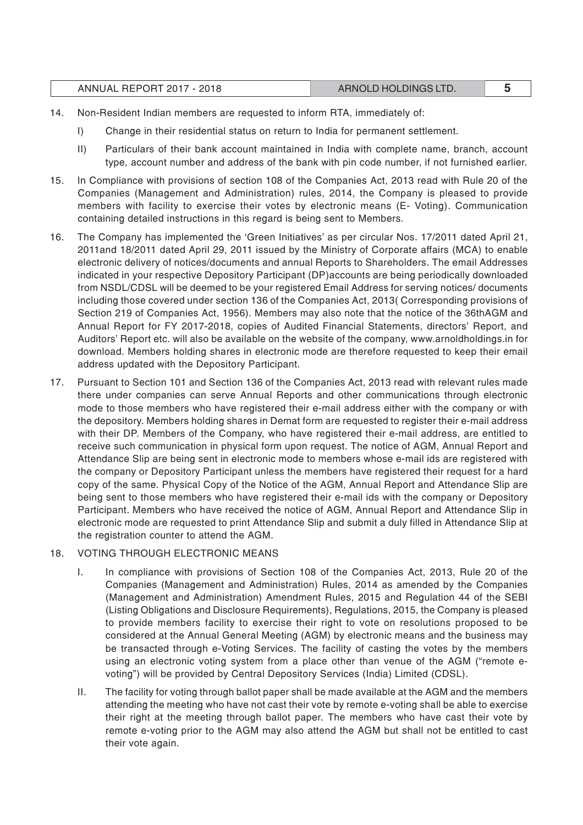| <b>ANNUAL REPORT 2017 - 2018</b> | ARNOLD HOLDINGS LTD. |  |
|----------------------------------|----------------------|--|
|----------------------------------|----------------------|--|

- 14. Non-Resident Indian members are requested to inform RTA, immediately of:
	- I) Change in their residential status on return to India for permanent settlement.
	- II) Particulars of their bank account maintained in India with complete name, branch, account type, account number and address of the bank with pin code number, if not furnished earlier.
- 15. In Compliance with provisions of section 108 of the Companies Act, 2013 read with Rule 20 of the Companies (Management and Administration) rules, 2014, the Company is pleased to provide members with facility to exercise their votes by electronic means (E- Voting). Communication containing detailed instructions in this regard is being sent to Members.
- 16. The Company has implemented the 'Green Initiatives' as per circular Nos. 17/2011 dated April 21, 2011and 18/2011 dated April 29, 2011 issued by the Ministry of Corporate affairs (MCA) to enable electronic delivery of notices/documents and annual Reports to Shareholders. The email Addresses indicated in your respective Depository Participant (DP)accounts are being periodically downloaded from NSDL/CDSL will be deemed to be your registered Email Address for serving notices/ documents including those covered under section 136 of the Companies Act, 2013( Corresponding provisions of Section 219 of Companies Act, 1956). Members may also note that the notice of the 36thAGM and Annual Report for FY 2017-2018, copies of Audited Financial Statements, directors' Report, and Auditors' Report etc. will also be available on the website of the company, www.arnoldholdings.in for download. Members holding shares in electronic mode are therefore requested to keep their email address updated with the Depository Participant.
- 17. Pursuant to Section 101 and Section 136 of the Companies Act, 2013 read with relevant rules made there under companies can serve Annual Reports and other communications through electronic mode to those members who have registered their e-mail address either with the company or with the depository. Members holding shares in Demat form are requested to register their e-mail address with their DP. Members of the Company, who have registered their e-mail address, are entitled to receive such communication in physical form upon request. The notice of AGM, Annual Report and Attendance Slip are being sent in electronic mode to members whose e-mail ids are registered with the company or Depository Participant unless the members have registered their request for a hard copy of the same. Physical Copy of the Notice of the AGM, Annual Report and Attendance Slip are being sent to those members who have registered their e-mail ids with the company or Depository Participant. Members who have received the notice of AGM, Annual Report and Attendance Slip in electronic mode are requested to print Attendance Slip and submit a duly filled in Attendance Slip at the registration counter to attend the AGM.

## 18. VOTING THROUGH ELECTRONIC MEANS

- I. In compliance with provisions of Section 108 of the Companies Act, 2013, Rule 20 of the Companies (Management and Administration) Rules, 2014 as amended by the Companies (Management and Administration) Amendment Rules, 2015 and Regulation 44 of the SEBI (Listing Obligations and Disclosure Requirements), Regulations, 2015, the Company is pleased to provide members facility to exercise their right to vote on resolutions proposed to be considered at the Annual General Meeting (AGM) by electronic means and the business may be transacted through e-Voting Services. The facility of casting the votes by the members using an electronic voting system from a place other than venue of the AGM ("remote evoting") will be provided by Central Depository Services (India) Limited (CDSL).
- II. The facility for voting through ballot paper shall be made available at the AGM and the members attending the meeting who have not cast their vote by remote e-voting shall be able to exercise their right at the meeting through ballot paper. The members who have cast their vote by remote e-voting prior to the AGM may also attend the AGM but shall not be entitled to cast their vote again.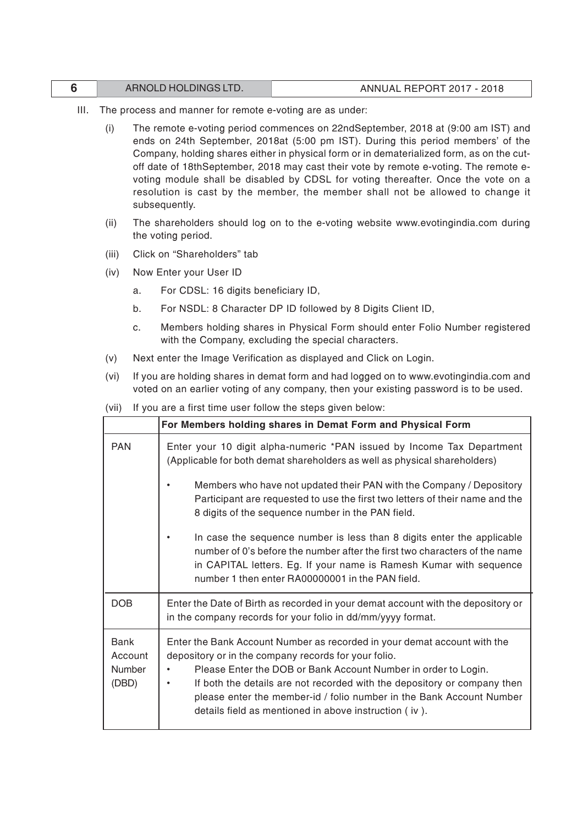| ARNOLD HOLDINGS LTD. | <b>ANNUAL REPORT 2017 - 2018</b> |
|----------------------|----------------------------------|
|                      |                                  |

- III. The process and manner for remote e-voting are as under:
	- (i) The remote e-voting period commences on 22ndSeptember, 2018 at (9:00 am IST) and ends on 24th September, 2018at (5:00 pm IST). During this period members' of the Company, holding shares either in physical form or in dematerialized form, as on the cutoff date of 18thSeptember, 2018 may cast their vote by remote e-voting. The remote evoting module shall be disabled by CDSL for voting thereafter. Once the vote on a resolution is cast by the member, the member shall not be allowed to change it subsequently.
	- (ii) The shareholders should log on to the e-voting website www.evotingindia.com during the voting period.
	- (iii) Click on "Shareholders" tab
	- (iv) Now Enter your User ID
		- a. For CDSL: 16 digits beneficiary ID,
		- b. For NSDL: 8 Character DP ID followed by 8 Digits Client ID,
		- c. Members holding shares in Physical Form should enter Folio Number registered with the Company, excluding the special characters.
	- (v) Next enter the Image Verification as displayed and Click on Login.
	- (vi) If you are holding shares in demat form and had logged on to www.evotingindia.com and voted on an earlier voting of any company, then your existing password is to be used.

|                                           | For Members holding shares in Demat Form and Physical Form                                                                                                                                                                                                                                                                                                                                                           |  |
|-------------------------------------------|----------------------------------------------------------------------------------------------------------------------------------------------------------------------------------------------------------------------------------------------------------------------------------------------------------------------------------------------------------------------------------------------------------------------|--|
| <b>PAN</b>                                | Enter your 10 digit alpha-numeric *PAN issued by Income Tax Department<br>(Applicable for both demat shareholders as well as physical shareholders)                                                                                                                                                                                                                                                                  |  |
|                                           | Members who have not updated their PAN with the Company / Depository<br>Participant are requested to use the first two letters of their name and the<br>8 digits of the sequence number in the PAN field.                                                                                                                                                                                                            |  |
|                                           | In case the sequence number is less than 8 digits enter the applicable<br>number of 0's before the number after the first two characters of the name<br>in CAPITAL letters. Eg. If your name is Ramesh Kumar with sequence<br>number 1 then enter RA00000001 in the PAN field.                                                                                                                                       |  |
| <b>DOB</b>                                | Enter the Date of Birth as recorded in your demat account with the depository or<br>in the company records for your folio in dd/mm/yyyy format.                                                                                                                                                                                                                                                                      |  |
| <b>Bank</b><br>Account<br>Number<br>(DBD) | Enter the Bank Account Number as recorded in your demat account with the<br>depository or in the company records for your folio.<br>Please Enter the DOB or Bank Account Number in order to Login.<br>If both the details are not recorded with the depository or company then<br>٠<br>please enter the member-id / folio number in the Bank Account Number<br>details field as mentioned in above instruction (iv). |  |

(vii) If you are a first time user follow the steps given below: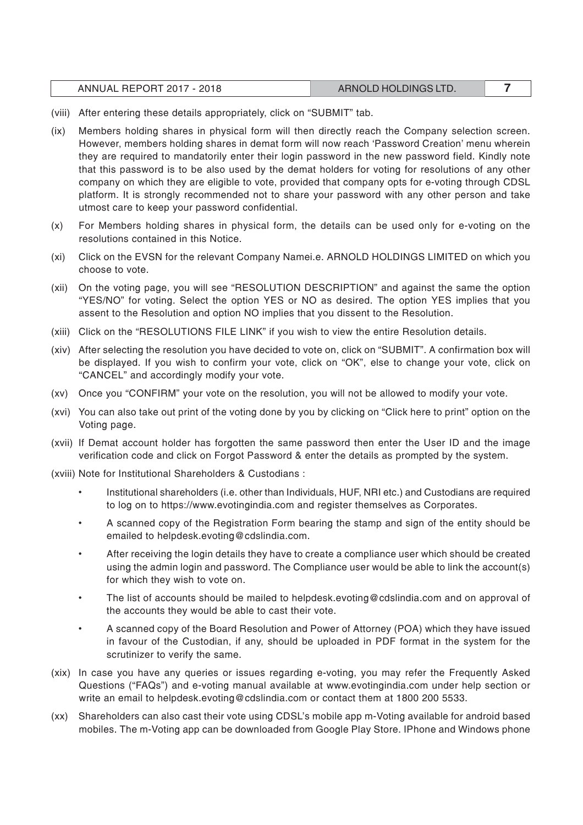| <b>ANNUAL REPORT 2017 - 2018</b> | ARNOLD HOLDINGS LTD. |  |
|----------------------------------|----------------------|--|
|----------------------------------|----------------------|--|

- (viii) After entering these details appropriately, click on "SUBMIT" tab.
- (ix) Members holding shares in physical form will then directly reach the Company selection screen. However, members holding shares in demat form will now reach 'Password Creation' menu wherein they are required to mandatorily enter their login password in the new password field. Kindly note that this password is to be also used by the demat holders for voting for resolutions of any other company on which they are eligible to vote, provided that company opts for e-voting through CDSL platform. It is strongly recommended not to share your password with any other person and take utmost care to keep your password confidential.
- (x) For Members holding shares in physical form, the details can be used only for e-voting on the resolutions contained in this Notice.
- (xi) Click on the EVSN for the relevant Company Namei.e. ARNOLD HOLDINGS LIMITED on which you choose to vote.
- (xii) On the voting page, you will see "RESOLUTION DESCRIPTION" and against the same the option "YES/NO" for voting. Select the option YES or NO as desired. The option YES implies that you assent to the Resolution and option NO implies that you dissent to the Resolution.
- (xiii) Click on the "RESOLUTIONS FILE LINK" if you wish to view the entire Resolution details.
- (xiv) After selecting the resolution you have decided to vote on, click on "SUBMIT". A confirmation box will be displayed. If you wish to confirm your vote, click on "OK", else to change your vote, click on "CANCEL" and accordingly modify your vote.
- (xv) Once you "CONFIRM" your vote on the resolution, you will not be allowed to modify your vote.
- (xvi) You can also take out print of the voting done by you by clicking on "Click here to print" option on the Voting page.
- (xvii) If Demat account holder has forgotten the same password then enter the User ID and the image verification code and click on Forgot Password & enter the details as prompted by the system.
- (xviii) Note for Institutional Shareholders & Custodians :
	- Institutional shareholders (i.e. other than Individuals, HUF, NRI etc.) and Custodians are required to log on to https://www.evotingindia.com and register themselves as Corporates.
	- A scanned copy of the Registration Form bearing the stamp and sign of the entity should be emailed to helpdesk.evoting@cdslindia.com.
	- After receiving the login details they have to create a compliance user which should be created using the admin login and password. The Compliance user would be able to link the account(s) for which they wish to vote on.
	- The list of accounts should be mailed to helpdesk.evoting@cdslindia.com and on approval of the accounts they would be able to cast their vote.
	- A scanned copy of the Board Resolution and Power of Attorney (POA) which they have issued in favour of the Custodian, if any, should be uploaded in PDF format in the system for the scrutinizer to verify the same.
- (xix) In case you have any queries or issues regarding e-voting, you may refer the Frequently Asked Questions ("FAQs") and e-voting manual available at www.evotingindia.com under help section or write an email to helpdesk.evoting@cdslindia.com or contact them at 1800 200 5533.
- (xx) Shareholders can also cast their vote using CDSL's mobile app m-Voting available for android based mobiles. The m-Voting app can be downloaded from Google Play Store. IPhone and Windows phone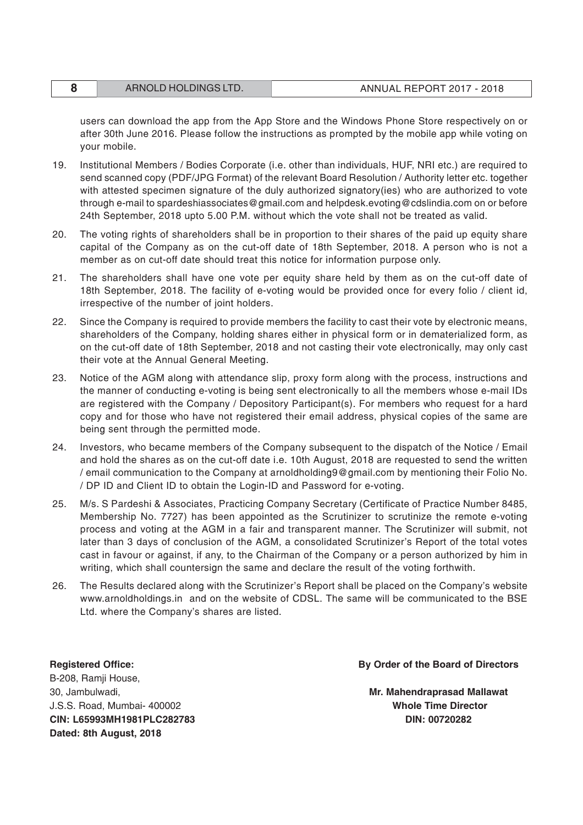|  | ARNOLD HOLDINGS LTD. | <b>ANNUAL REPORT 2017 - 2018</b> |
|--|----------------------|----------------------------------|
|--|----------------------|----------------------------------|

users can download the app from the App Store and the Windows Phone Store respectively on or after 30th June 2016. Please follow the instructions as prompted by the mobile app while voting on your mobile.

- 19. Institutional Members / Bodies Corporate (i.e. other than individuals, HUF, NRI etc.) are required to send scanned copy (PDF/JPG Format) of the relevant Board Resolution / Authority letter etc. together with attested specimen signature of the duly authorized signatory(ies) who are authorized to vote through e-mail to spardeshiassociates@gmail.com and helpdesk.evoting@cdslindia.com on or before 24th September, 2018 upto 5.00 P.M. without which the vote shall not be treated as valid.
- 20. The voting rights of shareholders shall be in proportion to their shares of the paid up equity share capital of the Company as on the cut-off date of 18th September, 2018. A person who is not a member as on cut-off date should treat this notice for information purpose only.
- 21. The shareholders shall have one vote per equity share held by them as on the cut-off date of 18th September, 2018. The facility of e-voting would be provided once for every folio / client id, irrespective of the number of joint holders.
- 22. Since the Company is required to provide members the facility to cast their vote by electronic means, shareholders of the Company, holding shares either in physical form or in dematerialized form, as on the cut-off date of 18th September, 2018 and not casting their vote electronically, may only cast their vote at the Annual General Meeting.
- 23. Notice of the AGM along with attendance slip, proxy form along with the process, instructions and the manner of conducting e-voting is being sent electronically to all the members whose e-mail IDs are registered with the Company / Depository Participant(s). For members who request for a hard copy and for those who have not registered their email address, physical copies of the same are being sent through the permitted mode.
- 24. Investors, who became members of the Company subsequent to the dispatch of the Notice / Email and hold the shares as on the cut-off date i.e. 10th August, 2018 are requested to send the written / email communication to the Company at arnoldholding9@gmail.com by mentioning their Folio No. / DP ID and Client ID to obtain the Login-ID and Password for e-voting.
- 25. M/s. S Pardeshi & Associates, Practicing Company Secretary (Certificate of Practice Number 8485, Membership No. 7727) has been appointed as the Scrutinizer to scrutinize the remote e-voting process and voting at the AGM in a fair and transparent manner. The Scrutinizer will submit, not later than 3 days of conclusion of the AGM, a consolidated Scrutinizer's Report of the total votes cast in favour or against, if any, to the Chairman of the Company or a person authorized by him in writing, which shall countersign the same and declare the result of the voting forthwith.
- 26. The Results declared along with the Scrutinizer's Report shall be placed on the Company's website www.arnoldholdings.in and on the website of CDSL. The same will be communicated to the BSE Ltd. where the Company's shares are listed.

B-208, Ramji House, 30, Jambulwadi, Mahendraprasad Mallawat Nullawat Nashrida at Albert Mr. Mahendraprasad Mallawat J.S.S. Road, Mumbai- 400002 Whole Time Director CIN: L65993MH1981PLC282783 DIN: 00720282 Dated: 8th August, 2018

Registered Office: By Order of the Board of Directors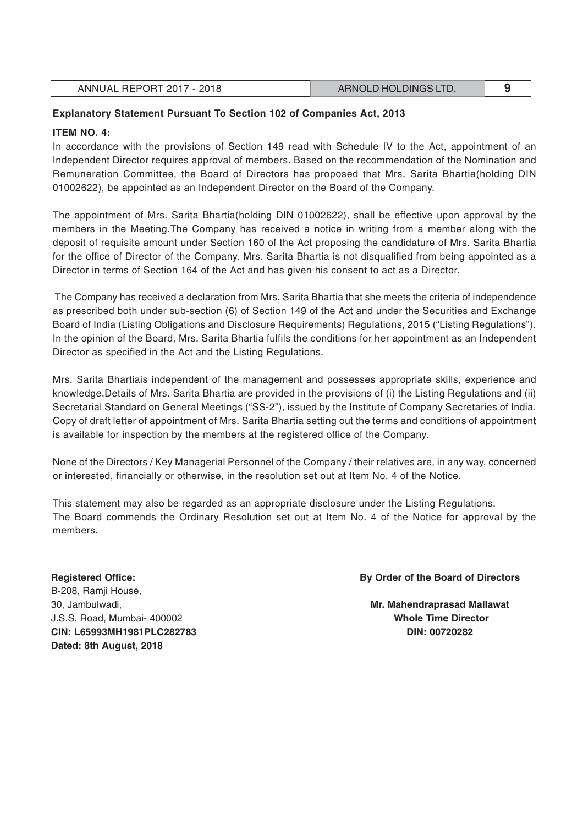| <b>ANNUAL REPORT 2017 - 2018</b> | ARNOLD HOLDINGS LTD. |  |
|----------------------------------|----------------------|--|
|----------------------------------|----------------------|--|

## Explanatory Statement Pursuant To Section 102 of Companies Act, 2013

## ITEM NO. 4:

In accordance with the provisions of Section 149 read with Schedule IV to the Act, appointment of an Independent Director requires approval of members. Based on the recommendation of the Nomination and Remuneration Committee, the Board of Directors has proposed that Mrs. Sarita Bhartia(holding DIN 01002622), be appointed as an Independent Director on the Board of the Company.

The appointment of Mrs. Sarita Bhartia(holding DIN 01002622), shall be effective upon approval by the members in the Meeting.The Company has received a notice in writing from a member along with the deposit of requisite amount under Section 160 of the Act proposing the candidature of Mrs. Sarita Bhartia for the office of Director of the Company. Mrs. Sarita Bhartia is not disqualified from being appointed as a Director in terms of Section 164 of the Act and has given his consent to act as a Director.

 The Company has received a declaration from Mrs. Sarita Bhartia that she meets the criteria of independence as prescribed both under sub-section (6) of Section 149 of the Act and under the Securities and Exchange Board of India (Listing Obligations and Disclosure Requirements) Regulations, 2015 ("Listing Regulations"). In the opinion of the Board, Mrs. Sarita Bhartia fulfils the conditions for her appointment as an Independent Director as specified in the Act and the Listing Regulations.

Mrs. Sarita Bhartiais independent of the management and possesses appropriate skills, experience and knowledge.Details of Mrs. Sarita Bhartia are provided in the provisions of (i) the Listing Regulations and (ii) Secretarial Standard on General Meetings ("SS-2"), issued by the Institute of Company Secretaries of India. Copy of draft letter of appointment of Mrs. Sarita Bhartia setting out the terms and conditions of appointment is available for inspection by the members at the registered office of the Company.

None of the Directors / Key Managerial Personnel of the Company / their relatives are, in any way, concerned or interested, financially or otherwise, in the resolution set out at Item No. 4 of the Notice.

This statement may also be regarded as an appropriate disclosure under the Listing Regulations. The Board commends the Ordinary Resolution set out at Item No. 4 of the Notice for approval by the members.

B-208, Ramji House, 30, Jambulwadi, Mahendraprasad Mallawat Nullawat Nashrida at Albert Muslim Mr. Mahendraprasad Mallawat J.S.S. Road, Mumbai- 400002 Whole Time Director CIN: L65993MH1981PLC282783 DIN: 00720282 Dated: 8th August, 2018

#### Registered Office: By Order of the Board of Directors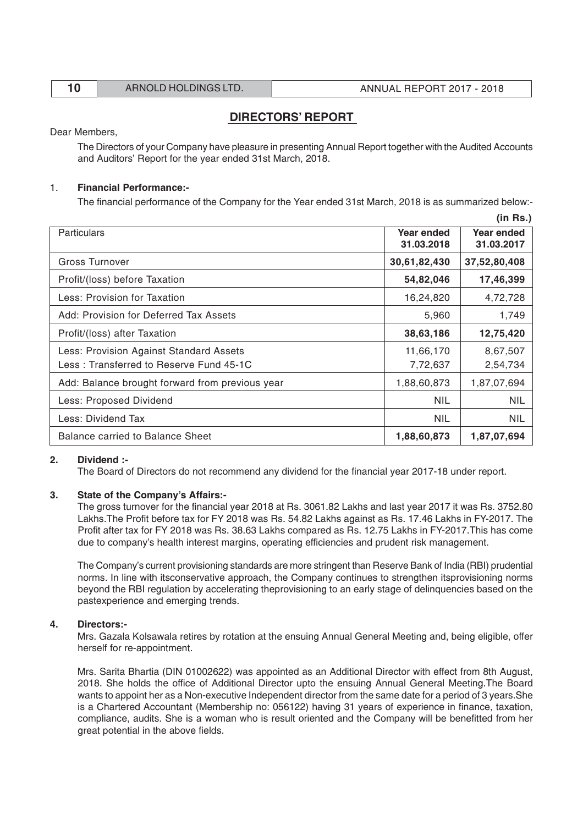|  | ARNOLD HOLDINGS LTD. | <b>ANNUAL REPORT 2017 - 2018</b> |
|--|----------------------|----------------------------------|
|--|----------------------|----------------------------------|

## DIRECTORS' REPORT

Dear Members,

The Directors of your Company have pleasure in presenting Annual Report together with the Audited Accounts and Auditors' Report for the year ended 31st March, 2018.

## 1. Financial Performance:-

The financial performance of the Company for the Year ended 31st March, 2018 is as summarized below:-

 $\lim_{n \to \infty} \frac{1}{n}$ 

| <b>Particulars</b>                                                                 | Year ended<br>31.03.2018 | Year ended<br>31.03.2017 |
|------------------------------------------------------------------------------------|--------------------------|--------------------------|
| <b>Gross Turnover</b>                                                              | 30,61,82,430             | 37,52,80,408             |
| Profit/(loss) before Taxation                                                      | 54,82,046                | 17,46,399                |
| Less: Provision for Taxation                                                       | 16,24,820                | 4,72,728                 |
| Add: Provision for Deferred Tax Assets                                             | 5,960                    | 1,749                    |
| Profit/(loss) after Taxation                                                       | 38,63,186                | 12,75,420                |
| Less: Provision Against Standard Assets<br>Less: Transferred to Reserve Fund 45-1C | 11,66,170<br>7,72,637    | 8,67,507<br>2,54,734     |
| Add: Balance brought forward from previous year                                    | 1,88,60,873              | 1,87,07,694              |
| Less: Proposed Dividend                                                            | <b>NIL</b>               | <b>NIL</b>               |
| Less: Dividend Tax                                                                 | <b>NIL</b>               | <b>NIL</b>               |
| <b>Balance carried to Balance Sheet</b>                                            | 1,88,60,873              | 1,87,07,694              |

## 2. Dividend :-

The Board of Directors do not recommend any dividend for the financial year 2017-18 under report.

## 3. State of the Company's Affairs:-

The gross turnover for the financial year 2018 at Rs. 3061.82 Lakhs and last year 2017 it was Rs. 3752.80 Lakhs.The Profit before tax for FY 2018 was Rs. 54.82 Lakhs against as Rs. 17.46 Lakhs in FY-2017. The Profit after tax for FY 2018 was Rs. 38.63 Lakhs compared as Rs. 12.75 Lakhs in FY-2017.This has come due to company's health interest margins, operating efficiencies and prudent risk management.

The Company's current provisioning standards are more stringent than Reserve Bank of India (RBI) prudential norms. In line with itsconservative approach, the Company continues to strengthen itsprovisioning norms beyond the RBI regulation by accelerating theprovisioning to an early stage of delinquencies based on the pastexperience and emerging trends.

## 4. Directors:-

Mrs. Gazala Kolsawala retires by rotation at the ensuing Annual General Meeting and, being eligible, offer herself for re-appointment.

Mrs. Sarita Bhartia (DIN 01002622) was appointed as an Additional Director with effect from 8th August, 2018. She holds the office of Additional Director upto the ensuing Annual General Meeting.The Board wants to appoint her as a Non-executive Independent director from the same date for a period of 3 years.She is a Chartered Accountant (Membership no: 056122) having 31 years of experience in finance, taxation, compliance, audits. She is a woman who is result oriented and the Company will be benefitted from her great potential in the above fields.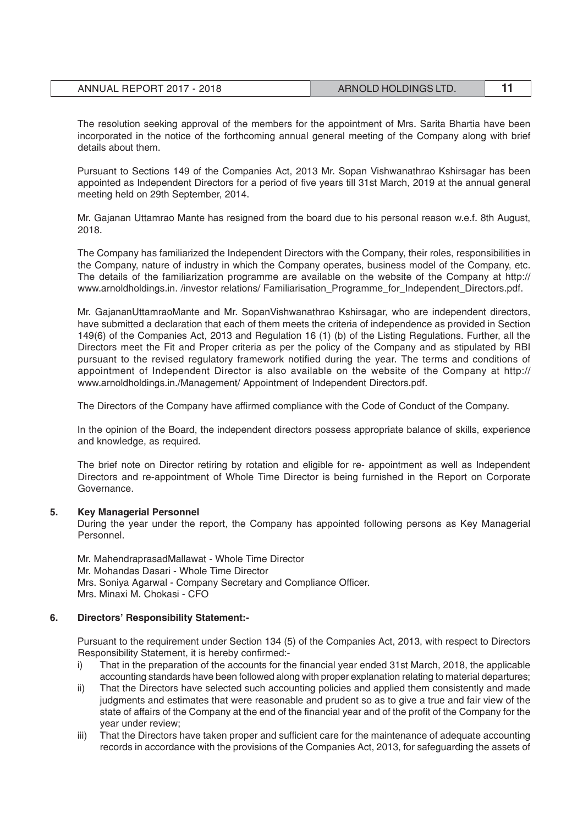| <b>ANNUAL REPORT 2017 - 2018</b> | ARNOLD HOLDINGS LTD. |  |
|----------------------------------|----------------------|--|
|----------------------------------|----------------------|--|

The resolution seeking approval of the members for the appointment of Mrs. Sarita Bhartia have been incorporated in the notice of the forthcoming annual general meeting of the Company along with brief details about them.

Pursuant to Sections 149 of the Companies Act, 2013 Mr. Sopan Vishwanathrao Kshirsagar has been appointed as Independent Directors for a period of five years till 31st March, 2019 at the annual general meeting held on 29th September, 2014.

Mr. Gajanan Uttamrao Mante has resigned from the board due to his personal reason w.e.f. 8th August, 2018.

The Company has familiarized the Independent Directors with the Company, their roles, responsibilities in the Company, nature of industry in which the Company operates, business model of the Company, etc. The details of the familiarization programme are available on the website of the Company at http:// www.arnoldholdings.in. /investor relations/ Familiarisation\_Programme\_for\_Independent\_Directors.pdf.

Mr. GajananUttamraoMante and Mr. SopanVishwanathrao Kshirsagar, who are independent directors, have submitted a declaration that each of them meets the criteria of independence as provided in Section 149(6) of the Companies Act, 2013 and Regulation 16 (1) (b) of the Listing Regulations. Further, all the Directors meet the Fit and Proper criteria as per the policy of the Company and as stipulated by RBI pursuant to the revised regulatory framework notified during the year. The terms and conditions of appointment of Independent Director is also available on the website of the Company at http:// www.arnoldholdings.in./Management/ Appointment of Independent Directors.pdf.

The Directors of the Company have affirmed compliance with the Code of Conduct of the Company.

In the opinion of the Board, the independent directors possess appropriate balance of skills, experience and knowledge, as required.

The brief note on Director retiring by rotation and eligible for re- appointment as well as Independent Directors and re-appointment of Whole Time Director is being furnished in the Report on Corporate Governance.

## 5. Key Managerial Personnel

During the year under the report, the Company has appointed following persons as Key Managerial Personnel.

Mr. MahendraprasadMallawat - Whole Time Director Mr. Mohandas Dasari - Whole Time Director Mrs. Soniya Agarwal - Company Secretary and Compliance Officer. Mrs. Minaxi M. Chokasi - CFO

## 6. Directors' Responsibility Statement:-

Pursuant to the requirement under Section 134 (5) of the Companies Act, 2013, with respect to Directors Responsibility Statement, it is hereby confirmed:-

- i) That in the preparation of the accounts for the financial year ended 31st March, 2018, the applicable accounting standards have been followed along with proper explanation relating to material departures;
- ii) That the Directors have selected such accounting policies and applied them consistently and made judgments and estimates that were reasonable and prudent so as to give a true and fair view of the state of affairs of the Company at the end of the financial year and of the profit of the Company for the year under review;
- iii) That the Directors have taken proper and sufficient care for the maintenance of adequate accounting records in accordance with the provisions of the Companies Act, 2013, for safeguarding the assets of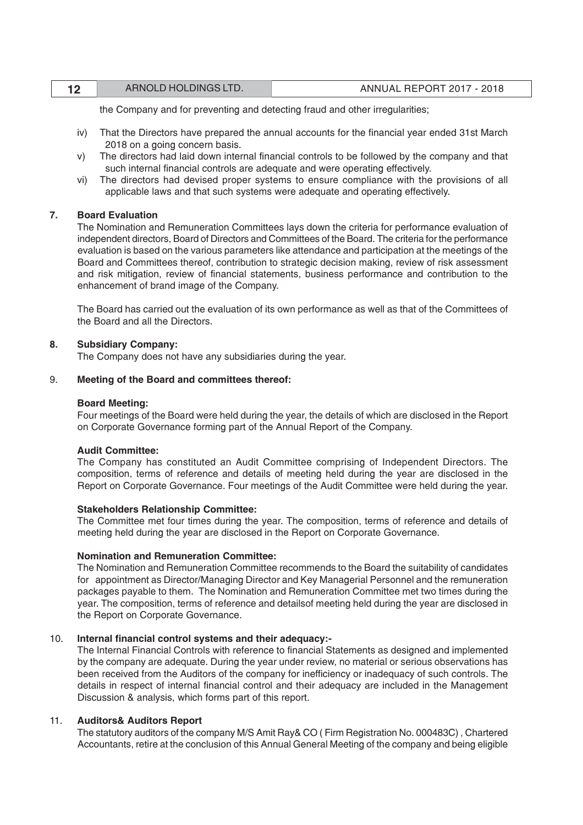| ה 1 | ARNOLD HOLDINGS LTD. | <b>ANNUAL REPORT 2017 - 2018</b> |
|-----|----------------------|----------------------------------|
|     |                      |                                  |

the Company and for preventing and detecting fraud and other irregularities;

- iv) That the Directors have prepared the annual accounts for the financial year ended 31st March 2018 on a going concern basis.
- v) The directors had laid down internal financial controls to be followed by the company and that such internal financial controls are adequate and were operating effectively.
- vi) The directors had devised proper systems to ensure compliance with the provisions of all applicable laws and that such systems were adequate and operating effectively.

#### 7. Board Evaluation

The Nomination and Remuneration Committees lays down the criteria for performance evaluation of independent directors, Board of Directors and Committees of the Board. The criteria for the performance evaluation is based on the various parameters like attendance and participation at the meetings of the Board and Committees thereof, contribution to strategic decision making, review of risk assessment and risk mitigation, review of financial statements, business performance and contribution to the enhancement of brand image of the Company.

The Board has carried out the evaluation of its own performance as well as that of the Committees of the Board and all the Directors.

#### 8. Subsidiary Company:

The Company does not have any subsidiaries during the year.

#### 9. Meeting of the Board and committees thereof:

#### Board Meeting:

Four meetings of the Board were held during the year, the details of which are disclosed in the Report on Corporate Governance forming part of the Annual Report of the Company.

#### Audit Committee:

The Company has constituted an Audit Committee comprising of Independent Directors. The composition, terms of reference and details of meeting held during the year are disclosed in the Report on Corporate Governance. Four meetings of the Audit Committee were held during the year.

#### Stakeholders Relationship Committee:

The Committee met four times during the year. The composition, terms of reference and details of meeting held during the year are disclosed in the Report on Corporate Governance.

## Nomination and Remuneration Committee:

The Nomination and Remuneration Committee recommends to the Board the suitability of candidates for appointment as Director/Managing Director and Key Managerial Personnel and the remuneration packages payable to them. The Nomination and Remuneration Committee met two times during the year. The composition, terms of reference and detailsof meeting held during the year are disclosed in the Report on Corporate Governance.

## 10. Internal financial control systems and their adequacy:-

The Internal Financial Controls with reference to financial Statements as designed and implemented by the company are adequate. During the year under review, no material or serious observations has been received from the Auditors of the company for inefficiency or inadequacy of such controls. The details in respect of internal financial control and their adequacy are included in the Management Discussion & analysis, which forms part of this report.

## 11. Auditors& Auditors Report

The statutory auditors of the company M/S Amit Ray& CO ( Firm Registration No. 000483C) , Chartered Accountants, retire at the conclusion of this Annual General Meeting of the company and being eligible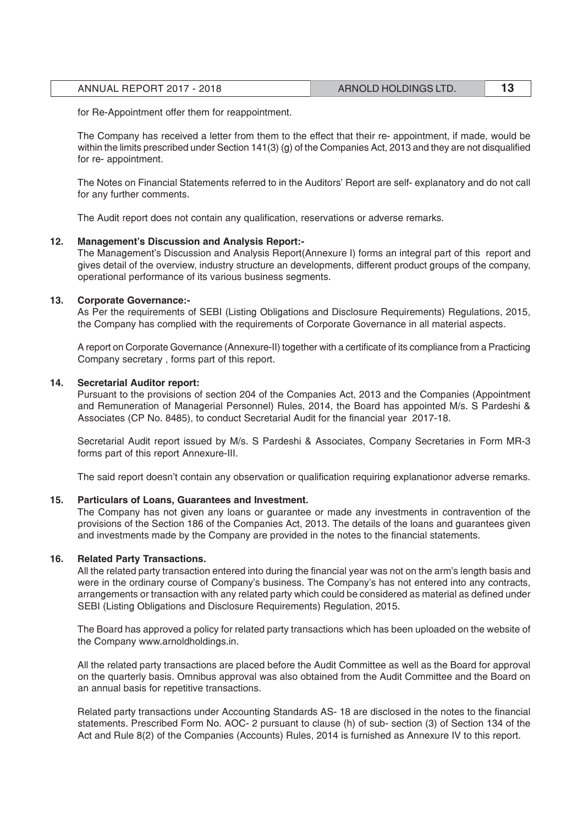| <b>ANNUAL REPORT 2017 - 2018</b> | ARNOLD HOLDINGS LTD. |  |
|----------------------------------|----------------------|--|
|----------------------------------|----------------------|--|

for Re-Appointment offer them for reappointment.

The Company has received a letter from them to the effect that their re- appointment, if made, would be within the limits prescribed under Section 141(3) (g) of the Companies Act, 2013 and they are not disqualified for re- appointment.

The Notes on Financial Statements referred to in the Auditors' Report are self- explanatory and do not call for any further comments.

The Audit report does not contain any qualification, reservations or adverse remarks.

#### 12. Management's Discussion and Analysis Report:-

The Management's Discussion and Analysis Report(Annexure I) forms an integral part of this report and gives detail of the overview, industry structure an developments, different product groups of the company, operational performance of its various business segments.

#### 13. Corporate Governance:-

As Per the requirements of SEBI (Listing Obligations and Disclosure Requirements) Regulations, 2015, the Company has complied with the requirements of Corporate Governance in all material aspects.

A report on Corporate Governance (Annexure-II) together with a certificate of its compliance from a Practicing Company secretary , forms part of this report.

#### 14. Secretarial Auditor report:

Pursuant to the provisions of section 204 of the Companies Act, 2013 and the Companies (Appointment and Remuneration of Managerial Personnel) Rules, 2014, the Board has appointed M/s. S Pardeshi & Associates (CP No. 8485), to conduct Secretarial Audit for the financial year 2017-18.

Secretarial Audit report issued by M/s. S Pardeshi & Associates, Company Secretaries in Form MR-3 forms part of this report Annexure-III.

The said report doesn't contain any observation or qualification requiring explanationor adverse remarks.

#### 15. Particulars of Loans, Guarantees and Investment.

The Company has not given any loans or guarantee or made any investments in contravention of the provisions of the Section 186 of the Companies Act, 2013. The details of the loans and guarantees given and investments made by the Company are provided in the notes to the financial statements.

#### 16. Related Party Transactions.

All the related party transaction entered into during the financial year was not on the arm's length basis and were in the ordinary course of Company's business. The Company's has not entered into any contracts, arrangements or transaction with any related party which could be considered as material as defined under SEBI (Listing Obligations and Disclosure Requirements) Regulation, 2015.

The Board has approved a policy for related party transactions which has been uploaded on the website of the Company www.arnoldholdings.in.

All the related party transactions are placed before the Audit Committee as well as the Board for approval on the quarterly basis. Omnibus approval was also obtained from the Audit Committee and the Board on an annual basis for repetitive transactions.

Related party transactions under Accounting Standards AS- 18 are disclosed in the notes to the financial statements. Prescribed Form No. AOC- 2 pursuant to clause (h) of sub- section (3) of Section 134 of the Act and Rule 8(2) of the Companies (Accounts) Rules, 2014 is furnished as Annexure IV to this report.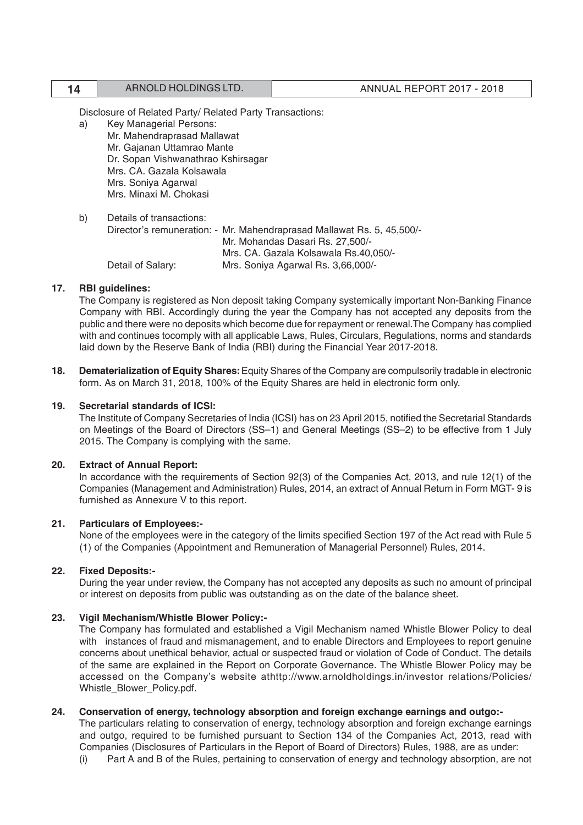| 14 | ARNOLD HOLDINGS LTD.                                                                                              | <b>ANNUAL REPORT 2017 - 2018</b> |
|----|-------------------------------------------------------------------------------------------------------------------|----------------------------------|
|    | Disclosure of Related Party/ Related Party Transactions:<br>Key Managerial Persons:<br>Mr Mahandranracad Mallawat |                                  |

Mr. Mahendraprasad Mallawat Mr. Gajanan Uttamrao Mante Dr. Sopan Vishwanathrao Kshirsagar Mrs. CA. Gazala Kolsawala Mrs. Soniya Agarwal Mrs. Minaxi M. Chokasi

b) Details of transactions: Director's remuneration: - Mr. Mahendraprasad Mallawat Rs. 5, 45,500/- Mr. Mohandas Dasari Rs. 27,500/- Mrs. CA. Gazala Kolsawala Rs.40,050/- Detail of Salary: Mrs. Soniya Agarwal Rs. 3,66,000/-

## 17. RBI guidelines:

The Company is registered as Non deposit taking Company systemically important Non-Banking Finance Company with RBI. Accordingly during the year the Company has not accepted any deposits from the public and there were no deposits which become due for repayment or renewal.The Company has complied with and continues tocomply with all applicable Laws, Rules, Circulars, Regulations, norms and standards laid down by the Reserve Bank of India (RBI) during the Financial Year 2017-2018.

18. Dematerialization of Equity Shares: Equity Shares of the Company are compulsorily tradable in electronic form. As on March 31, 2018, 100% of the Equity Shares are held in electronic form only.

#### 19. Secretarial standards of ICSI:

The Institute of Company Secretaries of India (ICSI) has on 23 April 2015, notified the Secretarial Standards on Meetings of the Board of Directors (SS–1) and General Meetings (SS–2) to be effective from 1 July 2015. The Company is complying with the same.

#### 20. Extract of Annual Report:

In accordance with the requirements of Section 92(3) of the Companies Act, 2013, and rule 12(1) of the Companies (Management and Administration) Rules, 2014, an extract of Annual Return in Form MGT- 9 is furnished as Annexure V to this report.

#### 21. Particulars of Employees:-

None of the employees were in the category of the limits specified Section 197 of the Act read with Rule 5 (1) of the Companies (Appointment and Remuneration of Managerial Personnel) Rules, 2014.

#### 22. Fixed Deposits:-

During the year under review, the Company has not accepted any deposits as such no amount of principal or interest on deposits from public was outstanding as on the date of the balance sheet.

#### 23. Vigil Mechanism/Whistle Blower Policy:-

The Company has formulated and established a Vigil Mechanism named Whistle Blower Policy to deal with instances of fraud and mismanagement, and to enable Directors and Employees to report genuine concerns about unethical behavior, actual or suspected fraud or violation of Code of Conduct. The details of the same are explained in the Report on Corporate Governance. The Whistle Blower Policy may be accessed on the Company's website athttp://www.arnoldholdings.in/investor relations/Policies/ Whistle\_Blower\_Policy.pdf.

#### 24. Conservation of energy, technology absorption and foreign exchange earnings and outgo:-

The particulars relating to conservation of energy, technology absorption and foreign exchange earnings and outgo, required to be furnished pursuant to Section 134 of the Companies Act, 2013, read with Companies (Disclosures of Particulars in the Report of Board of Directors) Rules, 1988, are as under:

(i) Part A and B of the Rules, pertaining to conservation of energy and technology absorption, are not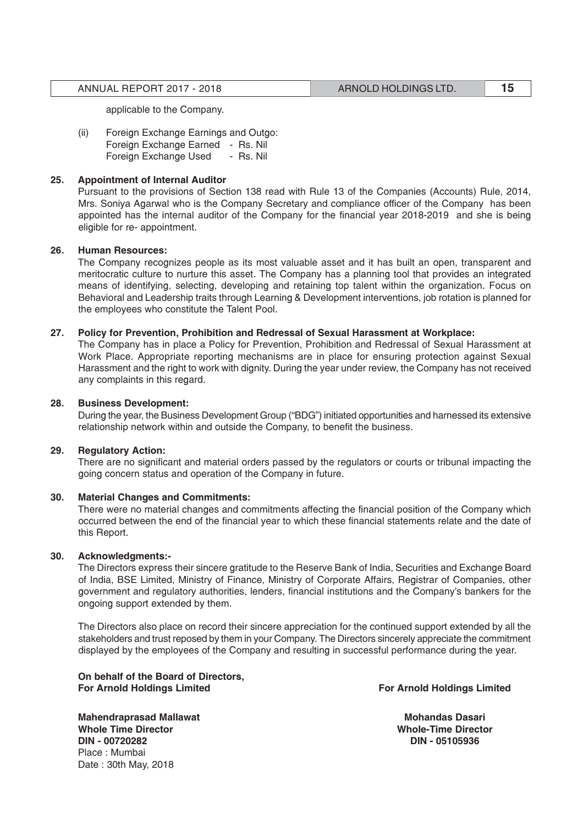| <b>ANNUAL REPORT 2017 - 2018</b> | ARNOLD HOLDINGS LTD. |  |
|----------------------------------|----------------------|--|
|----------------------------------|----------------------|--|

applicable to the Company.

(ii) Foreign Exchange Earnings and Outgo: Foreign Exchange Earned - Rs. Nil Foreign Exchange Used - Rs. Nil

#### 25. Appointment of Internal Auditor

Pursuant to the provisions of Section 138 read with Rule 13 of the Companies (Accounts) Rule, 2014, Mrs. Soniya Agarwal who is the Company Secretary and compliance officer of the Company has been appointed has the internal auditor of the Company for the financial year 2018-2019 and she is being eligible for re- appointment.

#### 26. Human Resources:

The Company recognizes people as its most valuable asset and it has built an open, transparent and meritocratic culture to nurture this asset. The Company has a planning tool that provides an integrated means of identifying, selecting, developing and retaining top talent within the organization. Focus on Behavioral and Leadership traits through Learning & Development interventions, job rotation is planned for the employees who constitute the Talent Pool.

#### 27. Policy for Prevention, Prohibition and Redressal of Sexual Harassment at Workplace:

The Company has in place a Policy for Prevention, Prohibition and Redressal of Sexual Harassment at Work Place. Appropriate reporting mechanisms are in place for ensuring protection against Sexual Harassment and the right to work with dignity. During the year under review, the Company has not received any complaints in this regard.

#### 28. Business Development:

During the year, the Business Development Group ("BDG") initiated opportunities and harnessed its extensive relationship network within and outside the Company, to benefit the business.

#### 29. Regulatory Action:

There are no significant and material orders passed by the regulators or courts or tribunal impacting the going concern status and operation of the Company in future.

#### 30. Material Changes and Commitments:

There were no material changes and commitments affecting the financial position of the Company which occurred between the end of the financial year to which these financial statements relate and the date of this Report.

#### 30. Acknowledgments:-

The Directors express their sincere gratitude to the Reserve Bank of India, Securities and Exchange Board of India, BSE Limited, Ministry of Finance, Ministry of Corporate Affairs, Registrar of Companies, other government and regulatory authorities, lenders, financial institutions and the Company's bankers for the ongoing support extended by them.

The Directors also place on record their sincere appreciation for the continued support extended by all the stakeholders and trust reposed by them in your Company. The Directors sincerely appreciate the commitment displayed by the employees of the Company and resulting in successful performance during the year.

On behalf of the Board of Directors, For Arnold Holdings Limited **For Arnold Holdings Limited** For Arnold Holdings Limited

Mahendraprasad Mallawat Mohandas Dasari Mohandas Dasari Whole Time Director Whole-Time Director DIN - 00720282 DIN - 05105936 Place : Mumbai Date : 30th May, 2018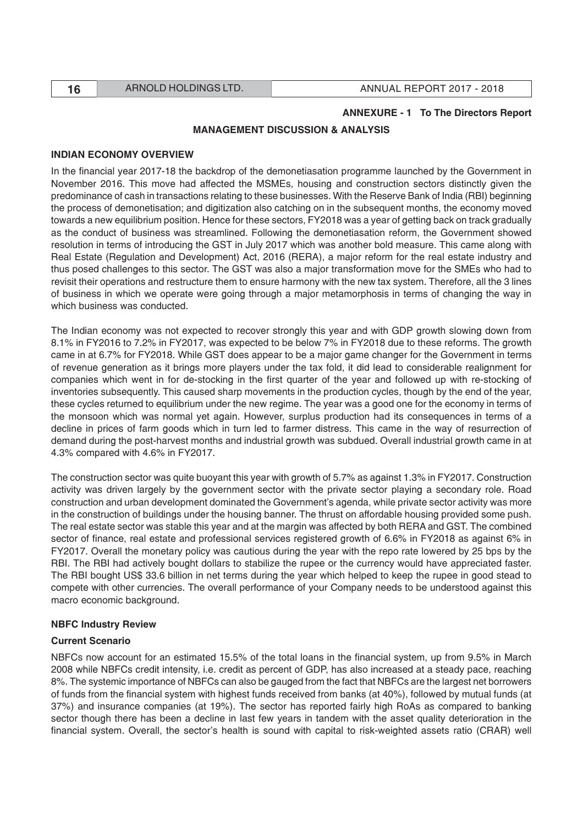| <b>ARNOLD HOLDINGS</b><br>16 |
|------------------------------|
|------------------------------|

#### ANNEXURE - 1 To The Directors Report

#### MANAGEMENT DISCUSSION & ANALYSIS

#### INDIAN ECONOMY OVERVIEW

In the financial year 2017-18 the backdrop of the demonetiasation programme launched by the Government in November 2016. This move had affected the MSMEs, housing and construction sectors distinctly given the predominance of cash in transactions relating to these businesses. With the Reserve Bank of India (RBI) beginning the process of demonetisation; and digitization also catching on in the subsequent months, the economy moved towards a new equilibrium position. Hence for these sectors, FY2018 was a year of getting back on track gradually as the conduct of business was streamlined. Following the demonetiasation reform, the Government showed resolution in terms of introducing the GST in July 2017 which was another bold measure. This came along with Real Estate (Regulation and Development) Act, 2016 (RERA), a major reform for the real estate industry and thus posed challenges to this sector. The GST was also a major transformation move for the SMEs who had to revisit their operations and restructure them to ensure harmony with the new tax system. Therefore, all the 3 lines of business in which we operate were going through a major metamorphosis in terms of changing the way in which business was conducted.

The Indian economy was not expected to recover strongly this year and with GDP growth slowing down from 8.1% in FY2016 to 7.2% in FY2017, was expected to be below 7% in FY2018 due to these reforms. The growth came in at 6.7% for FY2018. While GST does appear to be a major game changer for the Government in terms of revenue generation as it brings more players under the tax fold, it did lead to considerable realignment for companies which went in for de-stocking in the first quarter of the year and followed up with re-stocking of inventories subsequently. This caused sharp movements in the production cycles, though by the end of the year, these cycles returned to equilibrium under the new regime. The year was a good one for the economy in terms of the monsoon which was normal yet again. However, surplus production had its consequences in terms of a decline in prices of farm goods which in turn led to farmer distress. This came in the way of resurrection of demand during the post-harvest months and industrial growth was subdued. Overall industrial growth came in at 4.3% compared with 4.6% in FY2017.

The construction sector was quite buoyant this year with growth of 5.7% as against 1.3% in FY2017. Construction activity was driven largely by the government sector with the private sector playing a secondary role. Road construction and urban development dominated the Government's agenda, while private sector activity was more in the construction of buildings under the housing banner. The thrust on affordable housing provided some push. The real estate sector was stable this year and at the margin was affected by both RERA and GST. The combined sector of finance, real estate and professional services registered growth of 6.6% in FY2018 as against 6% in FY2017. Overall the monetary policy was cautious during the year with the repo rate lowered by 25 bps by the RBI. The RBI had actively bought dollars to stabilize the rupee or the currency would have appreciated faster. The RBI bought US\$ 33.6 billion in net terms during the year which helped to keep the rupee in good stead to compete with other currencies. The overall performance of your Company needs to be understood against this macro economic background.

#### NBFC Industry Review

#### Current Scenario

NBFCs now account for an estimated 15.5% of the total loans in the financial system, up from 9.5% in March 2008 while NBFCs credit intensity, i.e. credit as percent of GDP, has also increased at a steady pace, reaching 8%. The systemic importance of NBFCs can also be gauged from the fact that NBFCs are the largest net borrowers of funds from the financial system with highest funds received from banks (at 40%), followed by mutual funds (at 37%) and insurance companies (at 19%). The sector has reported fairly high RoAs as compared to banking sector though there has been a decline in last few years in tandem with the asset quality deterioration in the financial system. Overall, the sector's health is sound with capital to risk-weighted assets ratio (CRAR) well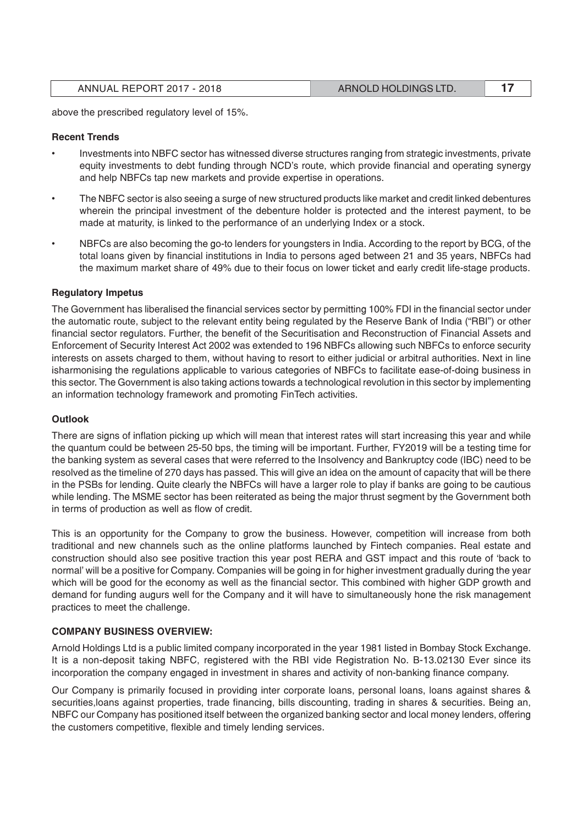| <b>ANNUAL REPORT 2017 - 2018</b> | ARNOLD HOLDINGS LTD. |  |
|----------------------------------|----------------------|--|
|----------------------------------|----------------------|--|

above the prescribed regulatory level of 15%.

#### Recent Trends

- Investments into NBFC sector has witnessed diverse structures ranging from strategic investments, private equity investments to debt funding through NCD's route, which provide financial and operating synergy and help NBFCs tap new markets and provide expertise in operations.
- The NBFC sector is also seeing a surge of new structured products like market and credit linked debentures wherein the principal investment of the debenture holder is protected and the interest payment, to be made at maturity, is linked to the performance of an underlying Index or a stock.
- NBFCs are also becoming the go-to lenders for youngsters in India. According to the report by BCG, of the total loans given by financial institutions in India to persons aged between 21 and 35 years, NBFCs had the maximum market share of 49% due to their focus on lower ticket and early credit life-stage products.

## Regulatory Impetus

The Government has liberalised the financial services sector by permitting 100% FDI in the financial sector under the automatic route, subject to the relevant entity being regulated by the Reserve Bank of India ("RBI") or other financial sector regulators. Further, the benefit of the Securitisation and Reconstruction of Financial Assets and Enforcement of Security Interest Act 2002 was extended to 196 NBFCs allowing such NBFCs to enforce security interests on assets charged to them, without having to resort to either judicial or arbitral authorities. Next in line isharmonising the regulations applicable to various categories of NBFCs to facilitate ease-of-doing business in this sector. The Government is also taking actions towards a technological revolution in this sector by implementing an information technology framework and promoting FinTech activities.

## Outlook

There are signs of inflation picking up which will mean that interest rates will start increasing this year and while the quantum could be between 25-50 bps, the timing will be important. Further, FY2019 will be a testing time for the banking system as several cases that were referred to the Insolvency and Bankruptcy code (IBC) need to be resolved as the timeline of 270 days has passed. This will give an idea on the amount of capacity that will be there in the PSBs for lending. Quite clearly the NBFCs will have a larger role to play if banks are going to be cautious while lending. The MSME sector has been reiterated as being the major thrust segment by the Government both in terms of production as well as flow of credit.

This is an opportunity for the Company to grow the business. However, competition will increase from both traditional and new channels such as the online platforms launched by Fintech companies. Real estate and construction should also see positive traction this year post RERA and GST impact and this route of 'back to normal' will be a positive for Company. Companies will be going in for higher investment gradually during the year which will be good for the economy as well as the financial sector. This combined with higher GDP growth and demand for funding augurs well for the Company and it will have to simultaneously hone the risk management practices to meet the challenge.

## COMPANY BUSINESS OVERVIEW:

Arnold Holdings Ltd is a public limited company incorporated in the year 1981 listed in Bombay Stock Exchange. It is a non-deposit taking NBFC, registered with the RBI vide Registration No. B-13.02130 Ever since its incorporation the company engaged in investment in shares and activity of non-banking finance company.

Our Company is primarily focused in providing inter corporate loans, personal loans, loans against shares & securities,loans against properties, trade financing, bills discounting, trading in shares & securities. Being an, NBFC our Company has positioned itself between the organized banking sector and local money lenders, offering the customers competitive, flexible and timely lending services.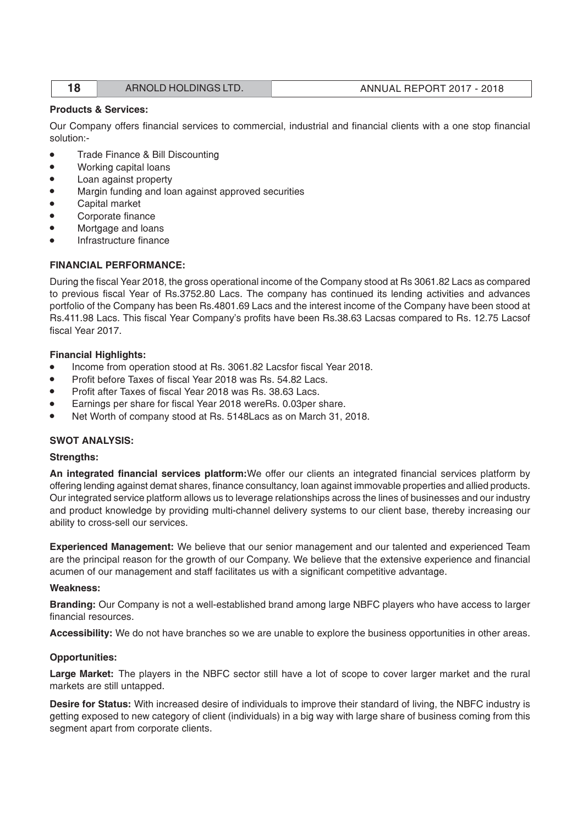| 18 | ARNOLD HOLDINGS LTD. | <b>ANNUAL REPORT 2017 - 2018</b> |
|----|----------------------|----------------------------------|
|----|----------------------|----------------------------------|

#### Products & Services:

Our Company offers financial services to commercial, industrial and financial clients with a one stop financial solution:-

- Trade Finance & Bill Discounting
- Working capital loans
- Loan against property
- Margin funding and loan against approved securities
- Capital market
- Corporate finance
- Mortgage and loans
- Infrastructure finance

## FINANCIAL PERFORMANCE:

During the fiscal Year 2018, the gross operational income of the Company stood at Rs 3061.82 Lacs as compared to previous fiscal Year of Rs.3752.80 Lacs. The company has continued its lending activities and advances portfolio of the Company has been Rs.4801.69 Lacs and the interest income of the Company have been stood at Rs.411.98 Lacs. This fiscal Year Company's profits have been Rs.38.63 Lacsas compared to Rs. 12.75 Lacsof fiscal Year 2017.

#### Financial Highlights:

- Income from operation stood at Rs. 3061.82 Lacsfor fiscal Year 2018.
- Profit before Taxes of fiscal Year 2018 was Rs. 54.82 Lacs.
- Profit after Taxes of fiscal Year 2018 was Rs. 38.63 Lacs.
- Earnings per share for fiscal Year 2018 wereRs. 0.03per share.
- Net Worth of company stood at Rs. 5148Lacs as on March 31, 2018.

## SWOT ANALYSIS:

#### Strengths:

An integrated financial services platform: We offer our clients an integrated financial services platform by offering lending against demat shares, finance consultancy, loan against immovable properties and allied products. Our integrated service platform allows us to leverage relationships across the lines of businesses and our industry and product knowledge by providing multi-channel delivery systems to our client base, thereby increasing our ability to cross-sell our services.

Experienced Management: We believe that our senior management and our talented and experienced Team are the principal reason for the growth of our Company. We believe that the extensive experience and financial acumen of our management and staff facilitates us with a significant competitive advantage.

#### Weakness:

Branding: Our Company is not a well-established brand among large NBFC players who have access to larger financial resources.

Accessibility: We do not have branches so we are unable to explore the business opportunities in other areas.

#### Opportunities:

Large Market: The players in the NBFC sector still have a lot of scope to cover larger market and the rural markets are still untapped.

Desire for Status: With increased desire of individuals to improve their standard of living, the NBFC industry is getting exposed to new category of client (individuals) in a big way with large share of business coming from this segment apart from corporate clients.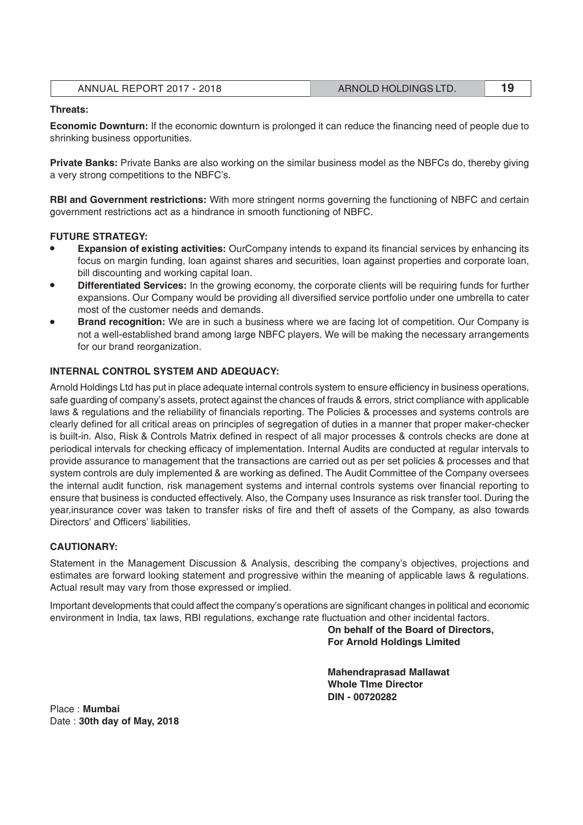| <b>ANNUAL REPORT 2017 - 2018</b> | ARNOLD HOLDINGS LTD. |  |
|----------------------------------|----------------------|--|
|----------------------------------|----------------------|--|

#### Threats:

Economic Downturn: If the economic downturn is prolonged it can reduce the financing need of people due to shrinking business opportunities.

Private Banks: Private Banks are also working on the similar business model as the NBFCs do, thereby giving a very strong competitions to the NBFC's.

RBI and Government restrictions: With more stringent norms governing the functioning of NBFC and certain government restrictions act as a hindrance in smooth functioning of NBFC.

## FUTURE STRATEGY:

- Expansion of existing activities: OurCompany intends to expand its financial services by enhancing its focus on margin funding, loan against shares and securities, loan against properties and corporate loan, bill discounting and working capital loan.
- Differentiated Services: In the growing economy, the corporate clients will be requiring funds for further expansions. Our Company would be providing all diversified service portfolio under one umbrella to cater most of the customer needs and demands.
- Brand recognition: We are in such a business where we are facing lot of competition. Our Company is not a well-established brand among large NBFC players. We will be making the necessary arrangements for our brand reorganization.

## INTERNAL CONTROL SYSTEM AND ADEQUACY:

Arnold Holdings Ltd has put in place adequate internal controls system to ensure efficiency in business operations, safe guarding of company's assets, protect against the chances of frauds & errors, strict compliance with applicable laws & regulations and the reliability of financials reporting. The Policies & processes and systems controls are clearly defined for all critical areas on principles of segregation of duties in a manner that proper maker-checker is built-in. Also, Risk & Controls Matrix defined in respect of all major processes & controls checks are done at periodical intervals for checking efficacy of implementation. Internal Audits are conducted at regular intervals to provide assurance to management that the transactions are carried out as per set policies & processes and that system controls are duly implemented & are working as defined. The Audit Committee of the Company oversees the internal audit function, risk management systems and internal controls systems over financial reporting to ensure that business is conducted effectively. Also, the Company uses Insurance as risk transfer tool. During the year,insurance cover was taken to transfer risks of fire and theft of assets of the Company, as also towards Directors' and Officers' liabilities.

## CAUTIONARY:

Statement in the Management Discussion & Analysis, describing the company's objectives, projections and estimates are forward looking statement and progressive within the meaning of applicable laws & regulations. Actual result may vary from those expressed or implied.

Important developments that could affect the company's operations are significant changes in political and economic environment in India, tax laws, RBI regulations, exchange rate fluctuation and other incidental factors.

> On behalf of the Board of Directors, For Arnold Holdings Limited

Mahendraprasad Mallawat Whole TIme Director DIN - 00720282

Place : Mumbai Date : 30th day of May, 2018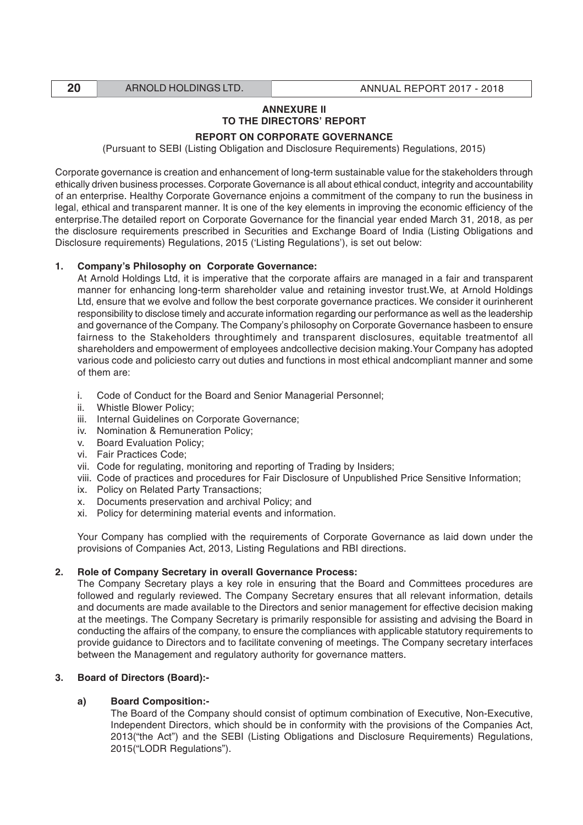## ANNEXURE II TO THE DIRECTORS' REPORT

## REPORT ON CORPORATE GOVERNANCE

(Pursuant to SEBI (Listing Obligation and Disclosure Requirements) Regulations, 2015)

Corporate governance is creation and enhancement of long-term sustainable value for the stakeholders through ethically driven business processes. Corporate Governance is all about ethical conduct, integrity and accountability of an enterprise. Healthy Corporate Governance enjoins a commitment of the company to run the business in legal, ethical and transparent manner. It is one of the key elements in improving the economic efficiency of the enterprise.The detailed report on Corporate Governance for the financial year ended March 31, 2018, as per the disclosure requirements prescribed in Securities and Exchange Board of India (Listing Obligations and Disclosure requirements) Regulations, 2015 ('Listing Regulations'), is set out below:

#### 1. Company's Philosophy on Corporate Governance:

At Arnold Holdings Ltd, it is imperative that the corporate affairs are managed in a fair and transparent manner for enhancing long-term shareholder value and retaining investor trust.We, at Arnold Holdings Ltd, ensure that we evolve and follow the best corporate governance practices. We consider it ourinherent responsibility to disclose timely and accurate information regarding our performance as well as the leadership and governance of the Company. The Company's philosophy on Corporate Governance hasbeen to ensure fairness to the Stakeholders throughtimely and transparent disclosures, equitable treatmentof all shareholders and empowerment of employees andcollective decision making.Your Company has adopted various code and policiesto carry out duties and functions in most ethical andcompliant manner and some of them are:

- i. Code of Conduct for the Board and Senior Managerial Personnel;
- ii. Whistle Blower Policy;
- iii. Internal Guidelines on Corporate Governance;
- iv. Nomination & Remuneration Policy;
- v. Board Evaluation Policy;
- vi. Fair Practices Code;
- vii. Code for regulating, monitoring and reporting of Trading by Insiders;
- viii. Code of practices and procedures for Fair Disclosure of Unpublished Price Sensitive Information;
- ix. Policy on Related Party Transactions;
- x. Documents preservation and archival Policy; and
- xi. Policy for determining material events and information.

Your Company has complied with the requirements of Corporate Governance as laid down under the provisions of Companies Act, 2013, Listing Regulations and RBI directions.

#### 2. Role of Company Secretary in overall Governance Process:

The Company Secretary plays a key role in ensuring that the Board and Committees procedures are followed and regularly reviewed. The Company Secretary ensures that all relevant information, details and documents are made available to the Directors and senior management for effective decision making at the meetings. The Company Secretary is primarily responsible for assisting and advising the Board in conducting the affairs of the company, to ensure the compliances with applicable statutory requirements to provide guidance to Directors and to facilitate convening of meetings. The Company secretary interfaces between the Management and regulatory authority for governance matters.

## 3. Board of Directors (Board):-

## a) Board Composition:-

The Board of the Company should consist of optimum combination of Executive, Non-Executive, Independent Directors, which should be in conformity with the provisions of the Companies Act, 2013("the Act") and the SEBI (Listing Obligations and Disclosure Requirements) Regulations, 2015("LODR Regulations").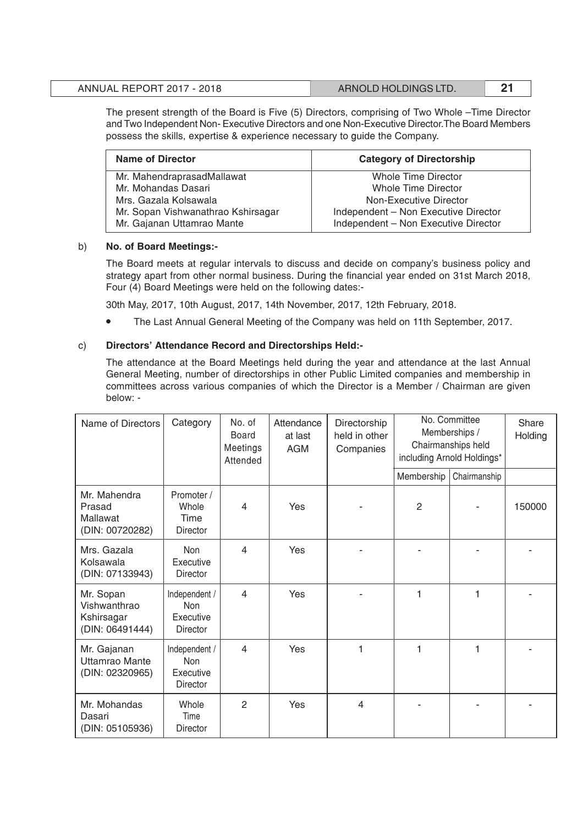| <b>ANNUAL REPORT 2017 - 2018</b> | ARNOLD HOLDINGS LTD. |  |
|----------------------------------|----------------------|--|
|----------------------------------|----------------------|--|

The present strength of the Board is Five (5) Directors, comprising of Two Whole –Time Director and Two Independent Non- Executive Directors and one Non-Executive Director.The Board Members possess the skills, expertise & experience necessary to guide the Company.

| <b>Name of Director</b>            | <b>Category of Directorship</b>      |  |  |
|------------------------------------|--------------------------------------|--|--|
| Mr. MahendraprasadMallawat         | <b>Whole Time Director</b>           |  |  |
| Mr. Mohandas Dasari                | Whole Time Director                  |  |  |
| Mrs. Gazala Kolsawala              | Non-Executive Director               |  |  |
| Mr. Sopan Vishwanathrao Kshirsagar | Independent - Non Executive Director |  |  |
| Mr. Gajanan Uttamrao Mante         | Independent - Non Executive Director |  |  |

#### b) No. of Board Meetings:-

The Board meets at regular intervals to discuss and decide on company's business policy and strategy apart from other normal business. During the financial year ended on 31st March 2018, Four (4) Board Meetings were held on the following dates:-

30th May, 2017, 10th August, 2017, 14th November, 2017, 12th February, 2018.

The Last Annual General Meeting of the Company was held on 11th September, 2017.

## c) Directors' Attendance Record and Directorships Held:-

The attendance at the Board Meetings held during the year and attendance at the last Annual General Meeting, number of directorships in other Public Limited companies and membership in committees across various companies of which the Director is a Member / Chairman are given below: -

| Name of Directors                                          | Category                                             | No. of<br><b>Board</b><br>Meetings<br>Attended | Attendance<br>at last<br><b>AGM</b> | Directorship<br>held in other<br>Companies |            | No. Committee<br>Memberships /<br>Chairmanships held<br>including Arnold Holdings* | Share<br>Holding |
|------------------------------------------------------------|------------------------------------------------------|------------------------------------------------|-------------------------------------|--------------------------------------------|------------|------------------------------------------------------------------------------------|------------------|
|                                                            |                                                      |                                                |                                     |                                            | Membership | Chairmanship                                                                       |                  |
| Mr. Mahendra<br>Prasad<br>Mallawat<br>(DIN: 00720282)      | Promoter /<br>Whole<br>Time<br><b>Director</b>       | 4                                              | Yes                                 |                                            | 2          |                                                                                    | 150000           |
| Mrs. Gazala<br>Kolsawala<br>(DIN: 07133943)                | <b>Non</b><br>Executive<br>Director                  | 4                                              | Yes                                 |                                            |            |                                                                                    |                  |
| Mr. Sopan<br>Vishwanthrao<br>Kshirsagar<br>(DIN: 06491444) | Independent /<br>Non<br>Executive<br>Director        | $\overline{4}$                                 | Yes                                 |                                            | 1          | 1                                                                                  |                  |
| Mr. Gajanan<br>Uttamrao Mante<br>(DIN: 02320965)           | Independent /<br>Non<br>Executive<br><b>Director</b> | 4                                              | Yes                                 | 1                                          | 1          | 1                                                                                  |                  |
| Mr. Mohandas<br>Dasari<br>(DIN: 05105936)                  | Whole<br>Time<br>Director                            | 2                                              | Yes                                 | $\overline{4}$                             |            |                                                                                    |                  |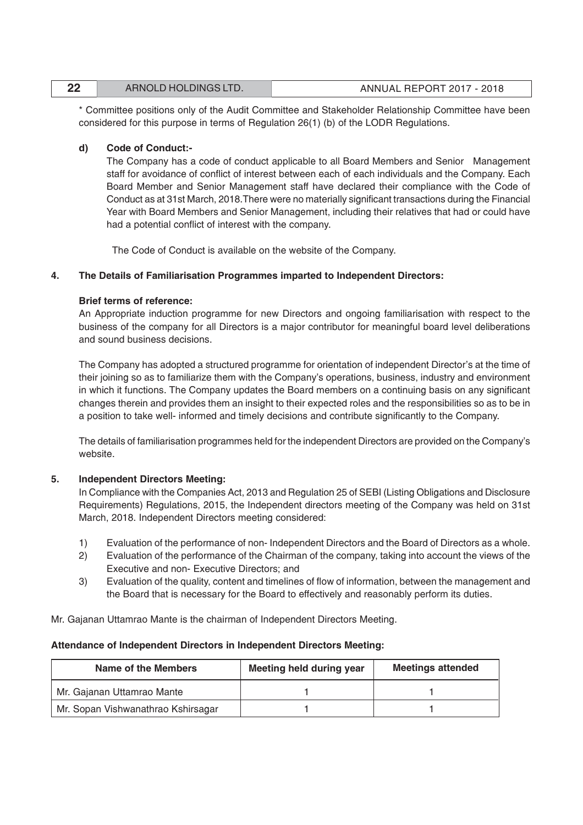| nr<br>ARNOLD HOLDINGS LTD.<br><b>ANNUAL REPORT 2017 - 2018</b> |  |
|----------------------------------------------------------------|--|
|----------------------------------------------------------------|--|

\* Committee positions only of the Audit Committee and Stakeholder Relationship Committee have been considered for this purpose in terms of Regulation 26(1) (b) of the LODR Regulations.

## d) Code of Conduct:-

The Company has a code of conduct applicable to all Board Members and Senior Management staff for avoidance of conflict of interest between each of each individuals and the Company. Each Board Member and Senior Management staff have declared their compliance with the Code of Conduct as at 31st March, 2018.There were no materially significant transactions during the Financial Year with Board Members and Senior Management, including their relatives that had or could have had a potential conflict of interest with the company.

The Code of Conduct is available on the website of the Company.

## 4. The Details of Familiarisation Programmes imparted to Independent Directors:

## Brief terms of reference:

An Appropriate induction programme for new Directors and ongoing familiarisation with respect to the business of the company for all Directors is a major contributor for meaningful board level deliberations and sound business decisions.

The Company has adopted a structured programme for orientation of independent Director's at the time of their joining so as to familiarize them with the Company's operations, business, industry and environment in which it functions. The Company updates the Board members on a continuing basis on any significant changes therein and provides them an insight to their expected roles and the responsibilities so as to be in a position to take well- informed and timely decisions and contribute significantly to the Company.

The details of familiarisation programmes held for the independent Directors are provided on the Company's website.

## 5. Independent Directors Meeting:

In Compliance with the Companies Act, 2013 and Regulation 25 of SEBI (Listing Obligations and Disclosure Requirements) Regulations, 2015, the Independent directors meeting of the Company was held on 31st March, 2018. Independent Directors meeting considered:

- 1) Evaluation of the performance of non- Independent Directors and the Board of Directors as a whole.
- 2) Evaluation of the performance of the Chairman of the company, taking into account the views of the Executive and non- Executive Directors; and
- 3) Evaluation of the quality, content and timelines of flow of information, between the management and the Board that is necessary for the Board to effectively and reasonably perform its duties.

Mr. Gajanan Uttamrao Mante is the chairman of Independent Directors Meeting.

## Attendance of Independent Directors in Independent Directors Meeting:

| Name of the Members                | Meeting held during year | <b>Meetings attended</b> |
|------------------------------------|--------------------------|--------------------------|
| Mr. Gajanan Uttamrao Mante         |                          |                          |
| Mr. Sopan Vishwanathrao Kshirsagar |                          |                          |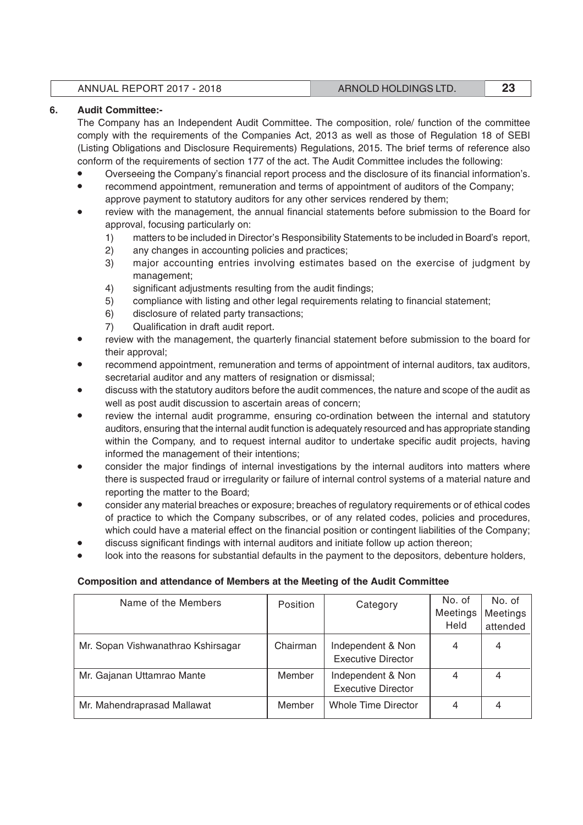| <b>ANNUAL REPORT 2017 - 2018</b> | ARNOLD HOLDINGS LTD. | ົດຕ |
|----------------------------------|----------------------|-----|
|----------------------------------|----------------------|-----|

## 6. Audit Committee:-

The Company has an Independent Audit Committee. The composition, role/ function of the committee comply with the requirements of the Companies Act, 2013 as well as those of Regulation 18 of SEBI (Listing Obligations and Disclosure Requirements) Regulations, 2015. The brief terms of reference also conform of the requirements of section 177 of the act. The Audit Committee includes the following:

- Overseeing the Company's financial report process and the disclosure of its financial information's.
- recommend appointment, remuneration and terms of appointment of auditors of the Company; approve payment to statutory auditors for any other services rendered by them;
- review with the management, the annual financial statements before submission to the Board for approval, focusing particularly on:
	- 1) matters to be included in Director's Responsibility Statements to be included in Board's report,
	- 2) any changes in accounting policies and practices;
	- 3) major accounting entries involving estimates based on the exercise of judgment by management;
	- 4) significant adjustments resulting from the audit findings;
	- 5) compliance with listing and other legal requirements relating to financial statement;
	- 6) disclosure of related party transactions;
	- 7) Qualification in draft audit report.
- review with the management, the quarterly financial statement before submission to the board for their approval;
- recommend appointment, remuneration and terms of appointment of internal auditors, tax auditors, secretarial auditor and any matters of resignation or dismissal;
- discuss with the statutory auditors before the audit commences, the nature and scope of the audit as well as post audit discussion to ascertain areas of concern;
- review the internal audit programme, ensuring co-ordination between the internal and statutory auditors, ensuring that the internal audit function is adequately resourced and has appropriate standing within the Company, and to request internal auditor to undertake specific audit projects, having informed the management of their intentions;
- consider the major findings of internal investigations by the internal auditors into matters where there is suspected fraud or irregularity or failure of internal control systems of a material nature and reporting the matter to the Board;
- consider any material breaches or exposure; breaches of regulatory requirements or of ethical codes of practice to which the Company subscribes, or of any related codes, policies and procedures, which could have a material effect on the financial position or contingent liabilities of the Company;
- discuss significant findings with internal auditors and initiate follow up action thereon;
- look into the reasons for substantial defaults in the payment to the depositors, debenture holders,

## Composition and attendance of Members at the Meeting of the Audit Committee

| Name of the Members                | <b>Position</b> | Category                                       | No. of<br>Meetings | No. of<br>Meetings |
|------------------------------------|-----------------|------------------------------------------------|--------------------|--------------------|
|                                    |                 |                                                | Held               | attended           |
| Mr. Sopan Vishwanathrao Kshirsagar | Chairman        | Independent & Non<br><b>Executive Director</b> | 4                  | 4                  |
| Mr. Gajanan Uttamrao Mante         | Member          | Independent & Non<br><b>Executive Director</b> | 4                  | 4                  |
| Mr. Mahendraprasad Mallawat        | Member          | <b>Whole Time Director</b>                     | 4                  | 4                  |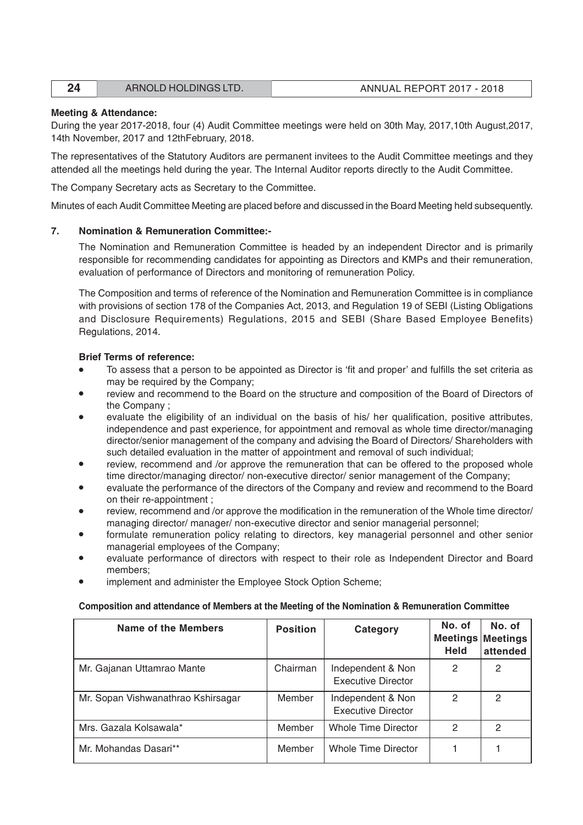| 24 | ARNOLD HOLDINGS LTD. | <b>ANNUAL REPORT 2017 - 2018</b> |
|----|----------------------|----------------------------------|
|    |                      |                                  |

## Meeting & Attendance:

During the year 2017-2018, four (4) Audit Committee meetings were held on 30th May, 2017,10th August,2017, 14th November, 2017 and 12thFebruary, 2018.

The representatives of the Statutory Auditors are permanent invitees to the Audit Committee meetings and they attended all the meetings held during the year. The Internal Auditor reports directly to the Audit Committee.

The Company Secretary acts as Secretary to the Committee.

Minutes of each Audit Committee Meeting are placed before and discussed in the Board Meeting held subsequently.

## 7. Nomination & Remuneration Committee:-

The Nomination and Remuneration Committee is headed by an independent Director and is primarily responsible for recommending candidates for appointing as Directors and KMPs and their remuneration, evaluation of performance of Directors and monitoring of remuneration Policy.

The Composition and terms of reference of the Nomination and Remuneration Committee is in compliance with provisions of section 178 of the Companies Act, 2013, and Regulation 19 of SEBI (Listing Obligations and Disclosure Requirements) Regulations, 2015 and SEBI (Share Based Employee Benefits) Regulations, 2014.

## Brief Terms of reference:

- To assess that a person to be appointed as Director is 'fit and proper' and fulfills the set criteria as may be required by the Company;
- review and recommend to the Board on the structure and composition of the Board of Directors of the Company ;
- evaluate the eligibility of an individual on the basis of his/ her qualification, positive attributes, independence and past experience, for appointment and removal as whole time director/managing director/senior management of the company and advising the Board of Directors/ Shareholders with such detailed evaluation in the matter of appointment and removal of such individual;
- review, recommend and /or approve the remuneration that can be offered to the proposed whole time director/managing director/ non-executive director/ senior management of the Company;
- evaluate the performance of the directors of the Company and review and recommend to the Board on their re-appointment ;
- review, recommend and /or approve the modification in the remuneration of the Whole time director/ managing director/ manager/ non-executive director and senior managerial personnel;
- formulate remuneration policy relating to directors, key managerial personnel and other senior managerial employees of the Company;
- evaluate performance of directors with respect to their role as Independent Director and Board members;
- implement and administer the Employee Stock Option Scheme;

#### Composition and attendance of Members at the Meeting of the Nomination & Remuneration Committee

| Name of the Members                | <b>Position</b> | Category                                       | No. of<br><b>Meetings Meetings</b><br><b>Held</b> | No. of<br>attended |
|------------------------------------|-----------------|------------------------------------------------|---------------------------------------------------|--------------------|
| Mr. Gajanan Uttamrao Mante         | Chairman        | Independent & Non<br><b>Executive Director</b> | 2                                                 | 2                  |
| Mr. Sopan Vishwanathrao Kshirsagar | Member          | Independent & Non<br><b>Executive Director</b> | 2                                                 | 2                  |
| Mrs. Gazala Kolsawala*             | Member          | <b>Whole Time Director</b>                     | $\mathfrak{p}$                                    | 2                  |
| Mr. Mohandas Dasari**              | Member          | Whole Time Director                            |                                                   |                    |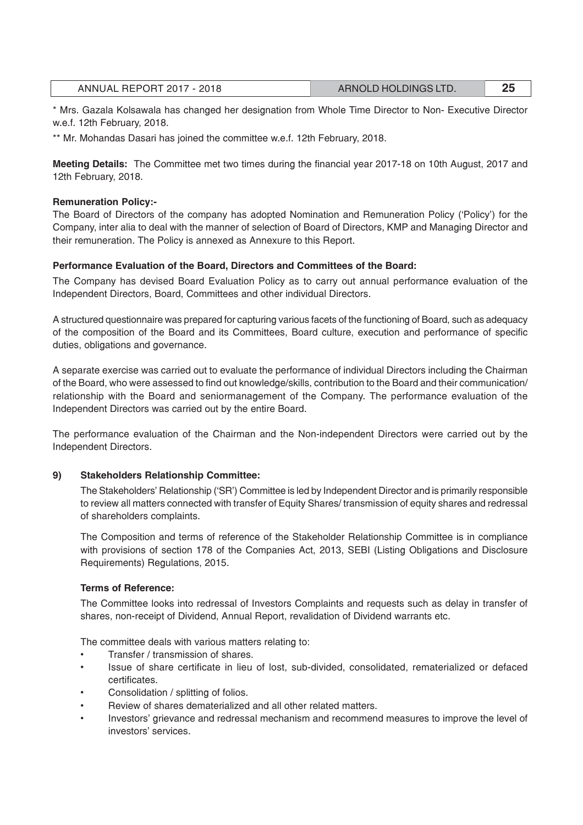| <b>ANNUAL REPORT 2017 - 2018</b> | ARNOLD HOLDINGS LTD. |  |
|----------------------------------|----------------------|--|
|----------------------------------|----------------------|--|

\* Mrs. Gazala Kolsawala has changed her designation from Whole Time Director to Non- Executive Director w.e.f. 12th February, 2018.

\*\* Mr. Mohandas Dasari has joined the committee w.e.f. 12th February, 2018.

Meeting Details: The Committee met two times during the financial year 2017-18 on 10th August, 2017 and 12th February, 2018.

#### Remuneration Policy:-

The Board of Directors of the company has adopted Nomination and Remuneration Policy ('Policy') for the Company, inter alia to deal with the manner of selection of Board of Directors, KMP and Managing Director and their remuneration. The Policy is annexed as Annexure to this Report.

#### Performance Evaluation of the Board, Directors and Committees of the Board:

The Company has devised Board Evaluation Policy as to carry out annual performance evaluation of the Independent Directors, Board, Committees and other individual Directors.

A structured questionnaire was prepared for capturing various facets of the functioning of Board, such as adequacy of the composition of the Board and its Committees, Board culture, execution and performance of specific duties, obligations and governance.

A separate exercise was carried out to evaluate the performance of individual Directors including the Chairman of the Board, who were assessed to find out knowledge/skills, contribution to the Board and their communication/ relationship with the Board and seniormanagement of the Company. The performance evaluation of the Independent Directors was carried out by the entire Board.

The performance evaluation of the Chairman and the Non-independent Directors were carried out by the Independent Directors.

#### 9) Stakeholders Relationship Committee:

The Stakeholders' Relationship ('SR') Committee is led by Independent Director and is primarily responsible to review all matters connected with transfer of Equity Shares/ transmission of equity shares and redressal of shareholders complaints.

The Composition and terms of reference of the Stakeholder Relationship Committee is in compliance with provisions of section 178 of the Companies Act, 2013, SEBI (Listing Obligations and Disclosure Requirements) Regulations, 2015.

#### Terms of Reference:

The Committee looks into redressal of Investors Complaints and requests such as delay in transfer of shares, non-receipt of Dividend, Annual Report, revalidation of Dividend warrants etc.

The committee deals with various matters relating to:

- Transfer / transmission of shares.
- Issue of share certificate in lieu of lost, sub-divided, consolidated, rematerialized or defaced certificates.
- Consolidation / splitting of folios.
- Review of shares dematerialized and all other related matters.
- Investors' grievance and redressal mechanism and recommend measures to improve the level of investors' services.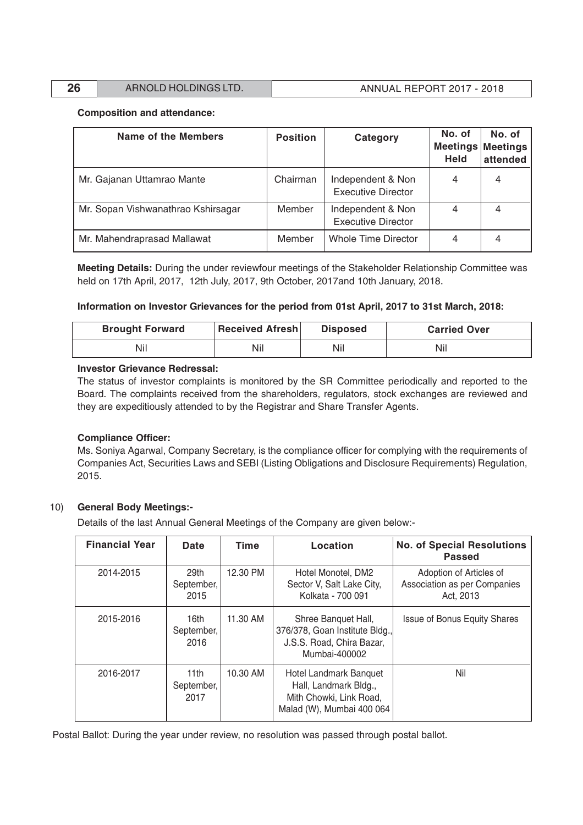#### **26 ARNOLD HOLDINGS LTD.** ANNUAL REPORT 2017 - 2018

#### Composition and attendance:

| Name of the Members                | <b>Position</b> | Category                                | No. of<br><b>Held</b> | No. of<br><b>Meetings Meetings</b><br>attended |
|------------------------------------|-----------------|-----------------------------------------|-----------------------|------------------------------------------------|
| Mr. Gajanan Uttamrao Mante         | Chairman        | Independent & Non<br>Executive Director | 4                     | 4                                              |
| Mr. Sopan Vishwanathrao Kshirsagar | Member          | Independent & Non<br>Executive Director | 4                     | 4                                              |
| Mr. Mahendraprasad Mallawat        | Member          | <b>Whole Time Director</b>              | 4                     | 4                                              |

Meeting Details: During the under reviewfour meetings of the Stakeholder Relationship Committee was held on 17th April, 2017, 12th July, 2017, 9th October, 2017and 10th January, 2018.

#### Information on Investor Grievances for the period from 01st April, 2017 to 31st March, 2018:

| <b>Brought Forward</b> | <b>Received Afresh</b><br><b>Disposed</b> |     | <b>Carried Over</b> |  |
|------------------------|-------------------------------------------|-----|---------------------|--|
| Nil                    | Nil                                       | Nil | Nil                 |  |

#### Investor Grievance Redressal:

The status of investor complaints is monitored by the SR Committee periodically and reported to the Board. The complaints received from the shareholders, regulators, stock exchanges are reviewed and they are expeditiously attended to by the Registrar and Share Transfer Agents.

## Compliance Officer:

Ms. Soniya Agarwal, Company Secretary, is the compliance officer for complying with the requirements of Companies Act, Securities Laws and SEBI (Listing Obligations and Disclosure Requirements) Regulation, 2015.

## 10) General Body Meetings:-

Details of the last Annual General Meetings of the Company are given below:-

| <b>Financial Year</b> | Date                       | <b>Time</b> | Location                                                                                                | <b>No. of Special Resolutions</b><br><b>Passed</b>                   |
|-----------------------|----------------------------|-------------|---------------------------------------------------------------------------------------------------------|----------------------------------------------------------------------|
| 2014-2015             | 29th<br>September,<br>2015 | 12.30 PM    | Hotel Monotel, DM2<br>Sector V, Salt Lake City,<br>Kolkata - 700 091                                    | Adoption of Articles of<br>Association as per Companies<br>Act. 2013 |
| 2015-2016             | 16th<br>September,<br>2016 | 11.30 AM    | Shree Banquet Hall,<br>376/378, Goan Institute Bldg.,<br>J.S.S. Road, Chira Bazar,<br>Mumbai-400002     | <b>Issue of Bonus Equity Shares</b>                                  |
| 2016-2017             | 11th<br>September,<br>2017 | 10.30 AM    | Hotel Landmark Banquet<br>Hall, Landmark Bldg.,<br>Mith Chowki, Link Road,<br>Malad (W), Mumbai 400 064 | Nil                                                                  |

Postal Ballot: During the year under review, no resolution was passed through postal ballot.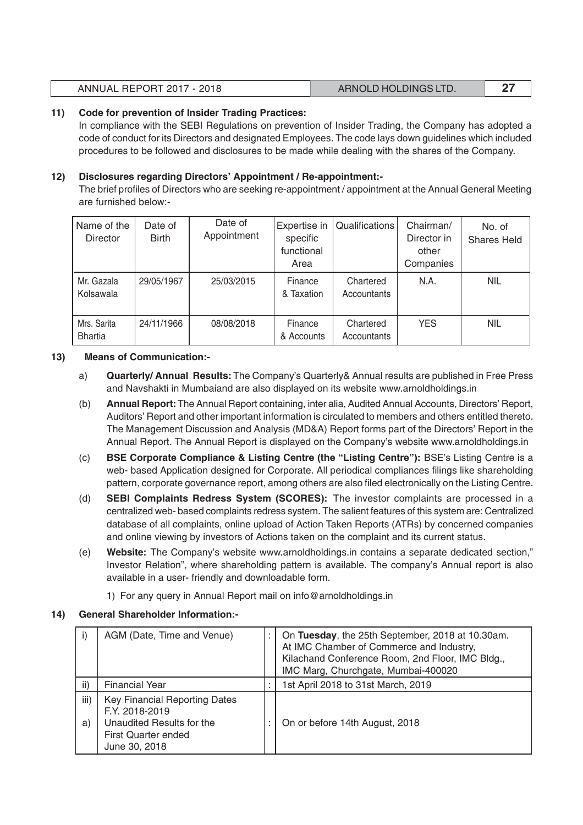| <b>ANNUAL REPORT 2017 - 2018</b> | ARNOLD HOLDINGS LTD. |  |
|----------------------------------|----------------------|--|
|----------------------------------|----------------------|--|

## 11) Code for prevention of Insider Trading Practices:

In compliance with the SEBI Regulations on prevention of Insider Trading, the Company has adopted a code of conduct for its Directors and designated Employees. The code lays down guidelines which included procedures to be followed and disclosures to be made while dealing with the shares of the Company.

## 12) Disclosures regarding Directors' Appointment / Re-appointment:-

The brief profiles of Directors who are seeking re-appointment / appointment at the Annual General Meeting are furnished below:-

| Name of the<br><b>Director</b> | Date of<br><b>Birth</b> | Date of<br>Appointment | Expertise in<br>specific<br>functional<br>Area | Qualifications           | Chairman/<br>Director in<br>other<br>Companies | No. of<br>Shares Held |
|--------------------------------|-------------------------|------------------------|------------------------------------------------|--------------------------|------------------------------------------------|-----------------------|
| Mr. Gazala<br>Kolsawala        | 29/05/1967              | 25/03/2015             | Finance<br>& Taxation                          | Chartered<br>Accountants | N.A.                                           | <b>NIL</b>            |
| Mrs. Sarita<br><b>Bhartia</b>  | 24/11/1966              | 08/08/2018             | Finance<br>& Accounts                          | Chartered<br>Accountants | <b>YES</b>                                     | <b>NIL</b>            |

#### 13) Means of Communication:-

- a) Quarterly/ Annual Results: The Company's Quarterly& Annual results are published in Free Press and Navshakti in Mumbaiand are also displayed on its website www.arnoldholdings.in
- (b) Annual Report: The Annual Report containing, inter alia, Audited Annual Accounts, Directors' Report, Auditors' Report and other important information is circulated to members and others entitled thereto. The Management Discussion and Analysis (MD&A) Report forms part of the Directors' Report in the Annual Report. The Annual Report is displayed on the Company's website www.arnoldholdings.in
- (c) BSE Corporate Compliance & Listing Centre (the "Listing Centre"): BSE's Listing Centre is a web- based Application designed for Corporate. All periodical compliances filings like shareholding pattern, corporate governance report, among others are also filed electronically on the Listing Centre.
- (d) SEBI Complaints Redress System (SCORES): The investor complaints are processed in a centralized web- based complaints redress system. The salient features of this system are: Centralized database of all complaints, online upload of Action Taken Reports (ATRs) by concerned companies and online viewing by investors of Actions taken on the complaint and its current status.
- (e) Website: The Company's website www.arnoldholdings.in contains a separate dedicated section," Investor Relation", where shareholding pattern is available. The company's Annual report is also available in a user- friendly and downloadable form.
	- 1) For any query in Annual Report mail on info@arnoldholdings.in

## 14) General Shareholder Information:-

|            | AGM (Date, Time and Venue)                                                                                           | On Tuesday, the 25th September, 2018 at 10.30am.<br>At IMC Chamber of Commerce and Industry,<br>Kilachand Conference Room, 2nd Floor, IMC Bldg.,<br>IMC Marg, Churchgate, Mumbai-400020 |
|------------|----------------------------------------------------------------------------------------------------------------------|-----------------------------------------------------------------------------------------------------------------------------------------------------------------------------------------|
| ii)        | <b>Financial Year</b>                                                                                                | 1st April 2018 to 31st March, 2019                                                                                                                                                      |
| iii)<br>a) | Key Financial Reporting Dates<br>F.Y. 2018-2019<br>Unaudited Results for the<br>First Quarter ended<br>June 30, 2018 | On or before 14th August, 2018                                                                                                                                                          |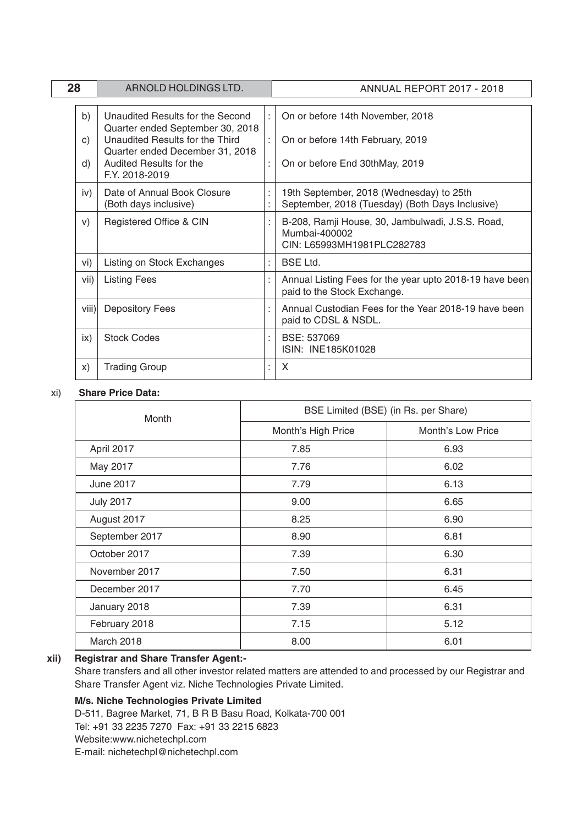| 28                       | ARNOLD HOLDINGS LTD.                                                                                                                                                                    |    | <b>ANNUAL REPORT 2017 - 2018</b>                                                                       |
|--------------------------|-----------------------------------------------------------------------------------------------------------------------------------------------------------------------------------------|----|--------------------------------------------------------------------------------------------------------|
| b)<br>$\mathbf{C}$<br>d) | Unaudited Results for the Second<br>Quarter ended September 30, 2018<br>Unaudited Results for the Third<br>Quarter ended December 31, 2018<br>Audited Results for the<br>F.Y. 2018-2019 | ÷. | On or before 14th November, 2018<br>On or before 14th February, 2019<br>On or before End 30thMay, 2019 |
| iv)                      | Date of Annual Book Closure<br>(Both days inclusive)                                                                                                                                    |    | 19th September, 2018 (Wednesday) to 25th<br>September, 2018 (Tuesday) (Both Days Inclusive)            |
| V)                       | Registered Office & CIN                                                                                                                                                                 |    | B-208, Ramji House, 30, Jambulwadi, J.S.S. Road,<br>Mumbai-400002<br>CIN: L65993MH1981PLC282783        |
| vi)                      | Listing on Stock Exchanges                                                                                                                                                              |    | <b>BSE Ltd.</b>                                                                                        |
| vii)                     | <b>Listing Fees</b>                                                                                                                                                                     |    | Annual Listing Fees for the year upto 2018-19 have been<br>paid to the Stock Exchange.                 |
| viii)                    | <b>Depository Fees</b>                                                                                                                                                                  |    | Annual Custodian Fees for the Year 2018-19 have been<br>paid to CDSL & NSDL.                           |
| $\mathsf{ix}$            | <b>Stock Codes</b>                                                                                                                                                                      |    | BSE: 537069<br>ISIN: INE185K01028                                                                      |
| X)                       | <b>Trading Group</b>                                                                                                                                                                    |    | $\times$                                                                                               |

## xi) Share Price Data:

| Month            | BSE Limited (BSE) (in Rs. per Share) |                   |  |
|------------------|--------------------------------------|-------------------|--|
|                  | Month's High Price                   | Month's Low Price |  |
| April 2017       | 7.85                                 | 6.93              |  |
| May 2017         | 7.76                                 | 6.02              |  |
| June 2017        | 7.79                                 | 6.13              |  |
| <b>July 2017</b> | 9.00                                 | 6.65              |  |
| August 2017      | 8.25                                 | 6.90              |  |
| September 2017   | 8.90                                 | 6.81              |  |
| October 2017     | 7.39                                 | 6.30              |  |
| November 2017    | 7.50                                 | 6.31              |  |
| December 2017    | 7.70                                 | 6.45              |  |
| January 2018     | 7.39                                 | 6.31              |  |
| February 2018    | 7.15                                 | 5.12              |  |
| March 2018       | 8.00                                 | 6.01              |  |

## xii) Registrar and Share Transfer Agent:-

Share transfers and all other investor related matters are attended to and processed by our Registrar and Share Transfer Agent viz. Niche Technologies Private Limited.

## M/s. Niche Technologies Private Limited

D-511, Bagree Market, 71, B R B Basu Road, Kolkata-700 001 Tel: +91 33 2235 7270 Fax: +91 33 2215 6823 Website:www.nichetechpl.com E-mail: nichetechpl@nichetechpl.com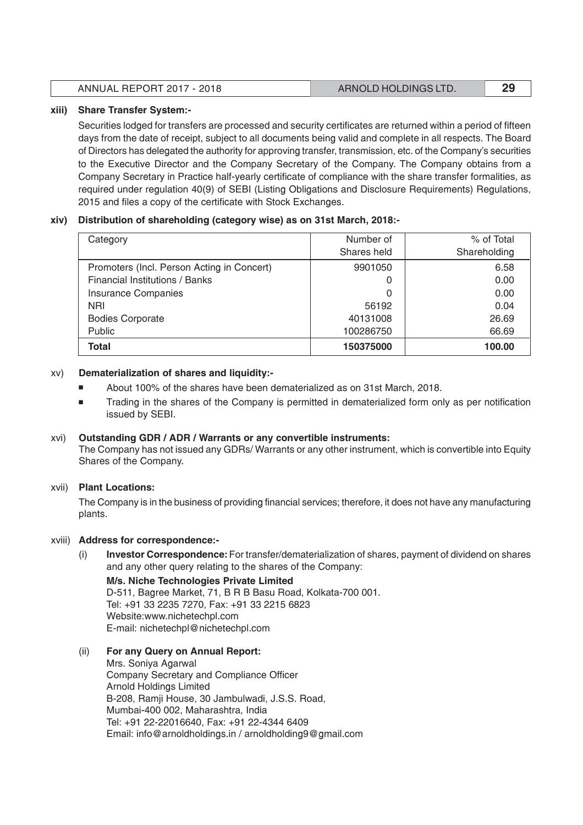| ANNUAL REPORT 2017 - 2018 | ARNOLD HOLDINGS LTD. | 29 |
|---------------------------|----------------------|----|
|---------------------------|----------------------|----|

#### xiii) Share Transfer System:-

Securities lodged for transfers are processed and security certificates are returned within a period of fifteen days from the date of receipt, subject to all documents being valid and complete in all respects. The Board of Directors has delegated the authority for approving transfer, transmission, etc. of the Company's securities to the Executive Director and the Company Secretary of the Company. The Company obtains from a Company Secretary in Practice half-yearly certificate of compliance with the share transfer formalities, as required under regulation 40(9) of SEBI (Listing Obligations and Disclosure Requirements) Regulations, 2015 and files a copy of the certificate with Stock Exchanges.

## xiv) Distribution of shareholding (category wise) as on 31st March, 2018:-

| Category                                   | Number of   | % of Total   |
|--------------------------------------------|-------------|--------------|
|                                            | Shares held | Shareholding |
| Promoters (Incl. Person Acting in Concert) | 9901050     | 6.58         |
| Financial Institutions / Banks             | 0           | 0.00         |
| <b>Insurance Companies</b>                 | 0           | 0.00         |
| <b>NRI</b>                                 | 56192       | 0.04         |
| <b>Bodies Corporate</b>                    | 40131008    | 26.69        |
| <b>Public</b>                              | 100286750   | 66.69        |
| <b>Total</b>                               | 150375000   | 100.00       |

#### xv) Dematerialization of shares and liquidity:-

- -About 100% of the shares have been dematerialized as on 31st March, 2018.
- - Trading in the shares of the Company is permitted in dematerialized form only as per notification issued by SEBI.

#### xvi) Outstanding GDR / ADR / Warrants or any convertible instruments:

The Company has not issued any GDRs/ Warrants or any other instrument, which is convertible into Equity Shares of the Company.

## xvii) Plant Locations:

The Company is in the business of providing financial services; therefore, it does not have any manufacturing plants.

#### xviii) Address for correspondence:-

(i) Investor Correspondence: For transfer/dematerialization of shares, payment of dividend on shares and any other query relating to the shares of the Company:

M/s. Niche Technologies Private Limited D-511, Bagree Market, 71, B R B Basu Road, Kolkata-700 001. Tel: +91 33 2235 7270, Fax: +91 33 2215 6823 Website:www.nichetechpl.com E-mail: nichetechpl@nichetechpl.com

## (ii) For any Query on Annual Report: Mrs. Soniya Agarwal Company Secretary and Compliance Officer Arnold Holdings Limited

B-208, Ramji House, 30 Jambulwadi, J.S.S. Road, Mumbai-400 002, Maharashtra, India Tel: +91 22-22016640, Fax: +91 22-4344 6409 Email: info@arnoldholdings.in / arnoldholding9@gmail.com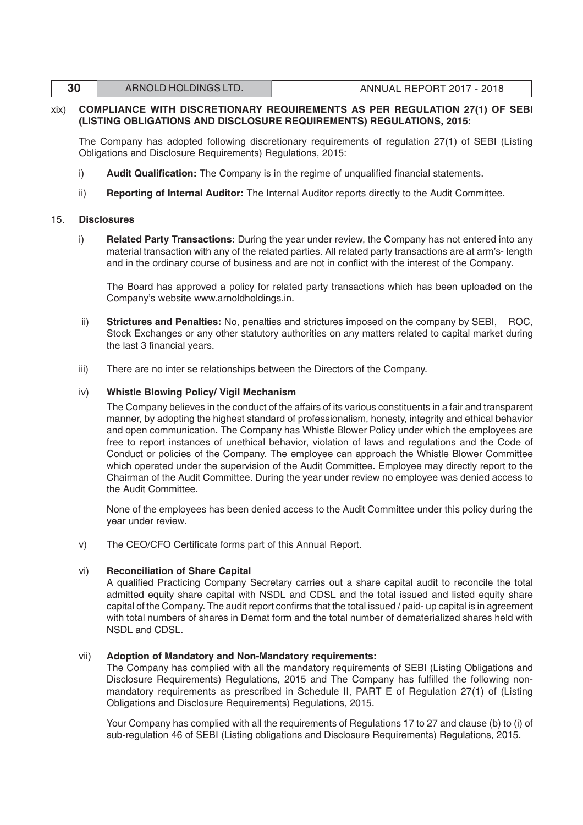| 30 | ARNOLD HOLDINGS LTD. | <b>ANNUAL REPORT 2017 - 2018</b> |
|----|----------------------|----------------------------------|
|----|----------------------|----------------------------------|

#### xix) COMPLIANCE WITH DISCRETIONARY REQUIREMENTS AS PER REGULATION 27(1) OF SEBI (LISTING OBLIGATIONS AND DISCLOSURE REQUIREMENTS) REGULATIONS, 2015:

The Company has adopted following discretionary requirements of regulation 27(1) of SEBI (Listing Obligations and Disclosure Requirements) Regulations, 2015:

- i) **Audit Qualification:** The Company is in the regime of unqualified financial statements.
- ii) Reporting of Internal Auditor: The Internal Auditor reports directly to the Audit Committee.

#### 15. Disclosures

i) Related Party Transactions: During the year under review, the Company has not entered into any material transaction with any of the related parties. All related party transactions are at arm's- length and in the ordinary course of business and are not in conflict with the interest of the Company.

The Board has approved a policy for related party transactions which has been uploaded on the Company's website www.arnoldholdings.in.

- ii) Strictures and Penalties: No, penalties and strictures imposed on the company by SEBI, ROC, Stock Exchanges or any other statutory authorities on any matters related to capital market during the last 3 financial years.
- iii) There are no inter se relationships between the Directors of the Company.

#### iv) Whistle Blowing Policy/ Vigil Mechanism

The Company believes in the conduct of the affairs of its various constituents in a fair and transparent manner, by adopting the highest standard of professionalism, honesty, integrity and ethical behavior and open communication. The Company has Whistle Blower Policy under which the employees are free to report instances of unethical behavior, violation of laws and regulations and the Code of Conduct or policies of the Company. The employee can approach the Whistle Blower Committee which operated under the supervision of the Audit Committee. Employee may directly report to the Chairman of the Audit Committee. During the year under review no employee was denied access to the Audit Committee.

None of the employees has been denied access to the Audit Committee under this policy during the year under review.

v) The CEO/CFO Certificate forms part of this Annual Report.

#### vi) Reconciliation of Share Capital

A qualified Practicing Company Secretary carries out a share capital audit to reconcile the total admitted equity share capital with NSDL and CDSL and the total issued and listed equity share capital of the Company. The audit report confirms that the total issued / paid- up capital is in agreement with total numbers of shares in Demat form and the total number of dematerialized shares held with NSDL and CDSL.

#### vii) Adoption of Mandatory and Non-Mandatory requirements:

The Company has complied with all the mandatory requirements of SEBI (Listing Obligations and Disclosure Requirements) Regulations, 2015 and The Company has fulfilled the following nonmandatory requirements as prescribed in Schedule II, PART E of Regulation 27(1) of (Listing Obligations and Disclosure Requirements) Regulations, 2015.

Your Company has complied with all the requirements of Regulations 17 to 27 and clause (b) to (i) of sub-regulation 46 of SEBI (Listing obligations and Disclosure Requirements) Regulations, 2015.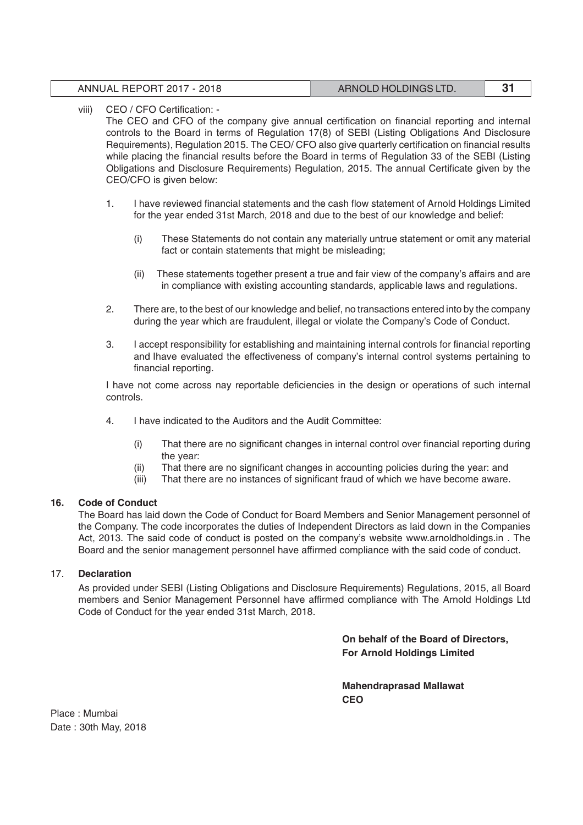| <b>ANNUAL REPORT 2017 - 2018</b> | ARNOLD HOLDINGS LTD. | n-1 |
|----------------------------------|----------------------|-----|
|----------------------------------|----------------------|-----|

## viii) CEO / CFO Certification: -

The CEO and CFO of the company give annual certification on financial reporting and internal controls to the Board in terms of Regulation 17(8) of SEBI (Listing Obligations And Disclosure Requirements), Regulation 2015. The CEO/ CFO also give quarterly certification on financial results while placing the financial results before the Board in terms of Regulation 33 of the SEBI (Listing Obligations and Disclosure Requirements) Regulation, 2015. The annual Certificate given by the CEO/CFO is given below:

- 1. I have reviewed financial statements and the cash flow statement of Arnold Holdings Limited for the year ended 31st March, 2018 and due to the best of our knowledge and belief:
	- (i) These Statements do not contain any materially untrue statement or omit any material fact or contain statements that might be misleading;
	- (ii) These statements together present a true and fair view of the company's affairs and are in compliance with existing accounting standards, applicable laws and regulations.
- 2. There are, to the best of our knowledge and belief, no transactions entered into by the company during the year which are fraudulent, illegal or violate the Company's Code of Conduct.
- 3. I accept responsibility for establishing and maintaining internal controls for financial reporting and Ihave evaluated the effectiveness of company's internal control systems pertaining to financial reporting.

I have not come across nay reportable deficiencies in the design or operations of such internal controls.

- 4. I have indicated to the Auditors and the Audit Committee:
	- (i) That there are no significant changes in internal control over financial reporting during the year:
	- (ii) That there are no significant changes in accounting policies during the year: and
	- (iii) That there are no instances of significant fraud of which we have become aware.

## 16. Code of Conduct

The Board has laid down the Code of Conduct for Board Members and Senior Management personnel of the Company. The code incorporates the duties of Independent Directors as laid down in the Companies Act, 2013. The said code of conduct is posted on the company's website www.arnoldholdings.in . The Board and the senior management personnel have affirmed compliance with the said code of conduct.

## 17. Declaration

As provided under SEBI (Listing Obligations and Disclosure Requirements) Regulations, 2015, all Board members and Senior Management Personnel have affirmed compliance with The Arnold Holdings Ltd Code of Conduct for the year ended 31st March, 2018.

> On behalf of the Board of Directors, For Arnold Holdings Limited

Mahendraprasad Mallawat CEO

Place : Mumbai Date : 30th May, 2018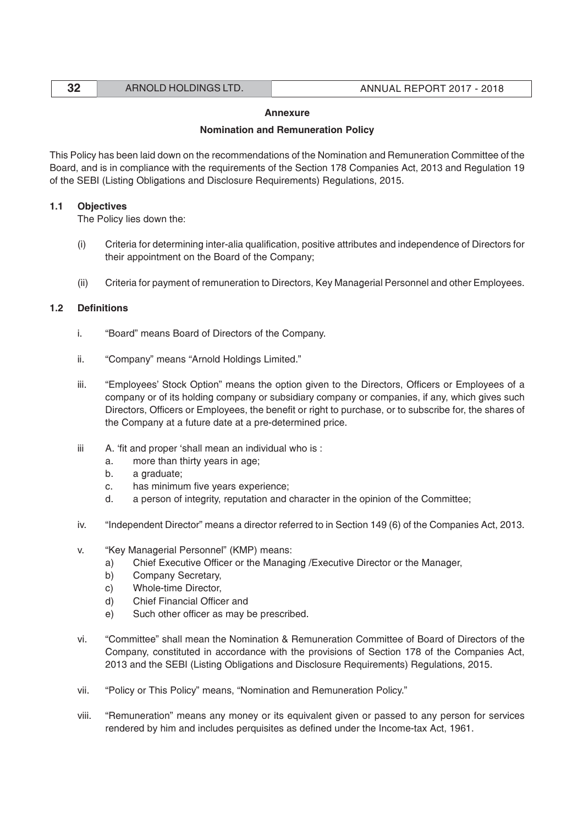| חה<br>J۷ | ARNOLD HOLDINGS LTD. | <b>ANNUAL REPORT 2017 - 2018</b> |
|----------|----------------------|----------------------------------|
|          |                      |                                  |

## Annexure

## Nomination and Remuneration Policy

This Policy has been laid down on the recommendations of the Nomination and Remuneration Committee of the Board, and is in compliance with the requirements of the Section 178 Companies Act, 2013 and Regulation 19 of the SEBI (Listing Obligations and Disclosure Requirements) Regulations, 2015.

## 1.1 Objectives

The Policy lies down the:

- (i) Criteria for determining inter-alia qualification, positive attributes and independence of Directors for their appointment on the Board of the Company;
- (ii) Criteria for payment of remuneration to Directors, Key Managerial Personnel and other Employees.

## 1.2 Definitions

- i. "Board" means Board of Directors of the Company.
- ii. "Company" means "Arnold Holdings Limited."
- iii. "Employees' Stock Option" means the option given to the Directors, Officers or Employees of a company or of its holding company or subsidiary company or companies, if any, which gives such Directors, Officers or Employees, the benefit or right to purchase, or to subscribe for, the shares of the Company at a future date at a pre-determined price.
- iii A. 'fit and proper 'shall mean an individual who is :
	- a. more than thirty years in age;
	- b. a graduate;
	- c. has minimum five years experience;
	- d. a person of integrity, reputation and character in the opinion of the Committee;
- iv. "Independent Director" means a director referred to in Section 149 (6) of the Companies Act, 2013.
- v. "Key Managerial Personnel" (KMP) means:
	- a) Chief Executive Officer or the Managing /Executive Director or the Manager,
	- b) Company Secretary,
	- c) Whole-time Director,
	- d) Chief Financial Officer and
	- e) Such other officer as may be prescribed.
- vi. "Committee" shall mean the Nomination & Remuneration Committee of Board of Directors of the Company, constituted in accordance with the provisions of Section 178 of the Companies Act, 2013 and the SEBI (Listing Obligations and Disclosure Requirements) Regulations, 2015.
- vii. "Policy or This Policy" means, "Nomination and Remuneration Policy."
- viii. "Remuneration" means any money or its equivalent given or passed to any person for services rendered by him and includes perquisites as defined under the Income-tax Act, 1961.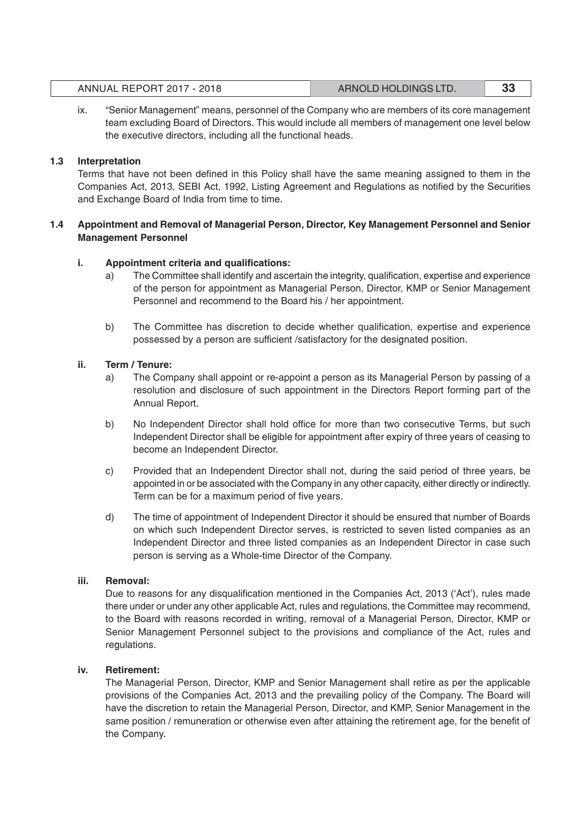| <b>ANNUAL REPORT 2017 - 2018</b> | ARNOLD HOLDINGS LTD. | 33 |
|----------------------------------|----------------------|----|
|----------------------------------|----------------------|----|

ix. "Senior Management" means, personnel of the Company who are members of its core management team excluding Board of Directors. This would include all members of management one level below the executive directors, including all the functional heads.

## 1.3 Interpretation

Terms that have not been defined in this Policy shall have the same meaning assigned to them in the Companies Act, 2013, SEBI Act, 1992, Listing Agreement and Regulations as notified by the Securities and Exchange Board of India from time to time.

## 1.4 Appointment and Removal of Managerial Person, Director, Key Management Personnel and Senior Management Personnel

## i. Appointment criteria and qualifications:

- a) The Committee shall identify and ascertain the integrity, qualification, expertise and experience of the person for appointment as Managerial Person, Director, KMP or Senior Management Personnel and recommend to the Board his / her appointment.
- b) The Committee has discretion to decide whether qualification, expertise and experience possessed by a person are sufficient /satisfactory for the designated position.

#### ii. Term / Tenure:

- a) The Company shall appoint or re-appoint a person as its Managerial Person by passing of a resolution and disclosure of such appointment in the Directors Report forming part of the Annual Report.
- b) No Independent Director shall hold office for more than two consecutive Terms, but such Independent Director shall be eligible for appointment after expiry of three years of ceasing to become an Independent Director.
- c) Provided that an Independent Director shall not, during the said period of three years, be appointed in or be associated with the Company in any other capacity, either directly or indirectly. Term can be for a maximum period of five years.
- d) The time of appointment of Independent Director it should be ensured that number of Boards on which such Independent Director serves, is restricted to seven listed companies as an Independent Director and three listed companies as an Independent Director in case such person is serving as a Whole-time Director of the Company.

#### iii. Removal:

Due to reasons for any disqualification mentioned in the Companies Act, 2013 ('Act'), rules made there under or under any other applicable Act, rules and regulations, the Committee may recommend, to the Board with reasons recorded in writing, removal of a Managerial Person, Director, KMP or Senior Management Personnel subject to the provisions and compliance of the Act, rules and regulations.

## iv. Retirement:

The Managerial Person, Director, KMP and Senior Management shall retire as per the applicable provisions of the Companies Act, 2013 and the prevailing policy of the Company. The Board will have the discretion to retain the Managerial Person, Director, and KMP, Senior Management in the same position / remuneration or otherwise even after attaining the retirement age, for the benefit of the Company.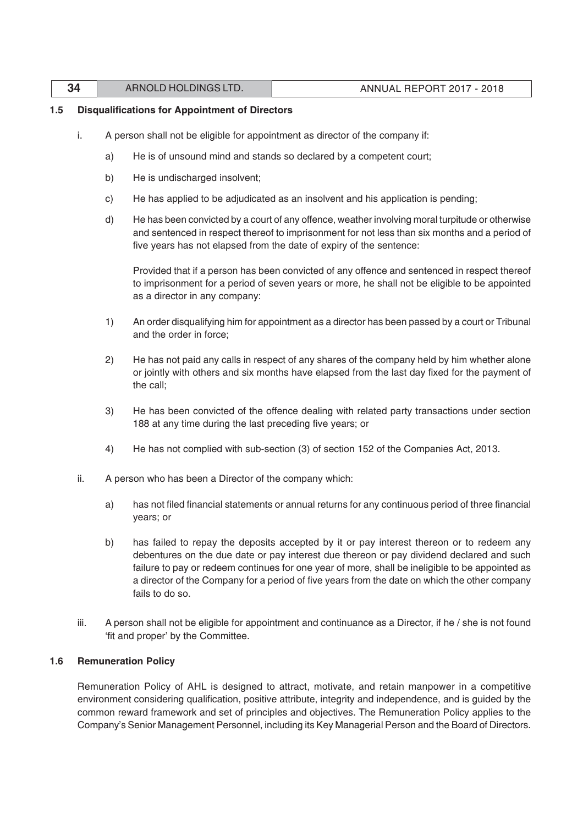#### **34** ARNOLD HOLDINGS LTD. ANNUAL REPORT 2017 - 2018

#### 1.5 Disqualifications for Appointment of Directors

- i. A person shall not be eligible for appointment as director of the company if:
	- a) He is of unsound mind and stands so declared by a competent court;
	- b) He is undischarged insolvent;
	- c) He has applied to be adjudicated as an insolvent and his application is pending;
	- d) He has been convicted by a court of any offence, weather involving moral turpitude or otherwise and sentenced in respect thereof to imprisonment for not less than six months and a period of five years has not elapsed from the date of expiry of the sentence:

Provided that if a person has been convicted of any offence and sentenced in respect thereof to imprisonment for a period of seven years or more, he shall not be eligible to be appointed as a director in any company:

- 1) An order disqualifying him for appointment as a director has been passed by a court or Tribunal and the order in force;
- 2) He has not paid any calls in respect of any shares of the company held by him whether alone or jointly with others and six months have elapsed from the last day fixed for the payment of the call;
- 3) He has been convicted of the offence dealing with related party transactions under section 188 at any time during the last preceding five years; or
- 4) He has not complied with sub-section (3) of section 152 of the Companies Act, 2013.
- ii. A person who has been a Director of the company which:
	- a) has not filed financial statements or annual returns for any continuous period of three financial years; or
	- b) has failed to repay the deposits accepted by it or pay interest thereon or to redeem any debentures on the due date or pay interest due thereon or pay dividend declared and such failure to pay or redeem continues for one year of more, shall be ineligible to be appointed as a director of the Company for a period of five years from the date on which the other company fails to do so.
- iii. A person shall not be eligible for appointment and continuance as a Director, if he / she is not found 'fit and proper' by the Committee.

#### 1.6 Remuneration Policy

Remuneration Policy of AHL is designed to attract, motivate, and retain manpower in a competitive environment considering qualification, positive attribute, integrity and independence, and is guided by the common reward framework and set of principles and objectives. The Remuneration Policy applies to the Company's Senior Management Personnel, including its Key Managerial Person and the Board of Directors.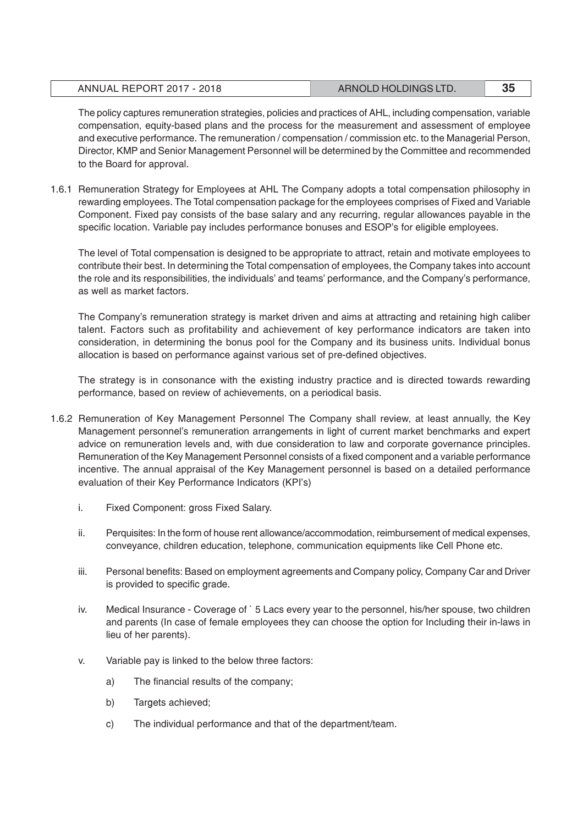| <b>ANNUAL REPORT 2017 - 2018</b> | ARNOLD HOLDINGS LTD. | Ju |
|----------------------------------|----------------------|----|
|----------------------------------|----------------------|----|

The policy captures remuneration strategies, policies and practices of AHL, including compensation, variable compensation, equity-based plans and the process for the measurement and assessment of employee and executive performance. The remuneration / compensation / commission etc. to the Managerial Person, Director, KMP and Senior Management Personnel will be determined by the Committee and recommended to the Board for approval.

1.6.1 Remuneration Strategy for Employees at AHL The Company adopts a total compensation philosophy in rewarding employees. The Total compensation package for the employees comprises of Fixed and Variable Component. Fixed pay consists of the base salary and any recurring, regular allowances payable in the specific location. Variable pay includes performance bonuses and ESOP's for eligible employees.

The level of Total compensation is designed to be appropriate to attract, retain and motivate employees to contribute their best. In determining the Total compensation of employees, the Company takes into account the role and its responsibilities, the individuals' and teams' performance, and the Company's performance, as well as market factors.

The Company's remuneration strategy is market driven and aims at attracting and retaining high caliber talent. Factors such as profitability and achievement of key performance indicators are taken into consideration, in determining the bonus pool for the Company and its business units. Individual bonus allocation is based on performance against various set of pre-defined objectives.

The strategy is in consonance with the existing industry practice and is directed towards rewarding performance, based on review of achievements, on a periodical basis.

- 1.6.2 Remuneration of Key Management Personnel The Company shall review, at least annually, the Key Management personnel's remuneration arrangements in light of current market benchmarks and expert advice on remuneration levels and, with due consideration to law and corporate governance principles. Remuneration of the Key Management Personnel consists of a fixed component and a variable performance incentive. The annual appraisal of the Key Management personnel is based on a detailed performance evaluation of their Key Performance Indicators (KPI's)
	- i. Fixed Component: gross Fixed Salary.
	- ii. Perquisites: In the form of house rent allowance/accommodation, reimbursement of medical expenses, conveyance, children education, telephone, communication equipments like Cell Phone etc.
	- iii. Personal benefits: Based on employment agreements and Company policy, Company Car and Driver is provided to specific grade.
	- iv. Medical Insurance Coverage of ` 5 Lacs every year to the personnel, his/her spouse, two children and parents (In case of female employees they can choose the option for Including their in-laws in lieu of her parents).
	- v. Variable pay is linked to the below three factors:
		- a) The financial results of the company;
		- b) Targets achieved;
		- c) The individual performance and that of the department/team.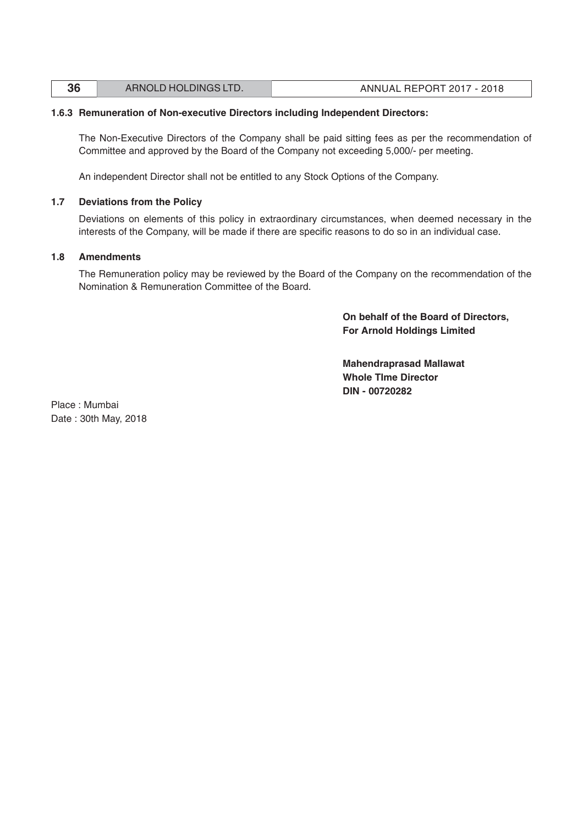| 36 | ARNOLD HOLDINGS LTD. | <b>ANNUAL REPORT 2017 - 2018</b> |
|----|----------------------|----------------------------------|
|----|----------------------|----------------------------------|

#### 1.6.3 Remuneration of Non-executive Directors including Independent Directors:

The Non-Executive Directors of the Company shall be paid sitting fees as per the recommendation of Committee and approved by the Board of the Company not exceeding 5,000/- per meeting.

An independent Director shall not be entitled to any Stock Options of the Company.

#### 1.7 Deviations from the Policy

Deviations on elements of this policy in extraordinary circumstances, when deemed necessary in the interests of the Company, will be made if there are specific reasons to do so in an individual case.

#### 1.8 Amendments

The Remuneration policy may be reviewed by the Board of the Company on the recommendation of the Nomination & Remuneration Committee of the Board.

> On behalf of the Board of Directors, For Arnold Holdings Limited

Mahendraprasad Mallawat Whole TIme Director DIN - 00720282

Place : Mumbai Date : 30th May, 2018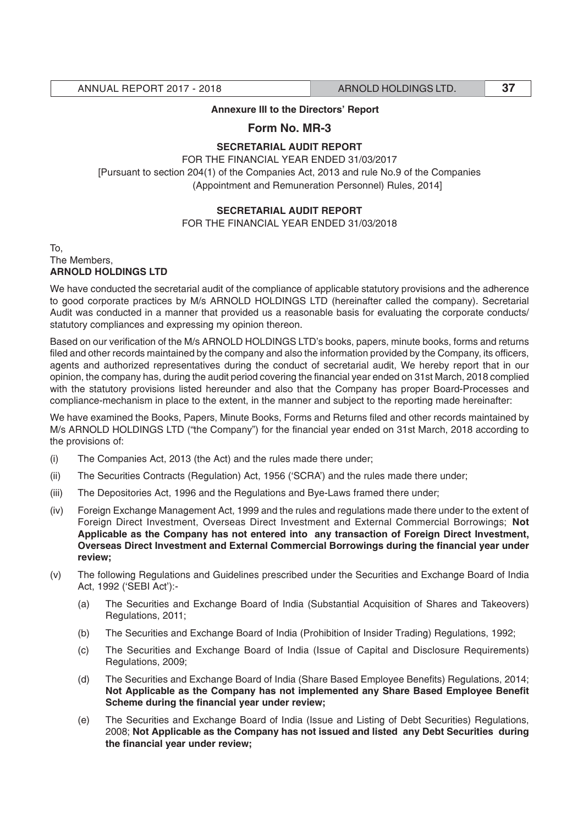#### Annexure III to the Directors' Report

# Form No. MR-3

#### SECRETARIAL AUDIT REPORT

FOR THE FINANCIAL YEAR ENDED 31/03/2017 [Pursuant to section 204(1) of the Companies Act, 2013 and rule No.9 of the Companies (Appointment and Remuneration Personnel) Rules, 2014]

### SECRETARIAL AUDIT REPORT

FOR THE FINANCIAL YEAR ENDED 31/03/2018

To, The Members, ARNOLD HOLDINGS LTD

We have conducted the secretarial audit of the compliance of applicable statutory provisions and the adherence to good corporate practices by M/s ARNOLD HOLDINGS LTD (hereinafter called the company). Secretarial Audit was conducted in a manner that provided us a reasonable basis for evaluating the corporate conducts/ statutory compliances and expressing my opinion thereon.

Based on our verification of the M/s ARNOLD HOLDINGS LTD's books, papers, minute books, forms and returns filed and other records maintained by the company and also the information provided by the Company, its officers, agents and authorized representatives during the conduct of secretarial audit, We hereby report that in our opinion, the company has, during the audit period covering the financial year ended on 31st March, 2018 complied with the statutory provisions listed hereunder and also that the Company has proper Board-Processes and compliance-mechanism in place to the extent, in the manner and subject to the reporting made hereinafter:

We have examined the Books, Papers, Minute Books, Forms and Returns filed and other records maintained by M/s ARNOLD HOLDINGS LTD ("the Company") for the financial year ended on 31st March, 2018 according to the provisions of:

- (i) The Companies Act, 2013 (the Act) and the rules made there under;
- (ii) The Securities Contracts (Regulation) Act, 1956 ('SCRA') and the rules made there under;
- (iii) The Depositories Act, 1996 and the Regulations and Bye-Laws framed there under;
- (iv) Foreign Exchange Management Act, 1999 and the rules and regulations made there under to the extent of Foreign Direct Investment, Overseas Direct Investment and External Commercial Borrowings; Not Applicable as the Company has not entered into any transaction of Foreign Direct Investment, Overseas Direct Investment and External Commercial Borrowings during the financial year under review;
- (v) The following Regulations and Guidelines prescribed under the Securities and Exchange Board of India Act, 1992 ('SEBI Act'):-
	- (a) The Securities and Exchange Board of India (Substantial Acquisition of Shares and Takeovers) Regulations, 2011;
	- (b) The Securities and Exchange Board of India (Prohibition of Insider Trading) Regulations, 1992;
	- (c) The Securities and Exchange Board of India (Issue of Capital and Disclosure Requirements) Regulations, 2009;
	- (d) The Securities and Exchange Board of India (Share Based Employee Benefits) Regulations, 2014; Not Applicable as the Company has not implemented any Share Based Employee Benefit Scheme during the financial year under review;
	- (e) The Securities and Exchange Board of India (Issue and Listing of Debt Securities) Regulations, 2008; Not Applicable as the Company has not issued and listed any Debt Securities during the financial year under review;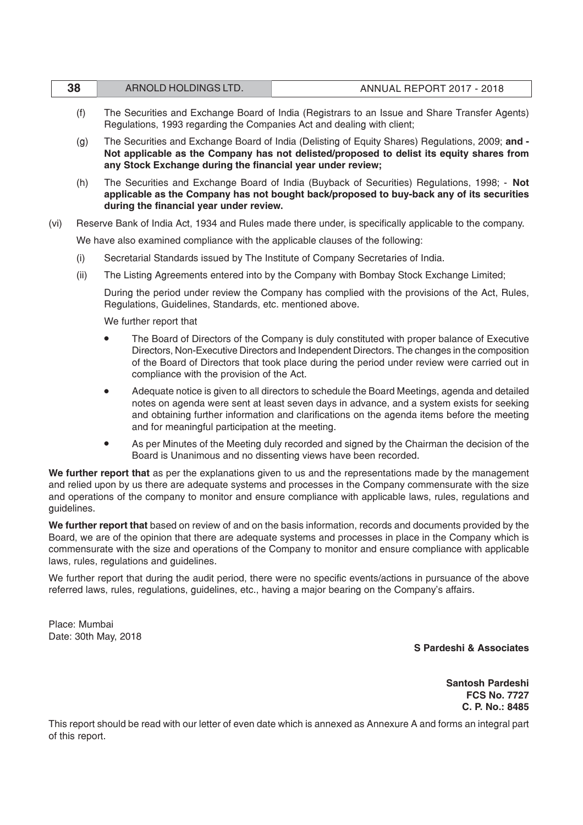| oa             |                          |                          | ARNOLD HOLDINGS LTD. |  |  |  |  |  | <b>ANNUAL REPORT 2017 - 2018</b> |   |  |  |  |
|----------------|--------------------------|--------------------------|----------------------|--|--|--|--|--|----------------------------------|---|--|--|--|
| $\overline{a}$ | $\overline{\phantom{a}}$ | $\overline{\phantom{a}}$ | . .                  |  |  |  |  |  |                                  | . |  |  |  |

- (f) The Securities and Exchange Board of India (Registrars to an Issue and Share Transfer Agents) Regulations, 1993 regarding the Companies Act and dealing with client;
- (g) The Securities and Exchange Board of India (Delisting of Equity Shares) Regulations, 2009; and -Not applicable as the Company has not delisted/proposed to delist its equity shares from any Stock Exchange during the financial year under review;
- (h) The Securities and Exchange Board of India (Buyback of Securities) Regulations, 1998; Not applicable as the Company has not bought back/proposed to buy-back any of its securities during the financial year under review.
- (vi) Reserve Bank of India Act, 1934 and Rules made there under, is specifically applicable to the company.

We have also examined compliance with the applicable clauses of the following:

- (i) Secretarial Standards issued by The Institute of Company Secretaries of India.
- (ii) The Listing Agreements entered into by the Company with Bombay Stock Exchange Limited;

During the period under review the Company has complied with the provisions of the Act, Rules, Regulations, Guidelines, Standards, etc. mentioned above.

We further report that

- The Board of Directors of the Company is duly constituted with proper balance of Executive Directors, Non-Executive Directors and Independent Directors. The changes in the composition of the Board of Directors that took place during the period under review were carried out in compliance with the provision of the Act.
- Adequate notice is given to all directors to schedule the Board Meetings, agenda and detailed notes on agenda were sent at least seven days in advance, and a system exists for seeking and obtaining further information and clarifications on the agenda items before the meeting and for meaningful participation at the meeting.
- As per Minutes of the Meeting duly recorded and signed by the Chairman the decision of the Board is Unanimous and no dissenting views have been recorded.

We further report that as per the explanations given to us and the representations made by the management and relied upon by us there are adequate systems and processes in the Company commensurate with the size and operations of the company to monitor and ensure compliance with applicable laws, rules, regulations and guidelines.

We further report that based on review of and on the basis information, records and documents provided by the Board, we are of the opinion that there are adequate systems and processes in place in the Company which is commensurate with the size and operations of the Company to monitor and ensure compliance with applicable laws, rules, regulations and guidelines.

We further report that during the audit period, there were no specific events/actions in pursuance of the above referred laws, rules, regulations, guidelines, etc., having a major bearing on the Company's affairs.

Place: Mumbai Date: 30th May, 2018

S Pardeshi & Associates

Santosh Pardeshi FCS No. 7727 C. P. No.: 8485

This report should be read with our letter of even date which is annexed as Annexure A and forms an integral part of this report.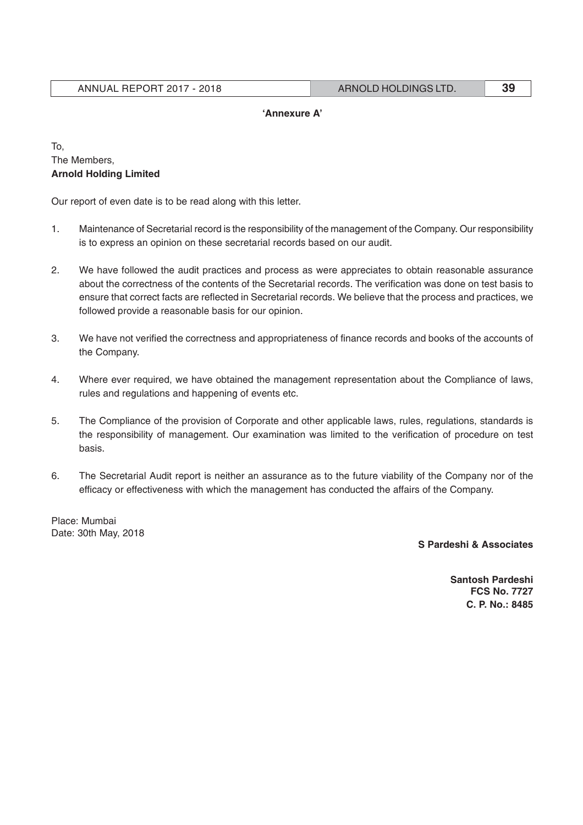#### 'Annexure A'

To, The Members, Arnold Holding Limited

Our report of even date is to be read along with this letter.

- 1. Maintenance of Secretarial record is the responsibility of the management of the Company. Our responsibility is to express an opinion on these secretarial records based on our audit.
- 2. We have followed the audit practices and process as were appreciates to obtain reasonable assurance about the correctness of the contents of the Secretarial records. The verification was done on test basis to ensure that correct facts are reflected in Secretarial records. We believe that the process and practices, we followed provide a reasonable basis for our opinion.
- 3. We have not verified the correctness and appropriateness of finance records and books of the accounts of the Company.
- 4. Where ever required, we have obtained the management representation about the Compliance of laws, rules and regulations and happening of events etc.
- 5. The Compliance of the provision of Corporate and other applicable laws, rules, regulations, standards is the responsibility of management. Our examination was limited to the verification of procedure on test basis.
- 6. The Secretarial Audit report is neither an assurance as to the future viability of the Company nor of the efficacy or effectiveness with which the management has conducted the affairs of the Company.

Place: Mumbai Date: 30th May, 2018

S Pardeshi & Associates

Santosh Pardeshi FCS No. 7727 C. P. No.: 8485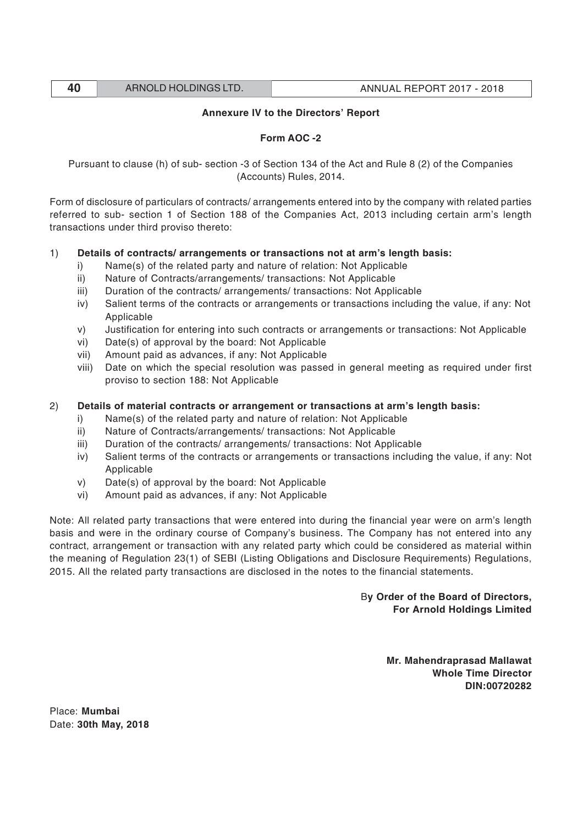| 40 | ARNOLD HOLDINGS LTD. | ANNUAL REPORT 2017<br>2018 |
|----|----------------------|----------------------------|
|    |                      |                            |

# Annexure IV to the Directors' Report

### Form AOC -2

Pursuant to clause (h) of sub- section -3 of Section 134 of the Act and Rule 8 (2) of the Companies (Accounts) Rules, 2014.

Form of disclosure of particulars of contracts/ arrangements entered into by the company with related parties referred to sub- section 1 of Section 188 of the Companies Act, 2013 including certain arm's length transactions under third proviso thereto:

# 1) Details of contracts/ arrangements or transactions not at arm's length basis:

- i) Name(s) of the related party and nature of relation: Not Applicable
- ii) Nature of Contracts/arrangements/ transactions: Not Applicable
- iii) Duration of the contracts/ arrangements/ transactions: Not Applicable
- iv) Salient terms of the contracts or arrangements or transactions including the value, if any: Not Applicable
- v) Justification for entering into such contracts or arrangements or transactions: Not Applicable
- vi) Date(s) of approval by the board: Not Applicable
- vii) Amount paid as advances, if any: Not Applicable
- viii) Date on which the special resolution was passed in general meeting as required under first proviso to section 188: Not Applicable

### 2) Details of material contracts or arrangement or transactions at arm's length basis:

- i) Name(s) of the related party and nature of relation: Not Applicable
- ii) Nature of Contracts/arrangements/ transactions: Not Applicable
- iii) Duration of the contracts/ arrangements/ transactions: Not Applicable
- iv) Salient terms of the contracts or arrangements or transactions including the value, if any: Not Applicable
- v) Date(s) of approval by the board: Not Applicable
- vi) Amount paid as advances, if any: Not Applicable

Note: All related party transactions that were entered into during the financial year were on arm's length basis and were in the ordinary course of Company's business. The Company has not entered into any contract, arrangement or transaction with any related party which could be considered as material within the meaning of Regulation 23(1) of SEBI (Listing Obligations and Disclosure Requirements) Regulations, 2015. All the related party transactions are disclosed in the notes to the financial statements.

# By Order of the Board of Directors, For Arnold Holdings Limited

 Mr. Mahendraprasad Mallawat Whole Time Director DIN:00720282

Place: Mumbai Date: 30th May, 2018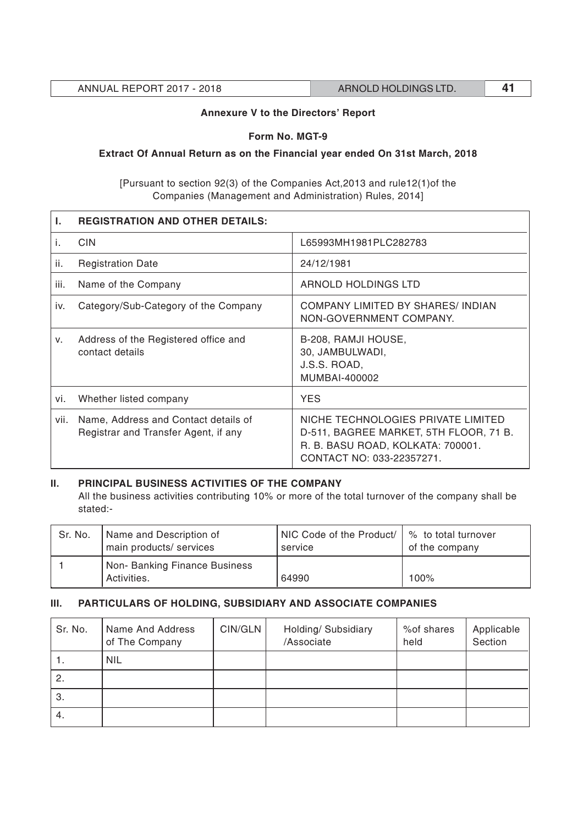| <b>ANNUAL REPORT 2017 - 2018</b> | ARNOLD HOLDINGS LTD. |  |
|----------------------------------|----------------------|--|
|----------------------------------|----------------------|--|

### Annexure V to the Directors' Report

### Form No. MGT-9

#### Extract Of Annual Return as on the Financial year ended On 31st March, 2018

[Pursuant to section 92(3) of the Companies Act,2013 and rule12(1)of the Companies (Management and Administration) Rules, 2014]

| Τ.   | <b>REGISTRATION AND OTHER DETAILS:</b>                                       |                                                                                                                                                |
|------|------------------------------------------------------------------------------|------------------------------------------------------------------------------------------------------------------------------------------------|
| İ.   | <b>CIN</b>                                                                   | L65993MH1981PLC282783                                                                                                                          |
| ii.  | <b>Registration Date</b>                                                     | 24/12/1981                                                                                                                                     |
| iii. | Name of the Company                                                          | ARNOLD HOLDINGS LTD                                                                                                                            |
| iv.  | Category/Sub-Category of the Company                                         | COMPANY LIMITED BY SHARES/ INDIAN<br>NON-GOVERNMENT COMPANY.                                                                                   |
| V.   | Address of the Registered office and<br>contact details                      | B-208, RAMJI HOUSE,<br>30, JAMBULWADI,<br>J.S.S. ROAD,<br>MUMBAI-400002                                                                        |
| vi.  | Whether listed company                                                       | <b>YES</b>                                                                                                                                     |
| vii. | Name, Address and Contact details of<br>Registrar and Transfer Agent, if any | NICHE TECHNOLOGIES PRIVATE LIMITED<br>D-511, BAGREE MARKET, 5TH FLOOR, 71 B.<br>R. B. BASU ROAD, KOLKATA: 700001.<br>CONTACT NO: 033-22357271. |

# II. PRINCIPAL BUSINESS ACTIVITIES OF THE COMPANY

All the business activities contributing 10% or more of the total turnover of the company shall be stated:-

| Sr. No. | Name and Description of<br>main products/ services | NIC Code of the Product/<br>service | │ % to total turnover<br>of the company |
|---------|----------------------------------------------------|-------------------------------------|-----------------------------------------|
|         | Non-Banking Finance Business<br>Activities.        | 64990                               | 100%                                    |
|         |                                                    |                                     |                                         |

#### III. PARTICULARS OF HOLDING, SUBSIDIARY AND ASSOCIATE COMPANIES

| Sr. No. | Name And Address<br>of The Company | CIN/GLN | Holding/ Subsidiary<br>/Associate | %of shares<br>held | Applicable<br>Section |
|---------|------------------------------------|---------|-----------------------------------|--------------------|-----------------------|
|         | <b>NIL</b>                         |         |                                   |                    |                       |
|         |                                    |         |                                   |                    |                       |
| -3.     |                                    |         |                                   |                    |                       |
| -4.     |                                    |         |                                   |                    |                       |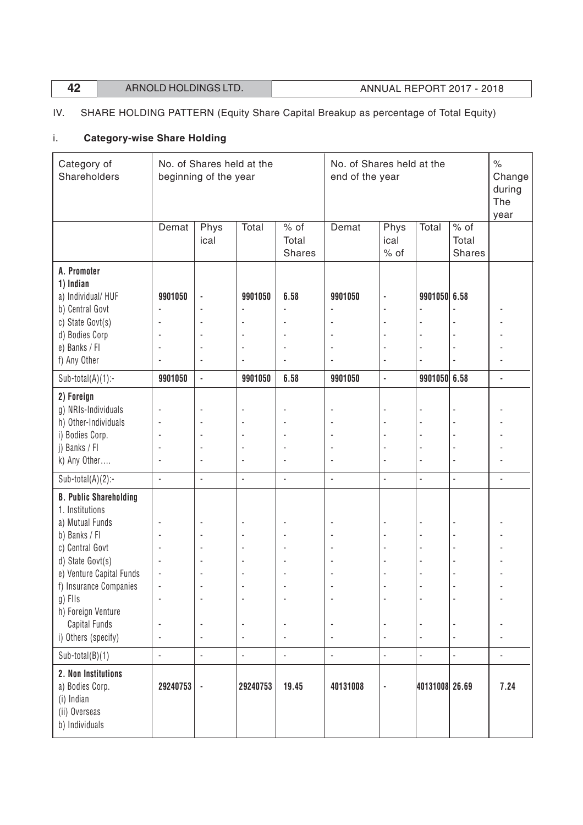| 42 | ARNOLD HOLDINGS LTD. | <b>ANNUAL REPORT 2017 - 2018</b> |
|----|----------------------|----------------------------------|
|----|----------------------|----------------------------------|

# IV. SHARE HOLDING PATTERN (Equity Share Capital Breakup as percentage of Total Equity)

# i. Category-wise Share Holding

| Category of<br>Shareholders                                                             |                                | No. of Shares held at the<br>beginning of the year |                                                      |                                            | No. of Shares held at the<br>end of the year |                                  |                          |                                            | $\%$<br>Change<br>during<br>The<br>year |
|-----------------------------------------------------------------------------------------|--------------------------------|----------------------------------------------------|------------------------------------------------------|--------------------------------------------|----------------------------------------------|----------------------------------|--------------------------|--------------------------------------------|-----------------------------------------|
|                                                                                         | Demat                          | Phys<br>ical                                       | Total                                                | $\frac{1}{6}$ of<br>Total<br><b>Shares</b> | Demat                                        | Phys<br>ical<br>$%$ of           | Total                    | $\frac{1}{6}$ of<br>Total<br><b>Shares</b> |                                         |
| A. Promoter<br>1) Indian                                                                |                                |                                                    |                                                      |                                            |                                              |                                  |                          |                                            |                                         |
| a) Individual/HUF<br>b) Central Govt                                                    | 9901050                        | $\blacksquare$<br>ä,                               | 9901050<br>÷,                                        | 6.58<br>ä,                                 | 9901050<br>ä,                                | ٠<br>ä,                          | 9901050 6.58             |                                            |                                         |
| c) State Govt(s)                                                                        |                                |                                                    | ×                                                    |                                            |                                              | ×,                               |                          |                                            |                                         |
| d) Bodies Corp                                                                          |                                |                                                    | ٠                                                    |                                            |                                              | ٠                                |                          |                                            |                                         |
| e) Banks / Fl                                                                           |                                |                                                    | Ĭ.                                                   |                                            |                                              | ٠                                | ä,                       | Ĭ.                                         |                                         |
| f) Any Other                                                                            |                                | Ĭ.                                                 | Ĭ.                                                   |                                            |                                              | $\blacksquare$                   |                          | Ĭ.                                         |                                         |
| Sub-total $(A)(1)$ :-                                                                   | 9901050                        | $\blacksquare$                                     | 9901050                                              | 6.58                                       | 9901050                                      | $\blacksquare$                   | 9901050                  | 6.58                                       | $\blacksquare$                          |
| 2) Foreign                                                                              |                                |                                                    |                                                      |                                            |                                              |                                  |                          |                                            |                                         |
| g) NRIs-Individuals                                                                     |                                |                                                    | ×                                                    |                                            |                                              | ×,                               |                          | Ĭ.                                         |                                         |
| h) Other-Individuals                                                                    | J.                             | ł,                                                 | ÷,                                                   |                                            |                                              | ×,                               |                          |                                            |                                         |
| i) Bodies Corp.                                                                         | J.                             | ×,                                                 | ×                                                    | ä,                                         | ä,                                           | $\blacksquare$                   | $\blacksquare$           | ×,                                         |                                         |
| j) Banks / Fl                                                                           |                                | ä,                                                 | ٠                                                    |                                            | ٠                                            | ٠                                | ٠                        | Ĭ.                                         |                                         |
| k) Any Other                                                                            | ×                              | Ĭ.                                                 | ÷,                                                   | ×,                                         | ä,                                           | $\overline{\phantom{a}}$         | $\blacksquare$           | $\overline{\phantom{a}}$                   |                                         |
| $Sub-total(A)(2)$ :-                                                                    | $\overline{\phantom{a}}$       | $\blacksquare$                                     | $\overline{\phantom{a}}$                             | $\blacksquare$                             | $\blacksquare$                               | ä,                               | $\overline{\phantom{a}}$ | $\overline{\phantom{a}}$                   | $\blacksquare$                          |
| <b>B. Public Shareholding</b>                                                           |                                |                                                    |                                                      |                                            |                                              |                                  |                          |                                            |                                         |
| 1. Institutions                                                                         |                                |                                                    |                                                      |                                            |                                              |                                  |                          |                                            |                                         |
| a) Mutual Funds                                                                         | ٠                              | ٠                                                  | ÷                                                    |                                            | $\overline{\phantom{a}}$                     | ٠                                |                          |                                            |                                         |
| b) Banks / Fl                                                                           |                                |                                                    | ×                                                    |                                            | ٠                                            | ×,                               |                          |                                            |                                         |
| c) Central Govt                                                                         | ×,                             |                                                    | ×                                                    |                                            |                                              | ×,                               |                          | ٠                                          |                                         |
| d) State Govt(s)                                                                        | ٠                              | ä,                                                 | ×,                                                   |                                            | ٠                                            | ٠                                | $\overline{a}$           |                                            |                                         |
| e) Venture Capital Funds                                                                | ÷,                             |                                                    | Ĭ.                                                   |                                            |                                              | ٠                                |                          |                                            |                                         |
| f) Insurance Companies                                                                  | ×                              |                                                    |                                                      |                                            |                                              |                                  |                          |                                            |                                         |
| g) FlIs                                                                                 |                                |                                                    |                                                      |                                            |                                              |                                  |                          |                                            |                                         |
| h) Foreign Venture                                                                      |                                |                                                    |                                                      |                                            |                                              |                                  |                          |                                            |                                         |
| <b>Capital Funds</b><br>i) Others (specify)                                             | ×,<br>$\overline{\phantom{a}}$ | ÷<br>$\blacksquare$                                | $\overline{\phantom{a}}$<br>$\overline{\phantom{a}}$ | $\overline{\phantom{a}}$<br>$\blacksquare$ | $\overline{\phantom{a}}$<br>×,               | $\blacksquare$<br>$\blacksquare$ | $\blacksquare$           | ×,<br>$\overline{\phantom{a}}$             |                                         |
|                                                                                         |                                |                                                    |                                                      |                                            |                                              |                                  |                          |                                            |                                         |
| $Sub-total(B)(1)$                                                                       | $\blacksquare$                 | $\blacksquare$                                     | $\blacksquare$                                       | $\overline{\phantom{a}}$                   | $\blacksquare$                               | $\blacksquare$                   | $\overline{\phantom{a}}$ | l,                                         | ۰                                       |
| 2. Non Institutions<br>a) Bodies Corp.<br>(i) Indian<br>(ii) Overseas<br>b) Individuals | 29240753                       | $\blacksquare$                                     | 29240753                                             | 19.45                                      | 40131008                                     | $\blacksquare$                   | 40131008 26.69           |                                            | 7.24                                    |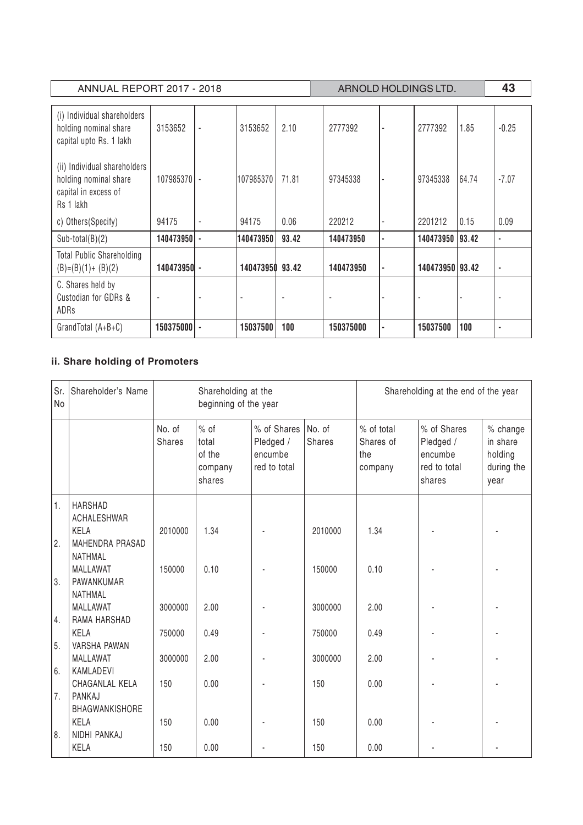| <b>ANNUAL REPORT 2017 - 2018</b>                                                           |           |    |                |       | ARNOLD HOLDINGS LTD. |                 | 43    |                |
|--------------------------------------------------------------------------------------------|-----------|----|----------------|-------|----------------------|-----------------|-------|----------------|
|                                                                                            |           |    |                |       |                      |                 |       |                |
| (i) Individual shareholders<br>holding nominal share<br>capital upto Rs. 1 lakh            | 3153652   | ٠  | 3153652        | 2.10  | 2777392              | 2777392         | 1.85  | $-0.25$        |
| (ii) Individual shareholders<br>holding nominal share<br>capital in excess of<br>Rs 1 lakh | 107985370 |    | 107985370      | 71.81 | 97345338             | 97345338        | 64.74 | $-7.07$        |
| c) Others (Specify)                                                                        | 94175     |    | 94175          | 0.06  | 220212               | 2201212         | 0.15  | 0.09           |
| $Sub-total(B)(2)$                                                                          | 140473950 |    | 140473950      | 93.42 | 140473950            | 140473950 93.42 |       | $\overline{a}$ |
| <b>Total Public Shareholding</b><br>$(B)=(B)(1)+(B)(2)$                                    | 140473950 | ä, | 140473950      | 93.42 | 140473950            | 140473950 93.42 |       | $\blacksquare$ |
| C. Shares held by<br>Custodian for GDRs &<br>ADRs                                          | ٠         |    | $\blacksquare$ |       |                      |                 |       |                |
| GrandTotal (A+B+C)                                                                         | 150375000 |    | 15037500       | 100   | 150375000            | 15037500        | 100   | ٠              |

# ii. Share holding of Promoters

| Sr.<br>No      | Shareholder's Name              |                  | Shareholding at the<br>beginning of the year   |                                                     |                  | Shareholding at the end of the year       |                                                               |                                                       |  |
|----------------|---------------------------------|------------------|------------------------------------------------|-----------------------------------------------------|------------------|-------------------------------------------|---------------------------------------------------------------|-------------------------------------------------------|--|
|                |                                 | No. of<br>Shares | $%$ of<br>total<br>of the<br>company<br>shares | % of Shares<br>Pledged /<br>encumbe<br>red to total | No. of<br>Shares | % of total<br>Shares of<br>the<br>company | % of Shares<br>Pledged /<br>encumbe<br>red to total<br>shares | % change<br>in share<br>holding<br>during the<br>year |  |
| $\mathbf{1}$ . | HARSHAD<br>ACHALESHWAR          |                  |                                                |                                                     |                  |                                           |                                                               |                                                       |  |
|                | KELA                            | 2010000          | 1.34                                           |                                                     | 2010000          | 1.34                                      |                                                               |                                                       |  |
| 2.             | MAHENDRA PRASAD<br>NATHMAL      |                  |                                                |                                                     |                  |                                           |                                                               |                                                       |  |
| 3.             | MALLAWAT<br>PAWANKUMAR          | 150000           | 0.10                                           |                                                     | 150000           | 0.10                                      |                                                               |                                                       |  |
|                | NATHMAL                         |                  |                                                |                                                     |                  |                                           |                                                               |                                                       |  |
| 4.             | MALLAWAT<br>RAMA HARSHAD        | 3000000          | 2.00                                           |                                                     | 3000000          | 2.00                                      |                                                               |                                                       |  |
|                | <b>KELA</b>                     | 750000           | 0.49                                           |                                                     | 750000           | 0.49                                      |                                                               |                                                       |  |
| 5.             | <b>VARSHA PAWAN</b><br>MALLAWAT | 3000000          | 2.00                                           |                                                     | 3000000          | 2.00                                      |                                                               |                                                       |  |
| 6.             | KAMLADEVI                       |                  |                                                |                                                     |                  |                                           |                                                               |                                                       |  |
| 7.             | CHAGANLAL KELA<br>PANKAJ        | 150              | 0.00                                           |                                                     | 150              | 0.00                                      |                                                               |                                                       |  |
|                | <b>BHAGWANKISHORE</b>           |                  |                                                |                                                     |                  |                                           |                                                               |                                                       |  |
| 8.             | KELA<br>NIDHI PANKAJ            | 150              | 0.00                                           |                                                     | 150              | 0.00                                      |                                                               |                                                       |  |
|                | KELA                            | 150              | 0.00                                           |                                                     | 150              | 0.00                                      |                                                               |                                                       |  |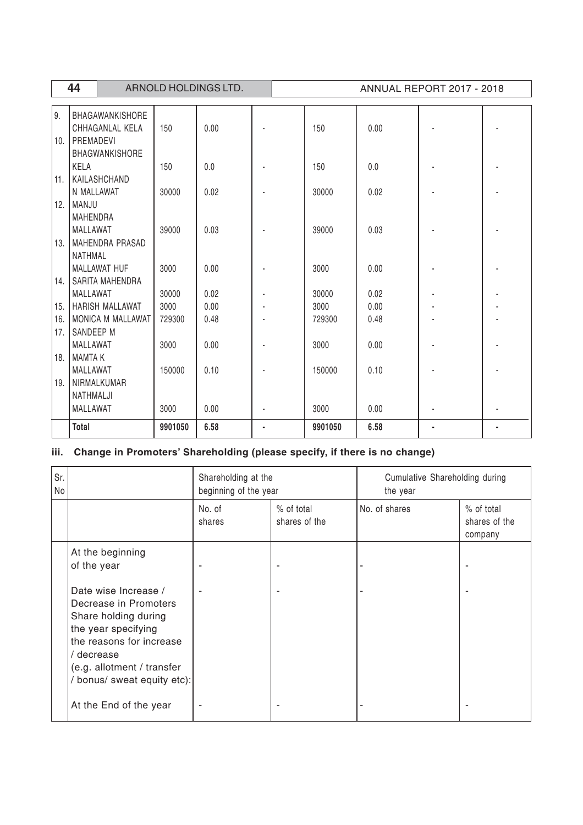|     | 44                        |                       |         | ARNOLD HOLDINGS LTD. | <b>ANNUAL REPORT 2017 - 2018</b> |         |      |  |                |  |
|-----|---------------------------|-----------------------|---------|----------------------|----------------------------------|---------|------|--|----------------|--|
| 9.  |                           | BHAGAWANKISHORE       |         |                      |                                  |         |      |  |                |  |
|     |                           | CHHAGANLAL KELA       | 150     | 0.00                 |                                  | 150     | 0.00 |  |                |  |
| 10. | PREMADEVI                 |                       |         |                      |                                  |         |      |  |                |  |
|     |                           | <b>BHAGWANKISHORE</b> |         |                      |                                  |         |      |  |                |  |
| 11. | KELA                      | KAILASHCHAND          | 150     | 0.0                  |                                  | 150     | 0.0  |  |                |  |
|     | N MALLAWAT                |                       | 30000   | 0.02                 |                                  | 30000   | 0.02 |  |                |  |
| 12. | MANJU                     |                       |         |                      |                                  |         |      |  |                |  |
|     | <b>MAHENDRA</b>           |                       |         |                      |                                  |         |      |  |                |  |
|     | MALLAWAT                  |                       | 39000   | 0.03                 |                                  | 39000   | 0.03 |  |                |  |
| 13. |                           | MAHENDRA PRASAD       |         |                      |                                  |         |      |  |                |  |
|     | NATHMAL                   | <b>MALLAWAT HUF</b>   | 3000    | 0.00                 |                                  | 3000    | 0.00 |  |                |  |
| 14. |                           | SARITA MAHENDRA       |         |                      |                                  |         |      |  |                |  |
|     | MALLAWAT                  |                       | 30000   | 0.02                 |                                  | 30000   | 0.02 |  |                |  |
| 15. |                           | HARISH MALLAWAT       | 3000    | 0.00                 |                                  | 3000    | 0.00 |  |                |  |
| 16. |                           | MONICA M MALLAWAT     | 729300  | 0.48                 |                                  | 729300  | 0.48 |  |                |  |
| 17. | SANDEEP M                 |                       |         |                      |                                  |         |      |  |                |  |
|     | MALLAWAT<br><b>MAMTAK</b> |                       | 3000    | 0.00                 |                                  | 3000    | 0.00 |  |                |  |
| 18. | MALLAWAT                  |                       | 150000  | 0.10                 |                                  | 150000  | 0.10 |  |                |  |
| 19. |                           | NIRMALKUMAR           |         |                      |                                  |         |      |  |                |  |
|     | NATHMALJI                 |                       |         |                      |                                  |         |      |  |                |  |
|     | MALLAWAT                  |                       | 3000    | 0.00                 |                                  | 3000    | 0.00 |  |                |  |
|     | Total                     |                       | 9901050 | 6.58                 | $\blacksquare$                   | 9901050 | 6.58 |  | $\blacksquare$ |  |

# iii. Change in Promoters' Shareholding (please specify, if there is no change)

| Sr.<br>No |                                                                                                                                                                                                     | Shareholding at the<br>beginning of the year |                             | Cumulative Shareholding during<br>the year |                                        |  |
|-----------|-----------------------------------------------------------------------------------------------------------------------------------------------------------------------------------------------------|----------------------------------------------|-----------------------------|--------------------------------------------|----------------------------------------|--|
|           |                                                                                                                                                                                                     | No. of<br>shares                             | % of total<br>shares of the | No. of shares                              | % of total<br>shares of the<br>company |  |
|           | At the beginning<br>of the year                                                                                                                                                                     |                                              |                             |                                            |                                        |  |
|           | Date wise Increase /<br>Decrease in Promoters<br>Share holding during<br>the year specifying<br>the reasons for increase<br>/ decrease<br>(e.g. allotment / transfer<br>/ bonus/ sweat equity etc): |                                              |                             |                                            |                                        |  |
|           | At the End of the year                                                                                                                                                                              |                                              |                             |                                            |                                        |  |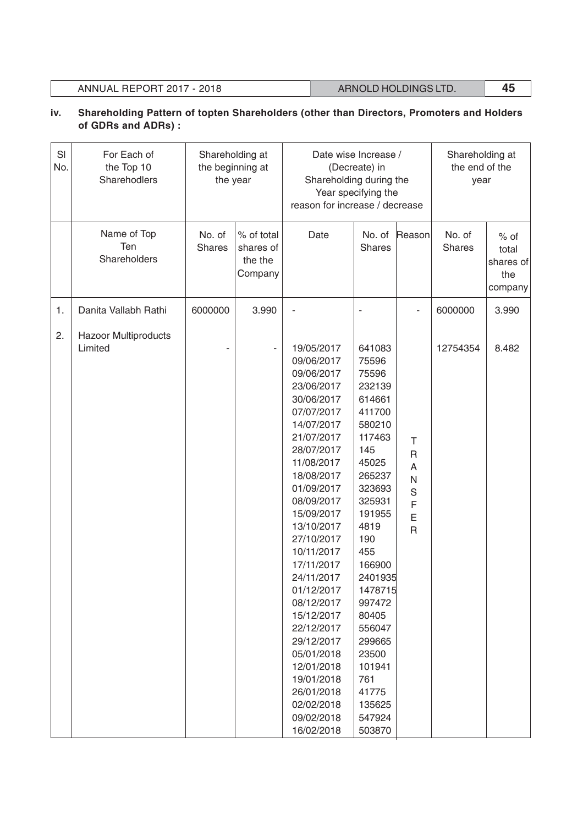ANNUAL REPORT 2017 - 2018 ARNOLD HOLDINGS LTD. 45

# iv. Shareholding Pattern of topten Shareholders (other than Directors, Promoters and Holders of GDRs and ADRs) :

| SI<br>No. | For Each of<br>the Top 10<br>Sharehodlers | Shareholding at<br>the beginning at<br>the year |                                               | Date wise Increase /<br>(Decreate) in<br>Shareholding during the<br>Year specifying the<br>reason for increase / decrease                                                                                                                                                                                                                                                                                                                      |                                                                                                                                                                                                                                                                                                  |                                                                     | Shareholding at<br>the end of the<br>year |                                                |  |
|-----------|-------------------------------------------|-------------------------------------------------|-----------------------------------------------|------------------------------------------------------------------------------------------------------------------------------------------------------------------------------------------------------------------------------------------------------------------------------------------------------------------------------------------------------------------------------------------------------------------------------------------------|--------------------------------------------------------------------------------------------------------------------------------------------------------------------------------------------------------------------------------------------------------------------------------------------------|---------------------------------------------------------------------|-------------------------------------------|------------------------------------------------|--|
|           | Name of Top<br>Ten<br>Shareholders        | No. of<br><b>Shares</b>                         | % of total<br>shares of<br>the the<br>Company | Date                                                                                                                                                                                                                                                                                                                                                                                                                                           | No. of<br><b>Shares</b>                                                                                                                                                                                                                                                                          | Reason                                                              | No. of<br><b>Shares</b>                   | $%$ of<br>total<br>shares of<br>the<br>company |  |
| 1.        | Danita Vallabh Rathi                      | 6000000                                         | 3.990                                         |                                                                                                                                                                                                                                                                                                                                                                                                                                                |                                                                                                                                                                                                                                                                                                  | ٠                                                                   | 6000000                                   | 3.990                                          |  |
| 2.        | <b>Hazoor Multiproducts</b>               |                                                 |                                               |                                                                                                                                                                                                                                                                                                                                                                                                                                                |                                                                                                                                                                                                                                                                                                  |                                                                     |                                           |                                                |  |
|           | Limited                                   |                                                 |                                               | 19/05/2017<br>09/06/2017<br>09/06/2017<br>23/06/2017<br>30/06/2017<br>07/07/2017<br>14/07/2017<br>21/07/2017<br>28/07/2017<br>11/08/2017<br>18/08/2017<br>01/09/2017<br>08/09/2017<br>15/09/2017<br>13/10/2017<br>27/10/2017<br>10/11/2017<br>17/11/2017<br>24/11/2017<br>01/12/2017<br>08/12/2017<br>15/12/2017<br>22/12/2017<br>29/12/2017<br>05/01/2018<br>12/01/2018<br>19/01/2018<br>26/01/2018<br>02/02/2018<br>09/02/2018<br>16/02/2018 | 641083<br>75596<br>75596<br>232139<br>614661<br>411700<br>580210<br>117463<br>145<br>45025<br>265237<br>323693<br>325931<br>191955<br>4819<br>190<br>455<br>166900<br>2401935<br>1478715<br>997472<br>80405<br>556047<br>299665<br>23500<br>101941<br>761<br>41775<br>135625<br>547924<br>503870 | Τ<br>$\mathsf R$<br>Α<br>N<br>$\mathbf S$<br>F<br>E<br>$\mathsf{R}$ | 12754354                                  | 8.482                                          |  |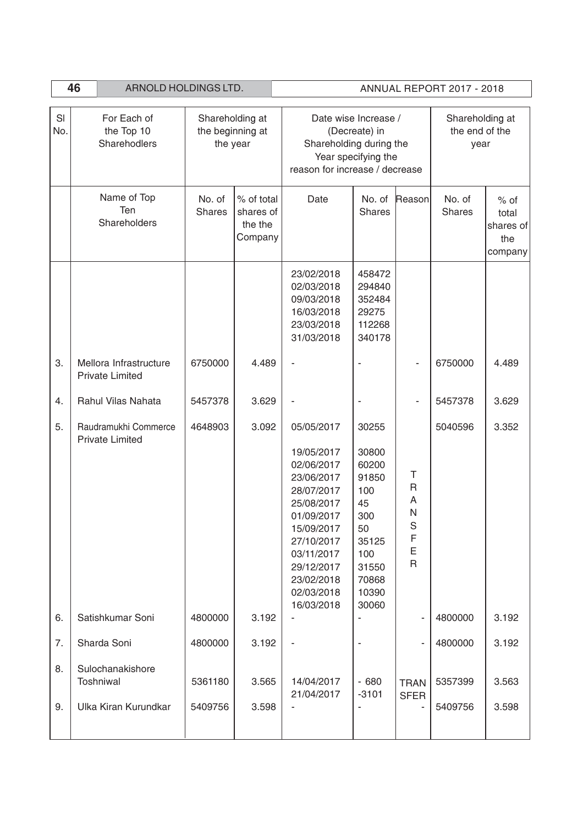| 46<br>ARNOLD HOLDINGS LTD.<br><b>ANNUAL REPORT 2017 - 2018</b> |                                                  |                                                 |                                               |                                                                                                                                                                                                  |                                                                                                                |                                                            |                                           |                                                |
|----------------------------------------------------------------|--------------------------------------------------|-------------------------------------------------|-----------------------------------------------|--------------------------------------------------------------------------------------------------------------------------------------------------------------------------------------------------|----------------------------------------------------------------------------------------------------------------|------------------------------------------------------------|-------------------------------------------|------------------------------------------------|
| SI<br>No.                                                      | For Each of<br>the Top 10<br>Sharehodlers        | Shareholding at<br>the beginning at<br>the year |                                               | Date wise Increase /<br>(Decreate) in<br>Shareholding during the<br>Year specifying the<br>reason for increase / decrease                                                                        |                                                                                                                |                                                            | Shareholding at<br>the end of the<br>year |                                                |
|                                                                | Name of Top<br>Ten<br>Shareholders               | No. of<br><b>Shares</b>                         | % of total<br>shares of<br>the the<br>Company | Date                                                                                                                                                                                             | No. of<br><b>Shares</b>                                                                                        | Reason                                                     | No. of<br>Shares                          | $%$ of<br>total<br>shares of<br>the<br>company |
|                                                                |                                                  |                                                 |                                               | 23/02/2018<br>02/03/2018<br>09/03/2018<br>16/03/2018<br>23/03/2018<br>31/03/2018                                                                                                                 | 458472<br>294840<br>352484<br>29275<br>112268<br>340178                                                        |                                                            |                                           |                                                |
| 3.                                                             | Mellora Infrastructure<br><b>Private Limited</b> | 6750000                                         | 4.489                                         |                                                                                                                                                                                                  |                                                                                                                |                                                            | 6750000                                   | 4.489                                          |
| 4.                                                             | Rahul Vilas Nahata                               | 5457378                                         | 3.629                                         |                                                                                                                                                                                                  |                                                                                                                |                                                            | 5457378                                   | 3.629                                          |
| 5.                                                             | Raudramukhi Commerce<br><b>Private Limited</b>   | 4648903                                         | 3.092                                         | 05/05/2017<br>19/05/2017<br>02/06/2017<br>23/06/2017<br>28/07/2017<br>25/08/2017<br>01/09/2017<br>15/09/2017<br>27/10/2017<br>03/11/2017<br>29/12/2017<br>23/02/2018<br>02/03/2018<br>16/03/2018 | 30255<br>30800<br>60200<br>91850<br>100<br>45<br>300<br>50<br>35125<br>100<br>31550<br>70868<br>10390<br>30060 | Τ<br>$\mathsf{R}$<br>A<br>N<br>S<br>F<br>Ε<br>$\mathsf{R}$ | 5040596                                   | 3.352                                          |
| 6.                                                             | Satishkumar Soni                                 | 4800000                                         | 3.192                                         |                                                                                                                                                                                                  | ä,                                                                                                             |                                                            | 4800000                                   | 3.192                                          |
| 7.                                                             | Sharda Soni                                      | 4800000                                         | 3.192                                         |                                                                                                                                                                                                  |                                                                                                                |                                                            | 4800000                                   | 3.192                                          |
| 8.                                                             | Sulochanakishore<br>Toshniwal                    | 5361180                                         | 3.565                                         | 14/04/2017<br>21/04/2017                                                                                                                                                                         | $-680$<br>$-3101$                                                                                              | <b>TRAN</b><br><b>SFER</b>                                 | 5357399                                   | 3.563                                          |
| 9.                                                             | Ulka Kiran Kurundkar                             | 5409756                                         | 3.598                                         |                                                                                                                                                                                                  |                                                                                                                |                                                            | 5409756                                   | 3.598                                          |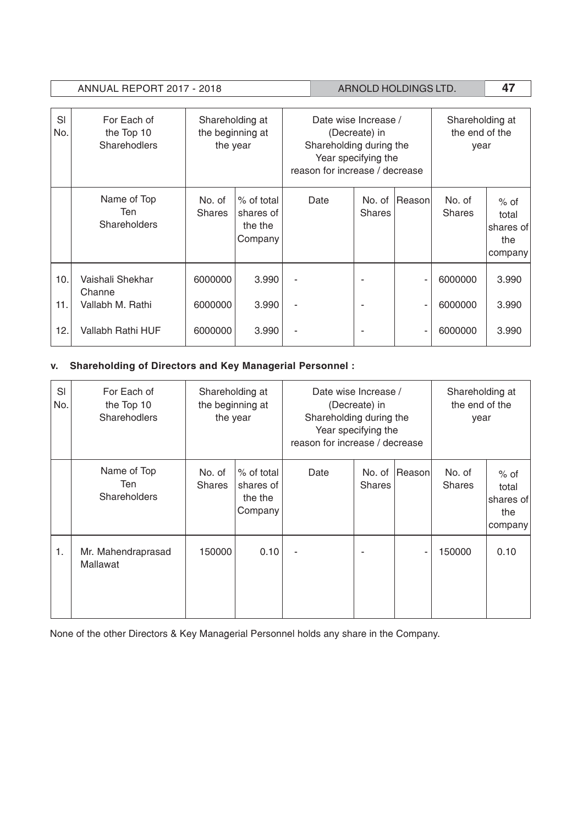|           | <b>ANNUAL REPORT 2017 - 2018</b>          |                                                 |                                               | ARNOLD HOLDINGS LTD.                                                                                                      |                         |                          |                                           | 47                                             |
|-----------|-------------------------------------------|-------------------------------------------------|-----------------------------------------------|---------------------------------------------------------------------------------------------------------------------------|-------------------------|--------------------------|-------------------------------------------|------------------------------------------------|
|           |                                           |                                                 |                                               |                                                                                                                           |                         |                          |                                           |                                                |
| SI<br>No. | For Each of<br>the Top 10<br>Sharehodlers | Shareholding at<br>the beginning at<br>the year |                                               | Date wise Increase /<br>(Decreate) in<br>Shareholding during the<br>Year specifying the<br>reason for increase / decrease |                         |                          | Shareholding at<br>the end of the<br>year |                                                |
|           | Name of Top<br>Ten<br>Shareholders        | No. of<br><b>Shares</b>                         | % of total<br>shares of<br>the the<br>Company | Date                                                                                                                      | No. of<br><b>Shares</b> | Reason                   | No. of<br><b>Shares</b>                   | $%$ of<br>total<br>shares of<br>the<br>company |
| 10.       | Vaishali Shekhar<br>Channe                | 6000000                                         | 3.990                                         |                                                                                                                           |                         |                          | 6000000                                   | 3.990                                          |
| 11.       | Vallabh M. Rathi                          | 6000000                                         | 3.990                                         |                                                                                                                           |                         | $\overline{\phantom{a}}$ | 6000000                                   | 3.990                                          |
| 12.       | Vallabh Rathi HUF                         | 6000000                                         | 3.990                                         |                                                                                                                           |                         | $\blacksquare$           | 6000000                                   | 3.990                                          |

# v. Shareholding of Directors and Key Managerial Personnel :

| SI<br>No. | For Each of<br>the Top 10<br>Sharehodlers |                         | Shareholding at<br>the beginning at<br>the year |      | Date wise Increase /<br>(Decreate) in<br>Shareholding during the<br>Year specifying the<br>reason for increase / decrease |                | Shareholding at<br>the end of the<br>year |                                                |
|-----------|-------------------------------------------|-------------------------|-------------------------------------------------|------|---------------------------------------------------------------------------------------------------------------------------|----------------|-------------------------------------------|------------------------------------------------|
|           | Name of Top<br>Ten<br>Shareholders        | No. of<br><b>Shares</b> | % of total<br>shares of<br>the the<br>Company   | Date | <b>Shares</b>                                                                                                             | No. of  Reason | No. of<br><b>Shares</b>                   | $%$ of<br>total<br>shares of<br>the<br>company |
| 1.        | Mr. Mahendraprasad<br>Mallawat            | 150000                  | 0.10                                            |      |                                                                                                                           | ۰              | 150000                                    | 0.10                                           |

None of the other Directors & Key Managerial Personnel holds any share in the Company.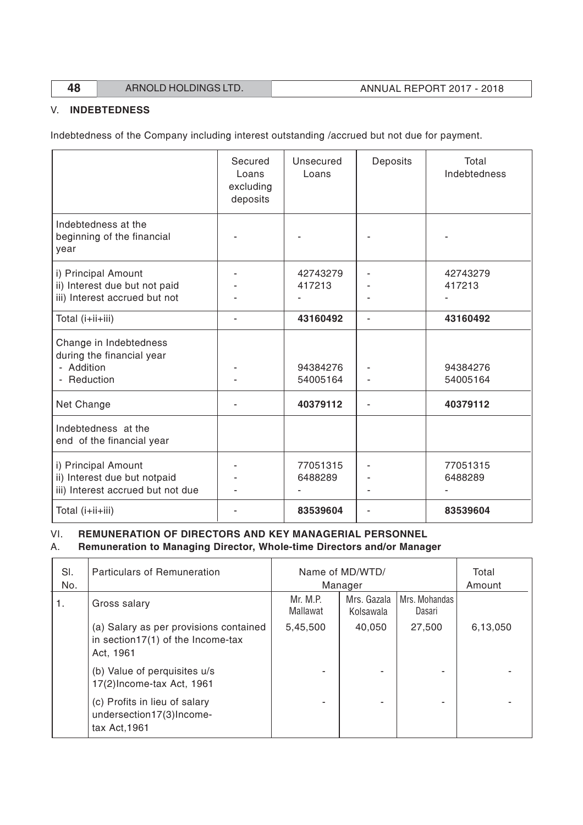# V. INDEBTEDNESS

Indebtedness of the Company including interest outstanding /accrued but not due for payment.

|                                                                                          | Secured<br>Loans<br>excluding<br>deposits | Unsecured<br>Loans   | Deposits       | Total<br>Indebtedness |
|------------------------------------------------------------------------------------------|-------------------------------------------|----------------------|----------------|-----------------------|
| Indebtedness at the<br>beginning of the financial<br>year                                |                                           |                      |                |                       |
| i) Principal Amount<br>ii) Interest due but not paid<br>iii) Interest accrued but not    |                                           | 42743279<br>417213   |                | 42743279<br>417213    |
| Total (i+ii+iii)                                                                         |                                           | 43160492             |                | 43160492              |
| Change in Indebtedness<br>during the financial year<br>- Addition<br>- Reduction         |                                           | 94384276<br>54005164 |                | 94384276<br>54005164  |
| Net Change                                                                               |                                           | 40379112             | $\blacksquare$ | 40379112              |
| Indebtedness at the<br>end of the financial year                                         |                                           |                      |                |                       |
| i) Principal Amount<br>ii) Interest due but notpaid<br>iii) Interest accrued but not due |                                           | 77051315<br>6488289  |                | 77051315<br>6488289   |
| Total (i+ii+iii)                                                                         |                                           | 83539604             |                | 83539604              |

# VI. REMUNERATION OF DIRECTORS AND KEY MANAGERIAL PERSONNEL A. Remuneration to Managing Director, Whole-time Directors and/or Manager

| SI.<br>No. | <b>Particulars of Remuneration</b>                                                       | Name of MD/WTD/<br>Manager |                          | Total<br>Amount         |          |
|------------|------------------------------------------------------------------------------------------|----------------------------|--------------------------|-------------------------|----------|
| 1.         | Gross salary                                                                             | Mr. M.P.<br>Mallawat       | Mrs. Gazala<br>Kolsawala | Mrs. Mohandas<br>Dasari |          |
|            | (a) Salary as per provisions contained<br>in section17(1) of the Income-tax<br>Act, 1961 | 5,45,500                   | 40,050                   | 27,500                  | 6,13,050 |
|            | (b) Value of perquisites u/s<br>$17(2)$ Income-tax Act, 1961                             | ۰                          |                          |                         |          |
|            | (c) Profits in lieu of salary<br>undersection17(3)Income-<br>tax Act, 1961               | ۰                          |                          |                         |          |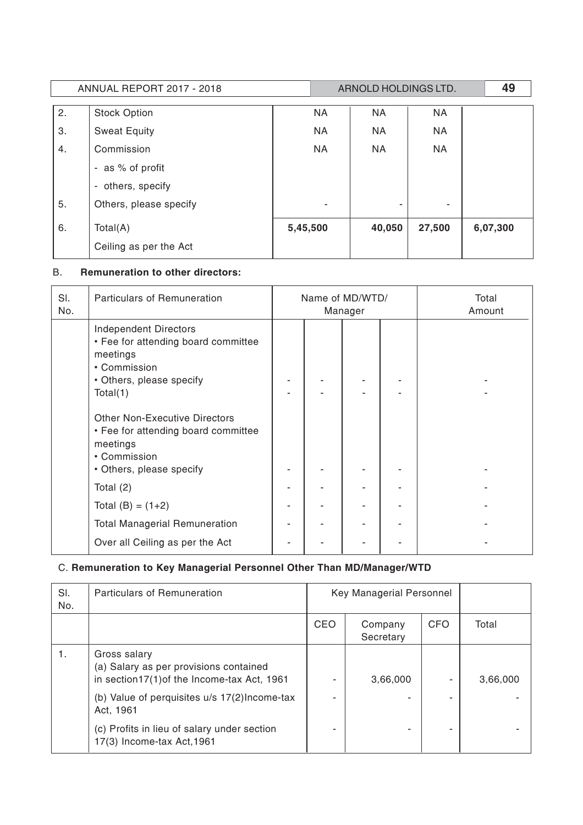|    | <b>ANNUAL REPORT 2017 - 2018</b> |           | ARNOLD HOLDINGS LTD. |           |          |  |
|----|----------------------------------|-----------|----------------------|-----------|----------|--|
|    |                                  |           |                      |           |          |  |
| 2. | <b>Stock Option</b>              | <b>NA</b> | <b>NA</b>            | <b>NA</b> |          |  |
| 3. | <b>Sweat Equity</b>              | <b>NA</b> | <b>NA</b>            | <b>NA</b> |          |  |
| 4. | Commission                       | <b>NA</b> | <b>NA</b>            | <b>NA</b> |          |  |
|    | - as % of profit                 |           |                      |           |          |  |
|    | - others, specify                |           |                      |           |          |  |
| 5. | Others, please specify           | ۰         | ۰                    | ٠         |          |  |
| 6. | Total(A)                         | 5,45,500  | 40,050               | 27,500    | 6,07,300 |  |
|    | Ceiling as per the Act           |           |                      |           |          |  |

# B. Remuneration to other directors:

| SI.<br>No. | <b>Particulars of Remuneration</b>                                                                                                      | Name of MD/WTD/<br>Manager |  |  | Total<br>Amount |
|------------|-----------------------------------------------------------------------------------------------------------------------------------------|----------------------------|--|--|-----------------|
|            | <b>Independent Directors</b><br>• Fee for attending board committee<br>meetings<br>• Commission<br>• Others, please specify<br>Total(1) |                            |  |  |                 |
|            | <b>Other Non-Executive Directors</b><br>• Fee for attending board committee<br>meetings<br>• Commission<br>• Others, please specify     |                            |  |  |                 |
|            | Total (2)                                                                                                                               |                            |  |  |                 |
|            | Total $(B) = (1+2)$                                                                                                                     |                            |  |  |                 |
|            | <b>Total Managerial Remuneration</b>                                                                                                    |                            |  |  |                 |
|            | Over all Ceiling as per the Act                                                                                                         |                            |  |  |                 |

# C. Remuneration to Key Managerial Personnel Other Than MD/Manager/WTD

| SI.<br>No. | <b>Particulars of Remuneration</b>                                                                    | Key Managerial Personnel |                      |            |          |
|------------|-------------------------------------------------------------------------------------------------------|--------------------------|----------------------|------------|----------|
|            |                                                                                                       | <b>CEO</b>               | Company<br>Secretary | <b>CFO</b> | Total    |
|            | Gross salary<br>(a) Salary as per provisions contained<br>in section17(1) of the Income-tax Act, 1961 |                          | 3,66,000             |            | 3,66,000 |
|            | (b) Value of perquisites u/s 17(2) Income-tax<br>Act, 1961                                            |                          |                      |            |          |
|            | (c) Profits in lieu of salary under section<br>17(3) Income-tax Act, 1961                             |                          |                      |            |          |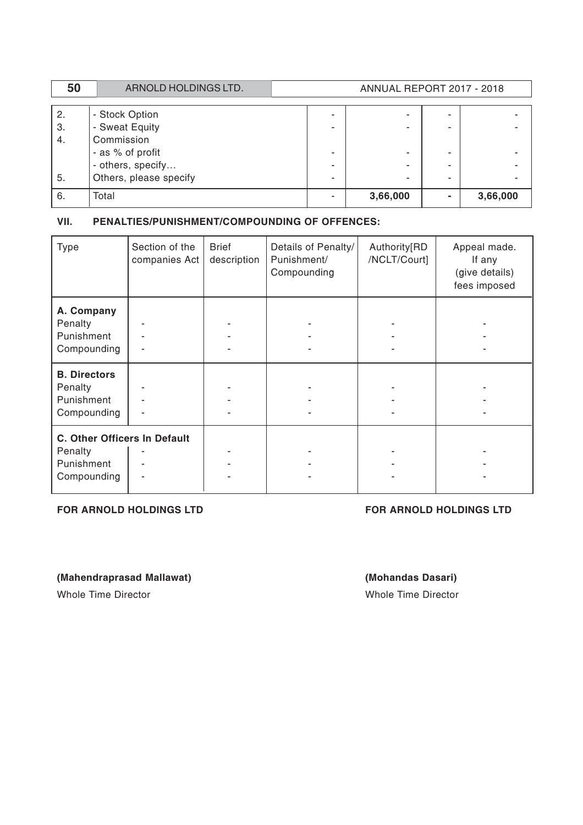| 50 | ARNOLD HOLDINGS LTD.   | <b>ANNUAL REPORT 2017 - 2018</b> |          |   |          |  |
|----|------------------------|----------------------------------|----------|---|----------|--|
|    |                        |                                  |          |   |          |  |
| 2. | - Stock Option         |                                  | ۰        |   |          |  |
| 3. | - Sweat Equity         |                                  | -        |   |          |  |
| 4. | Commission             |                                  |          |   |          |  |
|    | - as % of profit       |                                  | ۰        | - |          |  |
|    | - others, specify      |                                  | ۰        |   |          |  |
| 5. | Others, please specify |                                  | -        | - |          |  |
| 6. | Total                  |                                  | 3,66,000 |   | 3,66,000 |  |

# VII. PENALTIES/PUNISHMENT/COMPOUNDING OF OFFENCES:

| <b>Type</b>                                                                 | Section of the<br>companies Act | <b>Brief</b><br>description | Details of Penalty/<br>Punishment/<br>Compounding | Authority[RD<br>/NCLT/Court] | Appeal made.<br>If any<br>(give details)<br>fees imposed |
|-----------------------------------------------------------------------------|---------------------------------|-----------------------------|---------------------------------------------------|------------------------------|----------------------------------------------------------|
| A. Company<br>Penalty<br>Punishment<br>Compounding                          |                                 |                             |                                                   |                              |                                                          |
| <b>B. Directors</b><br>Penalty<br>Punishment<br>Compounding                 |                                 |                             |                                                   |                              |                                                          |
| <b>C. Other Officers In Default</b><br>Penalty<br>Punishment<br>Compounding |                                 |                             |                                                   |                              |                                                          |

# FOR ARNOLD HOLDINGS LTD FOR ARNOLD HOLDINGS LTD

(Mahendraprasad Mallawat) (Mohandas Dasari)

Whole Time Director Whole Time Director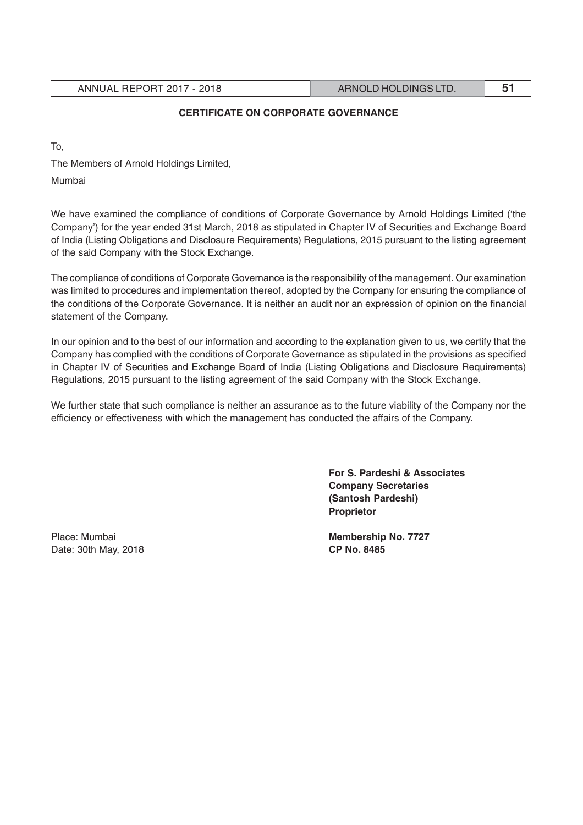| ARNOLD HOLDINGS LTD.<br><b>ANNUAL REPORT 2017 - 2018</b> |  |
|----------------------------------------------------------|--|
|----------------------------------------------------------|--|

### CERTIFICATE ON CORPORATE GOVERNANCE

To,

The Members of Arnold Holdings Limited,

Mumbai

We have examined the compliance of conditions of Corporate Governance by Arnold Holdings Limited ('the Company') for the year ended 31st March, 2018 as stipulated in Chapter IV of Securities and Exchange Board of India (Listing Obligations and Disclosure Requirements) Regulations, 2015 pursuant to the listing agreement of the said Company with the Stock Exchange.

The compliance of conditions of Corporate Governance is the responsibility of the management. Our examination was limited to procedures and implementation thereof, adopted by the Company for ensuring the compliance of the conditions of the Corporate Governance. It is neither an audit nor an expression of opinion on the financial statement of the Company.

In our opinion and to the best of our information and according to the explanation given to us, we certify that the Company has complied with the conditions of Corporate Governance as stipulated in the provisions as specified in Chapter IV of Securities and Exchange Board of India (Listing Obligations and Disclosure Requirements) Regulations, 2015 pursuant to the listing agreement of the said Company with the Stock Exchange.

We further state that such compliance is neither an assurance as to the future viability of the Company nor the efficiency or effectiveness with which the management has conducted the affairs of the Company.

Date: 30th May, 2018 **CP No. 8485** 

For S. Pardeshi & Associates Company Secretaries (Santosh Pardeshi) Proprietor

Place: Mumbai **Membership No. 7727**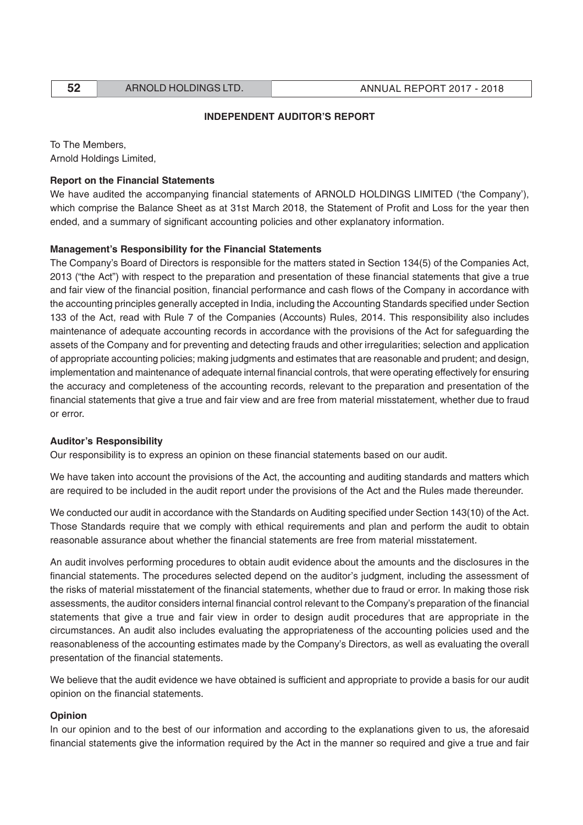|  | ARNOLD HOLDINGS LTD. | <b>ANNUAL REPORT 2017 - 2018</b> |
|--|----------------------|----------------------------------|
|--|----------------------|----------------------------------|

### INDEPENDENT AUDITOR'S REPORT

To The Members, Arnold Holdings Limited,

#### Report on the Financial Statements

We have audited the accompanying financial statements of ARNOLD HOLDINGS LIMITED ('the Company'), which comprise the Balance Sheet as at 31st March 2018, the Statement of Profit and Loss for the year then ended, and a summary of significant accounting policies and other explanatory information.

#### Management's Responsibility for the Financial Statements

The Company's Board of Directors is responsible for the matters stated in Section 134(5) of the Companies Act, 2013 ("the Act") with respect to the preparation and presentation of these financial statements that give a true and fair view of the financial position, financial performance and cash flows of the Company in accordance with the accounting principles generally accepted in India, including the Accounting Standards specified under Section 133 of the Act, read with Rule 7 of the Companies (Accounts) Rules, 2014. This responsibility also includes maintenance of adequate accounting records in accordance with the provisions of the Act for safeguarding the assets of the Company and for preventing and detecting frauds and other irregularities; selection and application of appropriate accounting policies; making judgments and estimates that are reasonable and prudent; and design, implementation and maintenance of adequate internal financial controls, that were operating effectively for ensuring the accuracy and completeness of the accounting records, relevant to the preparation and presentation of the financial statements that give a true and fair view and are free from material misstatement, whether due to fraud or error.

#### Auditor's Responsibility

Our responsibility is to express an opinion on these financial statements based on our audit.

We have taken into account the provisions of the Act, the accounting and auditing standards and matters which are required to be included in the audit report under the provisions of the Act and the Rules made thereunder.

We conducted our audit in accordance with the Standards on Auditing specified under Section 143(10) of the Act. Those Standards require that we comply with ethical requirements and plan and perform the audit to obtain reasonable assurance about whether the financial statements are free from material misstatement.

An audit involves performing procedures to obtain audit evidence about the amounts and the disclosures in the financial statements. The procedures selected depend on the auditor's judgment, including the assessment of the risks of material misstatement of the financial statements, whether due to fraud or error. In making those risk assessments, the auditor considers internal financial control relevant to the Company's preparation of the financial statements that give a true and fair view in order to design audit procedures that are appropriate in the circumstances. An audit also includes evaluating the appropriateness of the accounting policies used and the reasonableness of the accounting estimates made by the Company's Directors, as well as evaluating the overall presentation of the financial statements.

We believe that the audit evidence we have obtained is sufficient and appropriate to provide a basis for our audit opinion on the financial statements.

### Opinion

In our opinion and to the best of our information and according to the explanations given to us, the aforesaid financial statements give the information required by the Act in the manner so required and give a true and fair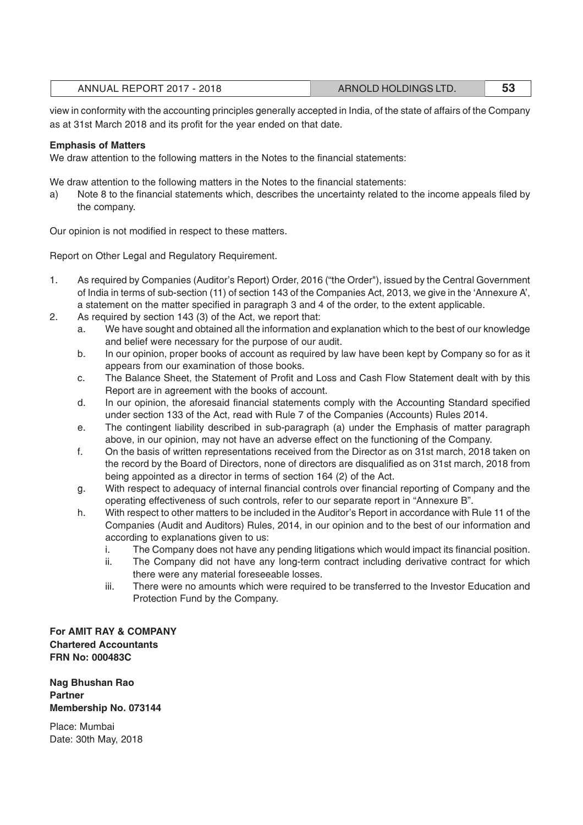| <b>ANNUAL REPORT 2017 - 2018</b> | ARNOLD HOLDINGS LTD. | აა |
|----------------------------------|----------------------|----|
|----------------------------------|----------------------|----|

view in conformity with the accounting principles generally accepted in India, of the state of affairs of the Company as at 31st March 2018 and its profit for the year ended on that date.

### Emphasis of Matters

We draw attention to the following matters in the Notes to the financial statements:

We draw attention to the following matters in the Notes to the financial statements:

a) Note 8 to the financial statements which, describes the uncertainty related to the income appeals filed by the company.

Our opinion is not modified in respect to these matters.

Report on Other Legal and Regulatory Requirement.

- 1. As required by Companies (Auditor's Report) Order, 2016 ("the Order"), issued by the Central Government of India in terms of sub-section (11) of section 143 of the Companies Act, 2013, we give in the 'Annexure A', a statement on the matter specified in paragraph 3 and 4 of the order, to the extent applicable.
- 2. As required by section 143 (3) of the Act, we report that:
	- a. We have sought and obtained all the information and explanation which to the best of our knowledge and belief were necessary for the purpose of our audit.
	- b. In our opinion, proper books of account as required by law have been kept by Company so for as it appears from our examination of those books.
	- c. The Balance Sheet, the Statement of Profit and Loss and Cash Flow Statement dealt with by this Report are in agreement with the books of account.
	- d. In our opinion, the aforesaid financial statements comply with the Accounting Standard specified under section 133 of the Act, read with Rule 7 of the Companies (Accounts) Rules 2014.
	- e. The contingent liability described in sub-paragraph (a) under the Emphasis of matter paragraph above, in our opinion, may not have an adverse effect on the functioning of the Company.
	- f. On the basis of written representations received from the Director as on 31st march, 2018 taken on the record by the Board of Directors, none of directors are disqualified as on 31st march, 2018 from being appointed as a director in terms of section 164 (2) of the Act.
	- g. With respect to adequacy of internal financial controls over financial reporting of Company and the operating effectiveness of such controls, refer to our separate report in "Annexure B".
	- h. With respect to other matters to be included in the Auditor's Report in accordance with Rule 11 of the Companies (Audit and Auditors) Rules, 2014, in our opinion and to the best of our information and according to explanations given to us:
		- i. The Company does not have any pending litigations which would impact its financial position.
		- ii. The Company did not have any long-term contract including derivative contract for which there were any material foreseeable losses.
		- iii. There were no amounts which were required to be transferred to the Investor Education and Protection Fund by the Company.

For AMIT RAY & COMPANY Chartered Accountants FRN No: 000483C

Nag Bhushan Rao Partner Membership No. 073144

Place: Mumbai Date: 30th May, 2018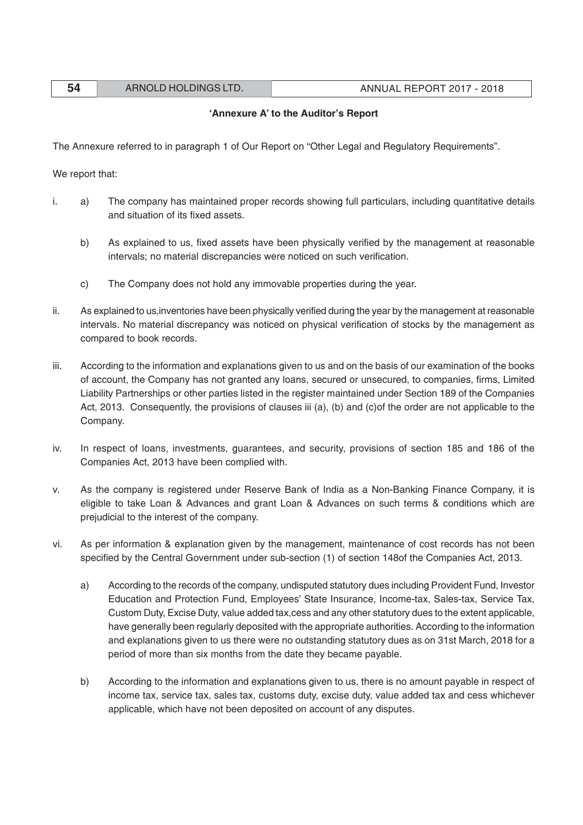| 54 | ARNOLD HOLDINGS LTD. | <b>ANNUAL REPORT 2017 - 2018</b> |
|----|----------------------|----------------------------------|
|    |                      |                                  |

# 'Annexure A' to the Auditor's Report

The Annexure referred to in paragraph 1 of Our Report on "Other Legal and Regulatory Requirements".

We report that:

- i. a) The company has maintained proper records showing full particulars, including quantitative details and situation of its fixed assets.
	- b) As explained to us, fixed assets have been physically verified by the management at reasonable intervals; no material discrepancies were noticed on such verification.
	- c) The Company does not hold any immovable properties during the year.
- ii. As explained to us,inventories have been physically verified during the year by the management at reasonable intervals. No material discrepancy was noticed on physical verification of stocks by the management as compared to book records.
- iii. According to the information and explanations given to us and on the basis of our examination of the books of account, the Company has not granted any loans, secured or unsecured, to companies, firms, Limited Liability Partnerships or other parties listed in the register maintained under Section 189 of the Companies Act, 2013. Consequently, the provisions of clauses iii (a), (b) and (c) of the order are not applicable to the Company.
- iv. In respect of loans, investments, guarantees, and security, provisions of section 185 and 186 of the Companies Act, 2013 have been complied with.
- v. As the company is registered under Reserve Bank of India as a Non-Banking Finance Company, it is eligible to take Loan & Advances and grant Loan & Advances on such terms & conditions which are prejudicial to the interest of the company.
- vi. As per information & explanation given by the management, maintenance of cost records has not been specified by the Central Government under sub-section (1) of section 148of the Companies Act, 2013.
	- a) According to the records of the company, undisputed statutory dues including Provident Fund, Investor Education and Protection Fund, Employees' State Insurance, Income-tax, Sales-tax, Service Tax, Custom Duty, Excise Duty, value added tax,cess and any other statutory dues to the extent applicable, have generally been regularly deposited with the appropriate authorities. According to the information and explanations given to us there were no outstanding statutory dues as on 31st March, 2018 for a period of more than six months from the date they became payable.
	- b) According to the information and explanations given to us, there is no amount payable in respect of income tax, service tax, sales tax, customs duty, excise duty, value added tax and cess whichever applicable, which have not been deposited on account of any disputes.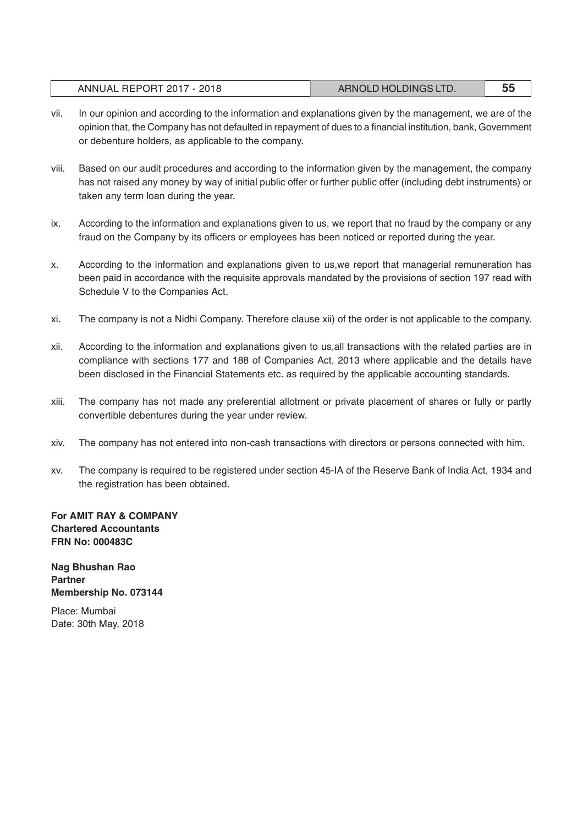| <b>ANNUAL REPORT 2017 - 2018</b> | --<br>ARNOLD HOLDINGS LTD.<br>わわ<br>JJ |
|----------------------------------|----------------------------------------|
|----------------------------------|----------------------------------------|

- vii. In our opinion and according to the information and explanations given by the management, we are of the opinion that, the Company has not defaulted in repayment of dues to a financial institution, bank, Government or debenture holders, as applicable to the company.
- viii. Based on our audit procedures and according to the information given by the management, the company has not raised any money by way of initial public offer or further public offer (including debt instruments) or taken any term loan during the year.
- ix. According to the information and explanations given to us, we report that no fraud by the company or any fraud on the Company by its officers or employees has been noticed or reported during the year.
- x. According to the information and explanations given to us,we report that managerial remuneration has been paid in accordance with the requisite approvals mandated by the provisions of section 197 read with Schedule V to the Companies Act.
- xi. The company is not a Nidhi Company. Therefore clause xii) of the order is not applicable to the company.
- xii. According to the information and explanations given to us,all transactions with the related parties are in compliance with sections 177 and 188 of Companies Act, 2013 where applicable and the details have been disclosed in the Financial Statements etc. as required by the applicable accounting standards.
- xiii. The company has not made any preferential allotment or private placement of shares or fully or partly convertible debentures during the year under review.
- xiv. The company has not entered into non-cash transactions with directors or persons connected with him.
- xv. The company is required to be registered under section 45-IA of the Reserve Bank of India Act, 1934 and the registration has been obtained.

For AMIT RAY & COMPANY Chartered Accountants FRN No: 000483C

Nag Bhushan Rao Partner Membership No. 073144

Place: Mumbai Date: 30th May, 2018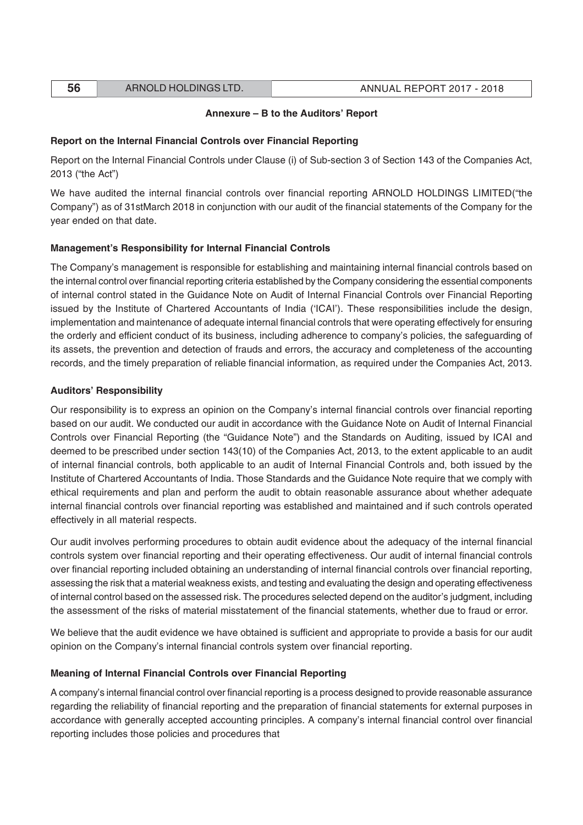| 56 | ARNOLD HOLDINGS LTD. | <b>ANNUAL REPORT 2017 - 2018</b> |
|----|----------------------|----------------------------------|
|    |                      |                                  |

#### Annexure – B to the Auditors' Report

#### Report on the Internal Financial Controls over Financial Reporting

Report on the Internal Financial Controls under Clause (i) of Sub-section 3 of Section 143 of the Companies Act, 2013 ("the Act")

We have audited the internal financial controls over financial reporting ARNOLD HOLDINGS LIMITED("the Company") as of 31stMarch 2018 in conjunction with our audit of the financial statements of the Company for the year ended on that date.

### Management's Responsibility for Internal Financial Controls

The Company's management is responsible for establishing and maintaining internal financial controls based on the internal control over financial reporting criteria established by the Company considering the essential components of internal control stated in the Guidance Note on Audit of Internal Financial Controls over Financial Reporting issued by the Institute of Chartered Accountants of India ('ICAI'). These responsibilities include the design, implementation and maintenance of adequate internal financial controls that were operating effectively for ensuring the orderly and efficient conduct of its business, including adherence to company's policies, the safeguarding of its assets, the prevention and detection of frauds and errors, the accuracy and completeness of the accounting records, and the timely preparation of reliable financial information, as required under the Companies Act, 2013.

### Auditors' Responsibility

Our responsibility is to express an opinion on the Company's internal financial controls over financial reporting based on our audit. We conducted our audit in accordance with the Guidance Note on Audit of Internal Financial Controls over Financial Reporting (the "Guidance Note") and the Standards on Auditing, issued by ICAI and deemed to be prescribed under section 143(10) of the Companies Act, 2013, to the extent applicable to an audit of internal financial controls, both applicable to an audit of Internal Financial Controls and, both issued by the Institute of Chartered Accountants of India. Those Standards and the Guidance Note require that we comply with ethical requirements and plan and perform the audit to obtain reasonable assurance about whether adequate internal financial controls over financial reporting was established and maintained and if such controls operated effectively in all material respects.

Our audit involves performing procedures to obtain audit evidence about the adequacy of the internal financial controls system over financial reporting and their operating effectiveness. Our audit of internal financial controls over financial reporting included obtaining an understanding of internal financial controls over financial reporting, assessing the risk that a material weakness exists, and testing and evaluating the design and operating effectiveness of internal control based on the assessed risk. The procedures selected depend on the auditor's judgment, including the assessment of the risks of material misstatement of the financial statements, whether due to fraud or error.

We believe that the audit evidence we have obtained is sufficient and appropriate to provide a basis for our audit opinion on the Company's internal financial controls system over financial reporting.

### Meaning of Internal Financial Controls over Financial Reporting

A company's internal financial control over financial reporting is a process designed to provide reasonable assurance regarding the reliability of financial reporting and the preparation of financial statements for external purposes in accordance with generally accepted accounting principles. A company's internal financial control over financial reporting includes those policies and procedures that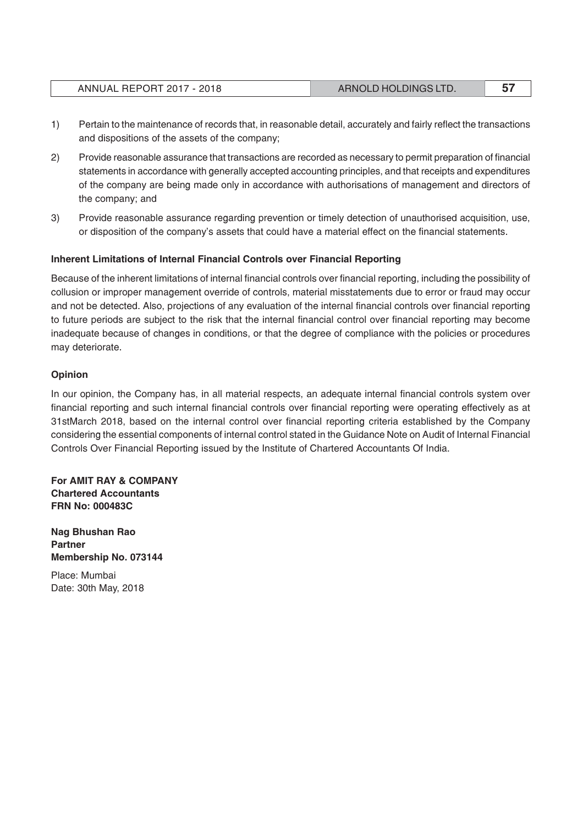| <b>ANNUAL REPORT 2017 - 2018</b> | ARNOLD HOLDINGS LTD. |  |
|----------------------------------|----------------------|--|
|----------------------------------|----------------------|--|

- 1) Pertain to the maintenance of records that, in reasonable detail, accurately and fairly reflect the transactions and dispositions of the assets of the company;
- 2) Provide reasonable assurance that transactions are recorded as necessary to permit preparation of financial statements in accordance with generally accepted accounting principles, and that receipts and expenditures of the company are being made only in accordance with authorisations of management and directors of the company; and
- 3) Provide reasonable assurance regarding prevention or timely detection of unauthorised acquisition, use, or disposition of the company's assets that could have a material effect on the financial statements.

### Inherent Limitations of Internal Financial Controls over Financial Reporting

Because of the inherent limitations of internal financial controls over financial reporting, including the possibility of collusion or improper management override of controls, material misstatements due to error or fraud may occur and not be detected. Also, projections of any evaluation of the internal financial controls over financial reporting to future periods are subject to the risk that the internal financial control over financial reporting may become inadequate because of changes in conditions, or that the degree of compliance with the policies or procedures may deteriorate.

# Opinion

In our opinion, the Company has, in all material respects, an adequate internal financial controls system over financial reporting and such internal financial controls over financial reporting were operating effectively as at 31stMarch 2018, based on the internal control over financial reporting criteria established by the Company considering the essential components of internal control stated in the Guidance Note on Audit of Internal Financial Controls Over Financial Reporting issued by the Institute of Chartered Accountants Of India.

For AMIT RAY & COMPANY Chartered Accountants FRN No: 000483C

Nag Bhushan Rao Partner Membership No. 073144

Place: Mumbai Date: 30th May, 2018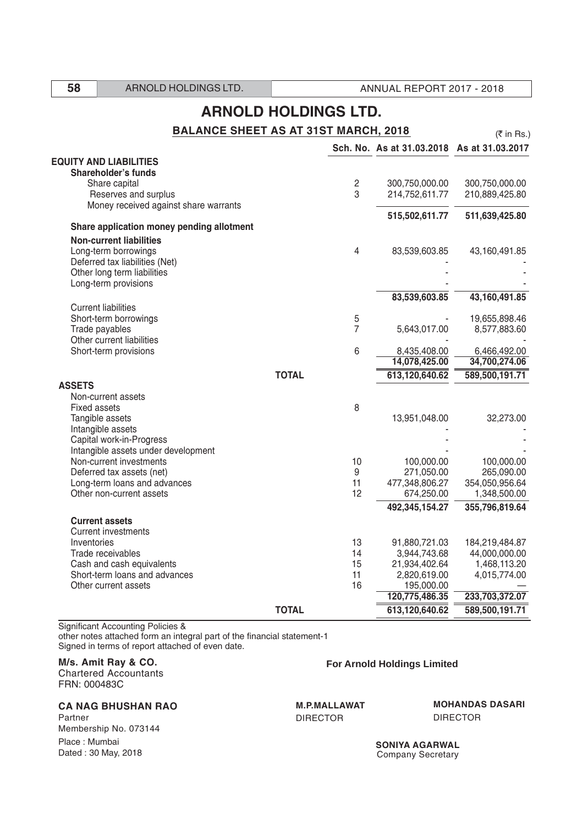ARNOLD HOLDINGS LTD. ANNUAL REPORT 2017 - 2018

 $($ ₹ in Rs.)

# ARNOLD HOLDINGS LTD.

BALANCE SHEET AS AT 31ST MARCH, 2018

|                                           |              |                | Sch. No. As at 31.03.2018 As at 31.03.2017 |                |
|-------------------------------------------|--------------|----------------|--------------------------------------------|----------------|
| <b>EQUITY AND LIABILITIES</b>             |              |                |                                            |                |
| Shareholder's funds                       |              |                |                                            |                |
| Share capital                             |              | $\sqrt{2}$     | 300,750,000.00                             | 300,750,000.00 |
| Reserves and surplus                      |              | 3              | 214,752,611.77                             | 210,889,425.80 |
| Money received against share warrants     |              |                |                                            |                |
|                                           |              |                | 515,502,611.77                             | 511,639,425.80 |
| Share application money pending allotment |              |                |                                            |                |
| <b>Non-current liabilities</b>            |              |                |                                            |                |
| Long-term borrowings                      |              | $\overline{4}$ | 83,539,603.85                              | 43,160,491.85  |
| Deferred tax liabilities (Net)            |              |                |                                            |                |
| Other long term liabilities               |              |                |                                            |                |
| Long-term provisions                      |              |                |                                            |                |
|                                           |              |                | 83,539,603.85                              | 43,160,491.85  |
| <b>Current liabilities</b>                |              |                |                                            |                |
| Short-term borrowings                     |              | 5              |                                            | 19,655,898.46  |
| Trade payables                            |              | $\overline{7}$ | 5,643,017.00                               | 8,577,883.60   |
| Other current liabilities                 |              |                |                                            |                |
| Short-term provisions                     |              | 6              | 8,435,408.00                               | 6,466,492.00   |
|                                           |              |                | 14,078,425.00                              | 34,700,274.06  |
|                                           | <b>TOTAL</b> |                | 613,120,640.62                             | 589,500,191.71 |
| <b>ASSETS</b>                             |              |                |                                            |                |
| Non-current assets<br><b>Fixed assets</b> |              | 8              |                                            |                |
| Tangible assets                           |              |                | 13,951,048.00                              | 32,273.00      |
| Intangible assets                         |              |                |                                            |                |
| Capital work-in-Progress                  |              |                |                                            |                |
| Intangible assets under development       |              |                |                                            |                |
| Non-current investments                   |              | 10             | 100,000.00                                 | 100,000.00     |
| Deferred tax assets (net)                 |              | 9              | 271,050.00                                 | 265,090.00     |
| Long-term loans and advances              |              | 11             | 477,348,806.27                             | 354,050,956.64 |
| Other non-current assets                  |              | 12             | 674,250.00                                 | 1,348,500.00   |
|                                           |              |                | 492,345,154.27                             | 355,796,819.64 |
| <b>Current assets</b>                     |              |                |                                            |                |
| <b>Current investments</b>                |              |                |                                            |                |
| Inventories                               |              | 13             | 91,880,721.03                              | 184,219,484.87 |
| Trade receivables                         |              | 14             | 3,944,743.68                               | 44,000,000.00  |
| Cash and cash equivalents                 |              | 15             | 21,934,402.64                              | 1,468,113.20   |
| Short-term loans and advances             |              | 11             | 2,820,619.00                               | 4,015,774.00   |
| Other current assets                      |              | 16             | 195,000.00                                 |                |
|                                           |              |                | 120,775,486.35                             | 233,703,372.07 |
|                                           | <b>TOTAL</b> |                | 613,120,640.62                             | 589,500,191.71 |

Significant Accounting Policies & other notes attached form an integral part of the financial statement-1 Signed in terms of report attached of even date.

#### M/s. Amit Ray & CO. **For Arnold Holdings Limited** Chartered Accountants

FRN: 000483C

# CA NAG BHUSHAN RAO

Partner Membership No. 073144 Place : Mumbai Dated : 30 May, 2018

M.P.MALLAWAT DIRECTOR

MOHANDAS DASARI DIRECTOR

SONIYA AGARWAL Company Secretary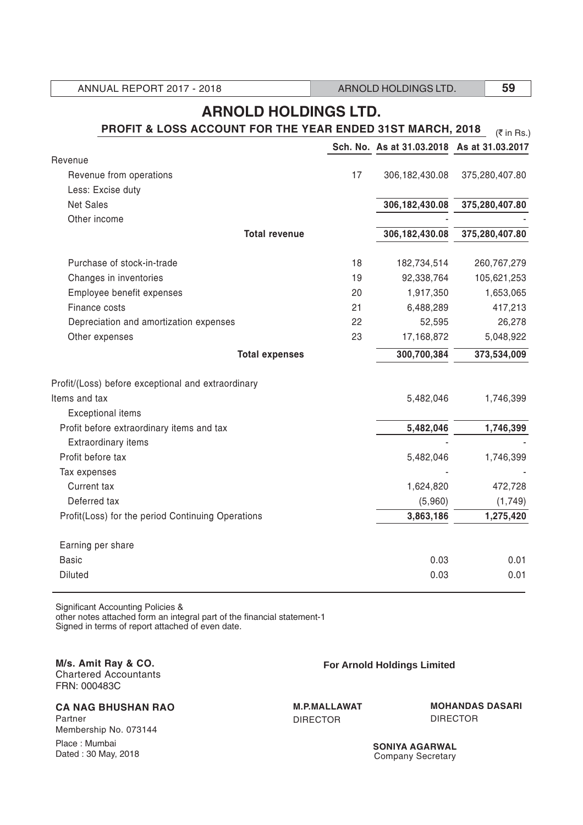ANNUAL REPORT 2017 - 2018 ARNOLD HOLDINGS LTD.

# ARNOLD HOLDINGS LTD.

| <b>PROFIT &amp; LOSS ACCOUNT FOR THE YEAR ENDED 31ST MARCH, 2018</b> |    |                                            | $($ ₹ in Rs.)  |
|----------------------------------------------------------------------|----|--------------------------------------------|----------------|
|                                                                      |    | Sch. No. As at 31.03.2018 As at 31.03.2017 |                |
| Revenue                                                              |    |                                            |                |
| Revenue from operations                                              | 17 | 306,182,430.08                             | 375,280,407.80 |
| Less: Excise duty                                                    |    |                                            |                |
| <b>Net Sales</b>                                                     |    | 306,182,430.08                             | 375,280,407.80 |
| Other income                                                         |    |                                            |                |
| <b>Total revenue</b>                                                 |    | 306,182,430.08                             | 375,280,407.80 |
| Purchase of stock-in-trade                                           | 18 | 182,734,514                                | 260,767,279    |
| Changes in inventories                                               | 19 | 92,338,764                                 | 105,621,253    |
| Employee benefit expenses                                            | 20 | 1,917,350                                  | 1,653,065      |
| Finance costs                                                        | 21 | 6,488,289                                  | 417,213        |
| Depreciation and amortization expenses                               | 22 | 52,595                                     | 26,278         |
| Other expenses                                                       | 23 | 17,168,872                                 | 5,048,922      |
| <b>Total expenses</b>                                                |    | 300,700,384                                | 373,534,009    |
| Profit/(Loss) before exceptional and extraordinary                   |    |                                            |                |
| Items and tax                                                        |    | 5,482,046                                  | 1,746,399      |
| <b>Exceptional items</b>                                             |    |                                            |                |
| Profit before extraordinary items and tax                            |    | 5,482,046                                  | 1,746,399      |
| Extraordinary items                                                  |    |                                            |                |
| Profit before tax                                                    |    | 5,482,046                                  | 1,746,399      |
| Tax expenses                                                         |    |                                            |                |
| <b>Current tax</b>                                                   |    | 1,624,820                                  | 472,728        |
| Deferred tax                                                         |    | (5,960)                                    | (1,749)        |
| Profit(Loss) for the period Continuing Operations                    |    | 3,863,186                                  | 1,275,420      |
| Earning per share                                                    |    |                                            |                |
| <b>Basic</b>                                                         |    | 0.03                                       | 0.01           |
| <b>Diluted</b>                                                       |    | 0.03                                       | 0.01           |
|                                                                      |    |                                            |                |

Significant Accounting Policies & other notes attached form an integral part of the financial statement-1 Signed in terms of report attached of even date.

Chartered Accountants FRN: 000483C

# CA NAG BHUSHAN RAO

Partner Membership No. 073144 Place : Mumbai Dated : 30 May, 2018

# M/s. Amit Ray & CO. **For Arnold Holdings Limited**

M.P.MALLAWAT DIRECTOR

MOHANDAS DASARI DIRECTOR

SONIYA AGARWAL Company Secretary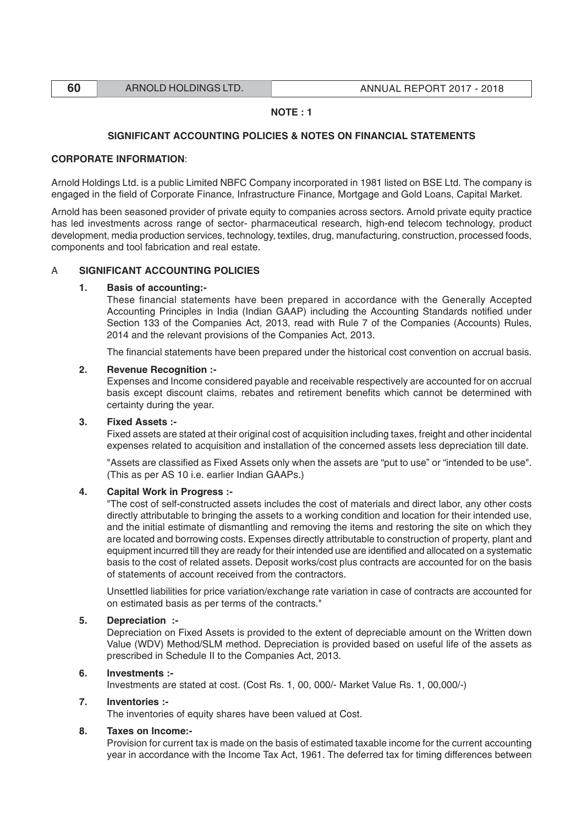| 60 | ARNOLD HOLDINGS LTD. | <b>ANNUAL REPORT 2017 - 2018</b> |
|----|----------------------|----------------------------------|
|    |                      |                                  |

### NOTE : 1

#### SIGNIFICANT ACCOUNTING POLICIES & NOTES ON FINANCIAL STATEMENTS

#### CORPORATE INFORMATION:

Arnold Holdings Ltd. is a public Limited NBFC Company incorporated in 1981 listed on BSE Ltd. The company is engaged in the field of Corporate Finance, Infrastructure Finance, Mortgage and Gold Loans, Capital Market.

Arnold has been seasoned provider of private equity to companies across sectors. Arnold private equity practice has led investments across range of sector- pharmaceutical research, high-end telecom technology, product development, media production services, technology, textiles, drug, manufacturing, construction, processed foods, components and tool fabrication and real estate.

#### A SIGNIFICANT ACCOUNTING POLICIES

#### 1. Basis of accounting:-

These financial statements have been prepared in accordance with the Generally Accepted Accounting Principles in India (Indian GAAP) including the Accounting Standards notified under Section 133 of the Companies Act, 2013, read with Rule 7 of the Companies (Accounts) Rules, 2014 and the relevant provisions of the Companies Act, 2013.

The financial statements have been prepared under the historical cost convention on accrual basis.

#### 2. Revenue Recognition :-

Expenses and Income considered payable and receivable respectively are accounted for on accrual basis except discount claims, rebates and retirement benefits which cannot be determined with certainty during the year.

#### 3. Fixed Assets :-

Fixed assets are stated at their original cost of acquisition including taxes, freight and other incidental expenses related to acquisition and installation of the concerned assets less depreciation till date.

"Assets are classified as Fixed Assets only when the assets are "put to use" or "intended to be use". (This as per AS 10 i.e. earlier Indian GAAPs.)

#### 4. Capital Work in Progress :-

"The cost of self-constructed assets includes the cost of materials and direct labor, any other costs directly attributable to bringing the assets to a working condition and location for their intended use, and the initial estimate of dismantling and removing the items and restoring the site on which they are located and borrowing costs. Expenses directly attributable to construction of property, plant and equipment incurred till they are ready for their intended use are identified and allocated on a systematic basis to the cost of related assets. Deposit works/cost plus contracts are accounted for on the basis of statements of account received from the contractors.

Unsettled liabilities for price variation/exchange rate variation in case of contracts are accounted for on estimated basis as per terms of the contracts."

#### 5. Depreciation :-

Depreciation on Fixed Assets is provided to the extent of depreciable amount on the Written down Value (WDV) Method/SLM method. Depreciation is provided based on useful life of the assets as prescribed in Schedule II to the Companies Act, 2013.

#### 6. Investments :-

Investments are stated at cost. (Cost Rs. 1, 00, 000/- Market Value Rs. 1, 00,000/-)

#### 7. Inventories :-

The inventories of equity shares have been valued at Cost.

#### 8. Taxes on Income:-

Provision for current tax is made on the basis of estimated taxable income for the current accounting year in accordance with the Income Tax Act, 1961. The deferred tax for timing differences between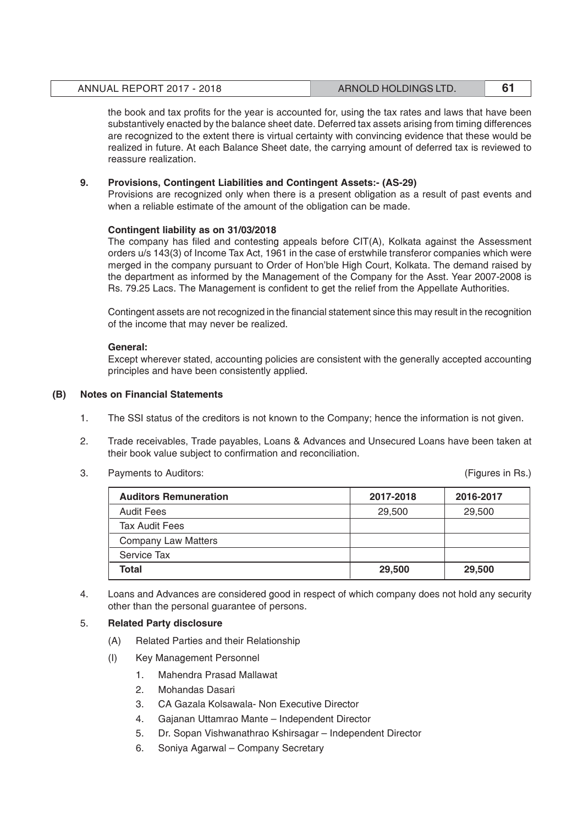| <b>ANNUAL REPORT 2017 - 2018</b> | ARNOLD HOLDINGS LTD. |  |
|----------------------------------|----------------------|--|
|----------------------------------|----------------------|--|

the book and tax profits for the year is accounted for, using the tax rates and laws that have been substantively enacted by the balance sheet date. Deferred tax assets arising from timing differences are recognized to the extent there is virtual certainty with convincing evidence that these would be realized in future. At each Balance Sheet date, the carrying amount of deferred tax is reviewed to reassure realization.

### 9. Provisions, Contingent Liabilities and Contingent Assets:- (AS-29)

Provisions are recognized only when there is a present obligation as a result of past events and when a reliable estimate of the amount of the obligation can be made.

#### Contingent liability as on 31/03/2018

The company has filed and contesting appeals before CIT(A), Kolkata against the Assessment orders u/s 143(3) of Income Tax Act, 1961 in the case of erstwhile transferor companies which were merged in the company pursuant to Order of Hon'ble High Court, Kolkata. The demand raised by the department as informed by the Management of the Company for the Asst. Year 2007-2008 is Rs. 79.25 Lacs. The Management is confident to get the relief from the Appellate Authorities.

Contingent assets are not recognized in the financial statement since this may result in the recognition of the income that may never be realized.

#### General:

Except wherever stated, accounting policies are consistent with the generally accepted accounting principles and have been consistently applied.

#### (B) Notes on Financial Statements

- 1. The SSI status of the creditors is not known to the Company; hence the information is not given.
- 2. Trade receivables, Trade payables, Loans & Advances and Unsecured Loans have been taken at their book value subject to confirmation and reconciliation.
- 3. Payments to Auditors: (Figures in Rs.)

| <b>Auditors Remuneration</b> | 2017-2018 | 2016-2017 |
|------------------------------|-----------|-----------|
| <b>Audit Fees</b>            | 29,500    | 29,500    |
| <b>Tax Audit Fees</b>        |           |           |
| <b>Company Law Matters</b>   |           |           |
| Service Tax                  |           |           |
| Total                        | 29,500    | 29,500    |

4. Loans and Advances are considered good in respect of which company does not hold any security other than the personal guarantee of persons.

### 5. Related Party disclosure

- (A) Related Parties and their Relationship
- (I) Key Management Personnel
	- 1. Mahendra Prasad Mallawat
	- 2. Mohandas Dasari
	- 3. CA Gazala Kolsawala- Non Executive Director
	- 4. Gajanan Uttamrao Mante Independent Director
	- 5. Dr. Sopan Vishwanathrao Kshirsagar Independent Director
	- 6. Soniya Agarwal Company Secretary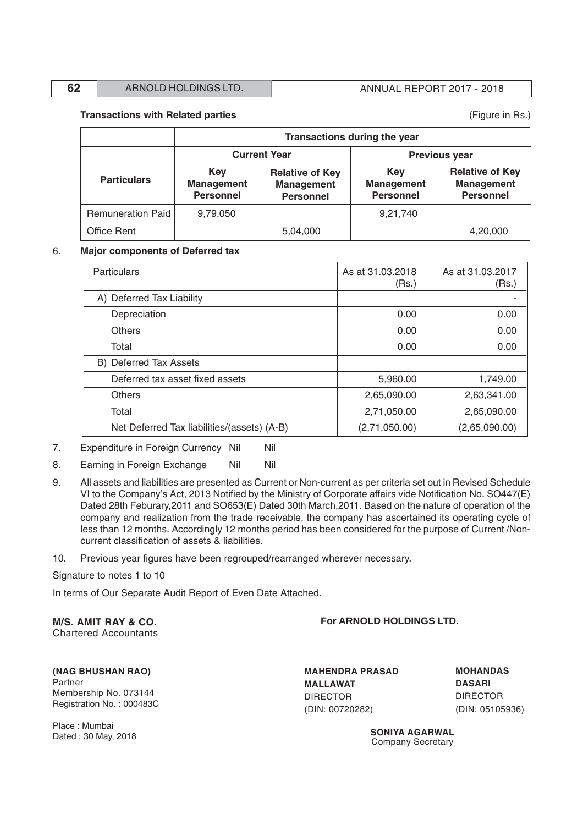#### ARNOLD HOLDINGS LTD. ANNUAL REPORT 2017 - 2018

#### **Transactions with Related parties (Figure in Rs.)** Transactions with Related parties

62

|                    | <b>Transactions during the year</b>                 |                                                                 |                                              |                                                                 |  |  |  |
|--------------------|-----------------------------------------------------|-----------------------------------------------------------------|----------------------------------------------|-----------------------------------------------------------------|--|--|--|
|                    | <b>Current Year</b>                                 |                                                                 | <b>Previous year</b>                         |                                                                 |  |  |  |
| <b>Particulars</b> | <b>Key</b><br><b>Management</b><br><b>Personnel</b> | <b>Relative of Key</b><br><b>Management</b><br><b>Personnel</b> | Key<br><b>Management</b><br><b>Personnel</b> | <b>Relative of Key</b><br><b>Management</b><br><b>Personnel</b> |  |  |  |
| Remuneration Paid  | 9,79,050                                            |                                                                 | 9,21,740                                     |                                                                 |  |  |  |
| <b>Office Rent</b> |                                                     | 5,04,000                                                        |                                              | 4,20,000                                                        |  |  |  |

#### 6. Major components of Deferred tax

| Particulars                                 | As at 31.03.2018<br>(Rs.) | As at 31.03.2017<br>(Rs.) |
|---------------------------------------------|---------------------------|---------------------------|
| A) Deferred Tax Liability                   |                           |                           |
| Depreciation                                | 0.00                      | 0.00                      |
| <b>Others</b>                               | 0.00                      | 0.00                      |
| Total                                       | 0.00                      | 0.00                      |
| B) Deferred Tax Assets                      |                           |                           |
| Deferred tax asset fixed assets             | 5,960.00                  | 1,749.00                  |
| <b>Others</b>                               | 2,65,090.00               | 2,63,341.00               |
| Total                                       | 2,71,050.00               | 2,65,090.00               |
| Net Deferred Tax liabilities/(assets) (A-B) | (2,71,050.00)             | (2,65,090.00)             |

#### 7. Expenditure in Foreign Currency Nil Nil

- 8. Earning in Foreign Exchange Nil Nil
- 9. All assets and liabilities are presented as Current or Non-current as per criteria set out in Revised Schedule VI to the Company's Act, 2013 Notified by the Ministry of Corporate affairs vide Notification No. SO447(E) Dated 28th Feburary,2011 and SO653(E) Dated 30th March,2011. Based on the nature of operation of the company and realization from the trade receivable, the company has ascertained its operating cycle of less than 12 months. Accordingly 12 months period has been considered for the purpose of Current /Noncurrent classification of assets & liabilities.
- 10. Previous year figures have been regrouped/rearranged wherever necessary.

Signature to notes 1 to 10

In terms of Our Separate Audit Report of Even Date Attached.

M/S. AMIT RAY & CO. Chartered Accountants

#### (NAG BHUSHAN RAO) **Partner**

Membership No. 073144 Registration No. : 000483C

Place : Mumbai Dated : 30 May, 2018 MAHENDRA PRASAD MALLAWAT DIRECTOR (DIN: 00720282)

MOHANDAS DASARI DIRECTOR (DIN: 05105936)

SONIYA AGARWAL Company Secretary

**For ARNOLD HOLDINGS LTD.**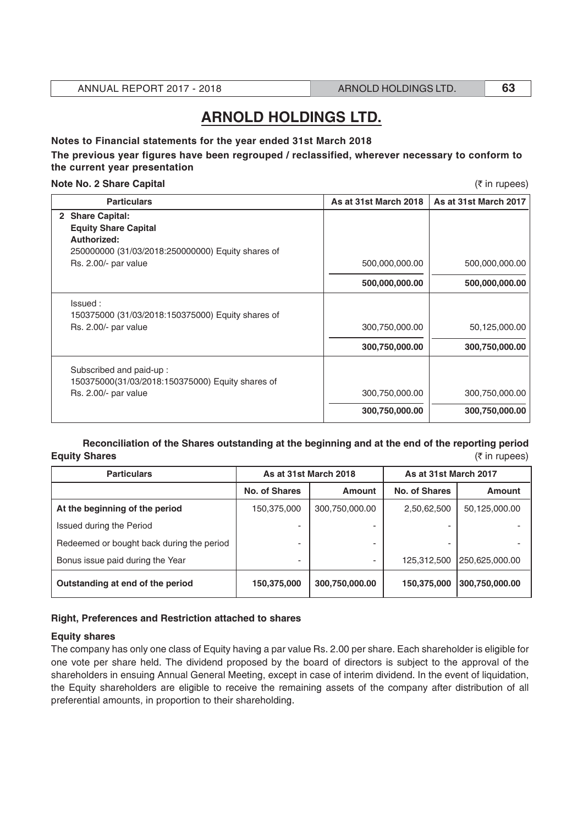#### ANNUAL REPORT 2017 - 2018 ARNOLD HOLDINGS LTD.

# ARNOLD HOLDINGS LTD.

### Notes to Financial statements for the year ended 31st March 2018 The previous year figures have been regrouped / reclassified, wherever necessary to conform to the current year presentation

#### Note No. 2 Share Capital and the set of the set of the set of the set of the set of the set of the set of the set of the set of the set of the set of the set of the set of the set of the set of the set of the set of the s

| <b>Particulars</b>                                                                                                                          | As at 31st March 2018            | As at 31st March 2017            |
|---------------------------------------------------------------------------------------------------------------------------------------------|----------------------------------|----------------------------------|
| 2 Share Capital:<br><b>Equity Share Capital</b><br>Authorized:<br>250000000 (31/03/2018:250000000) Equity shares of<br>Rs. 2.00/- par value | 500,000,000.00                   | 500,000,000.00                   |
|                                                                                                                                             | 500,000,000.00                   | 500,000,000.00                   |
| Issued:<br>150375000 (31/03/2018:150375000) Equity shares of<br>Rs. 2.00/- par value                                                        | 300,750,000.00<br>300,750,000.00 | 50,125,000.00<br>300,750,000.00  |
| Subscribed and paid-up:<br>150375000(31/03/2018:150375000) Equity shares of<br>Rs. 2.00/- par value                                         | 300,750,000.00<br>300,750,000.00 | 300,750,000.00<br>300,750,000.00 |

# Reconciliation of the Shares outstanding at the beginning and at the end of the reporting period Equity Shares  $(\bar{z}$  in rupees)

| <b>Particulars</b>                        |               | As at 31st March 2018 | As at 31st March 2017 |                |  |
|-------------------------------------------|---------------|-----------------------|-----------------------|----------------|--|
|                                           | No. of Shares | Amount                | No. of Shares         | Amount         |  |
| At the beginning of the period            | 150,375,000   | 300,750,000.00        | 2,50,62,500           | 50,125,000.00  |  |
| Issued during the Period                  |               |                       |                       |                |  |
| Redeemed or bought back during the period |               | -                     | -                     |                |  |
| Bonus issue paid during the Year          |               | ٠                     | 125,312,500           | 250,625,000.00 |  |
| Outstanding at end of the period          | 150,375,000   | 300,750,000.00        | 150,375,000           | 300,750,000.00 |  |

### Right, Preferences and Restriction attached to shares

### Equity shares

The company has only one class of Equity having a par value Rs. 2.00 per share. Each shareholder is eligible for one vote per share held. The dividend proposed by the board of directors is subject to the approval of the shareholders in ensuing Annual General Meeting, except in case of interim dividend. In the event of liquidation, the Equity shareholders are eligible to receive the remaining assets of the company after distribution of all preferential amounts, in proportion to their shareholding.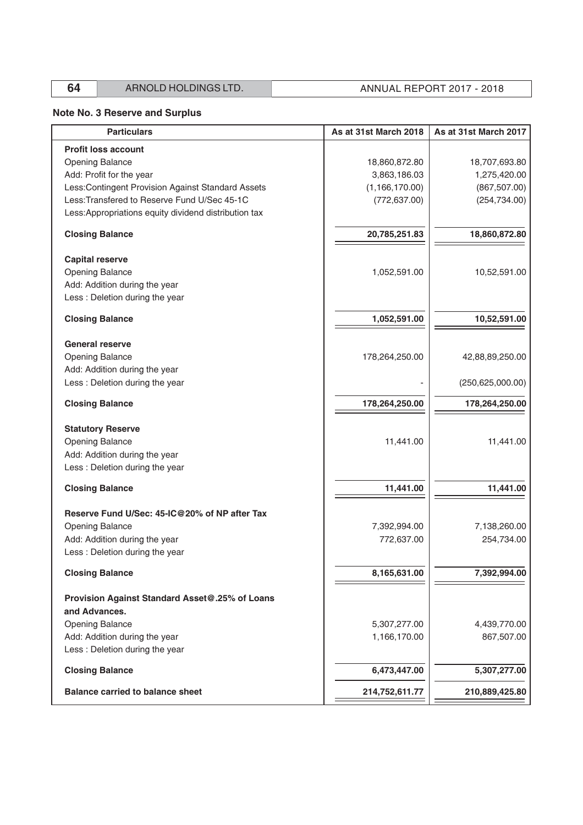64

# ARNOLD HOLDINGS LTD. **ANNUAL REPORT 2017 - 2018**

# Note No. 3 Reserve and Surplus

| <b>Particulars</b>                                    | As at 31st March 2018 | As at 31st March 2017 |
|-------------------------------------------------------|-----------------------|-----------------------|
| <b>Profit loss account</b>                            |                       |                       |
| Opening Balance                                       | 18,860,872.80         | 18,707,693.80         |
| Add: Profit for the year                              | 3,863,186.03          | 1,275,420.00          |
| Less: Contingent Provision Against Standard Assets    | (1, 166, 170.00)      | (867, 507.00)         |
| Less: Transfered to Reserve Fund U/Sec 45-1C          | (772, 637.00)         | (254, 734.00)         |
| Less: Appropriations equity dividend distribution tax |                       |                       |
| <b>Closing Balance</b>                                | 20,785,251.83         | 18,860,872.80         |
| <b>Capital reserve</b>                                |                       |                       |
| Opening Balance                                       | 1,052,591.00          | 10,52,591.00          |
| Add: Addition during the year                         |                       |                       |
| Less : Deletion during the year                       |                       |                       |
| <b>Closing Balance</b>                                | 1,052,591.00          | 10,52,591.00          |
| <b>General reserve</b>                                |                       |                       |
| Opening Balance                                       | 178,264,250.00        | 42,88,89,250.00       |
| Add: Addition during the year                         |                       |                       |
| Less : Deletion during the year                       |                       | (250, 625, 000.00)    |
| <b>Closing Balance</b>                                | 178,264,250.00        | 178,264,250.00        |
| <b>Statutory Reserve</b>                              |                       |                       |
| Opening Balance                                       | 11,441.00             | 11,441.00             |
| Add: Addition during the year                         |                       |                       |
| Less : Deletion during the year                       |                       |                       |
| <b>Closing Balance</b>                                | 11,441.00             | 11,441.00             |
| Reserve Fund U/Sec: 45-IC@20% of NP after Tax         |                       |                       |
| Opening Balance                                       | 7,392,994.00          | 7,138,260.00          |
| Add: Addition during the year                         | 772,637.00            | 254,734.00            |
| Less : Deletion during the year                       |                       |                       |
| <b>Closing Balance</b>                                | 8,165,631.00          | 7,392,994.00          |
| Provision Against Standard Asset@.25% of Loans        |                       |                       |
| and Advances.                                         |                       |                       |
| Opening Balance                                       | 5,307,277.00          | 4,439,770.00          |
| Add: Addition during the year                         | 1,166,170.00          | 867,507.00            |
| Less : Deletion during the year                       |                       |                       |
| <b>Closing Balance</b>                                | 6,473,447.00          | 5,307,277.00          |
| <b>Balance carried to balance sheet</b>               | 214,752,611.77        | 210,889,425.80        |
|                                                       |                       |                       |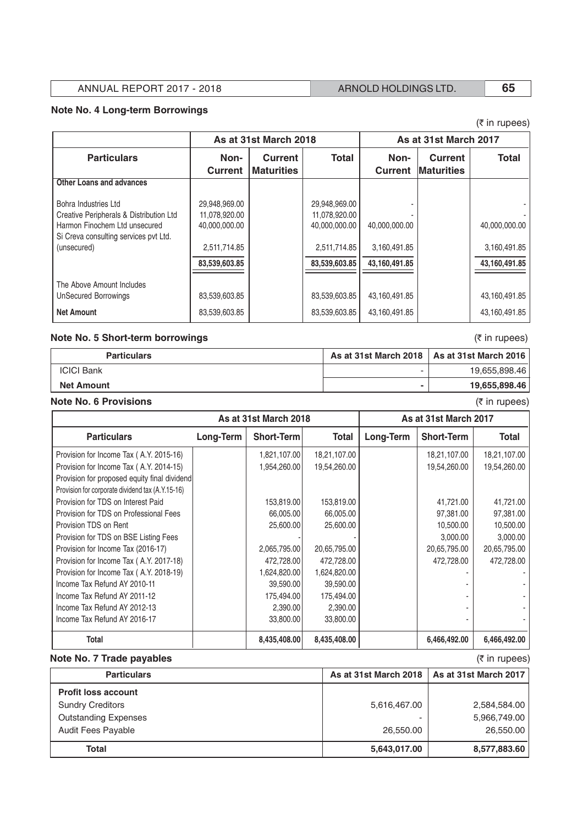| ANNUAL REPORT 2017 - 2018 | 65<br>ARNOLD HOLDINGS LTD. |
|---------------------------|----------------------------|
|---------------------------|----------------------------|

#### Note No. 4 Long-term Borrowings

| (₹ in rupees)                                                                                                                                            |                                                                                  |                                     |                                                                                  |                                                |                              |                                                |  |
|----------------------------------------------------------------------------------------------------------------------------------------------------------|----------------------------------------------------------------------------------|-------------------------------------|----------------------------------------------------------------------------------|------------------------------------------------|------------------------------|------------------------------------------------|--|
|                                                                                                                                                          |                                                                                  | As at 31st March 2018               |                                                                                  |                                                | As at 31st March 2017        |                                                |  |
| <b>Particulars</b>                                                                                                                                       | Non-<br>Current                                                                  | <b>Current</b><br><b>Maturities</b> | <b>Total</b>                                                                     | Non-<br><b>Current</b>                         | Current<br><b>Maturities</b> | <b>Total</b>                                   |  |
| <b>Other Loans and advances</b>                                                                                                                          |                                                                                  |                                     |                                                                                  |                                                |                              |                                                |  |
| Bohra Industries Ltd<br>Creative Peripherals & Distribution Ltd<br>Harmon Finochem Ltd unsecured<br>Si Creva consulting services pvt Ltd.<br>(unsecured) | 29,948,969.00<br>11,078,920.00<br>40,000,000.00<br>2,511,714.85<br>83,539,603.85 |                                     | 29,948,969.00<br>11,078,920.00<br>40,000,000.00<br>2,511,714.85<br>83,539,603.85 | 40,000,000.00<br>3,160,491.85<br>43,160,491.85 |                              | 40,000,000.00<br>3,160,491.85<br>43,160,491.85 |  |
| The Above Amount Includes<br><b>UnSecured Borrowings</b>                                                                                                 | 83,539,603.85                                                                    |                                     | 83,539,603.85                                                                    | 43,160,491.85                                  |                              | 43,160,491.85                                  |  |
| <b>Net Amount</b>                                                                                                                                        | 83,539,603.85                                                                    |                                     | 83,539,603.85                                                                    | 43,160,491.85                                  |                              | 43,160,491.85                                  |  |

#### Note No. 5 Short-term borrowings and the set of the set of the set of the set of the set of the set of the set o

| <b>Particulars</b> | As at 31st March 2018 $\vert$ As at 31st March 2016 |               |
|--------------------|-----------------------------------------------------|---------------|
| <b>ICICI Bank</b>  | -                                                   | 19,655,898.46 |
| <b>Net Amount</b>  | -                                                   | 19,655,898.46 |

#### Note No. 6 Provisions (₹ in rupees)

As at 31st March 2018 As at 31st March 2017 Particulars Long-Term | Short-Term| Total | Long-Term | Short-Term | Total Provision for Income Tax ( A.Y. 2015-16) 16 | 1,821,107.00 | 18,21,107.00 | 18,21,107.00 | 18,21,107.00 | 18,21,107.00 Provision for Income Tax ( A.Y. 2014-15) 1,954,260.00 19,54,260.00 19,54,260.00 19,54,260.00 19,54,260.00 19,54,260.00 Provision for proposed equity final dividend Provision for corporate dividend tax (A.Y.15-16) Provision for TDS on Interest Paid 153,819.00 153,819.00 153,819.00 41,721.00 41,721.00 41,721.00 Provision for TDS on Professional Fees **66.005.00** 66.005.00 66.005.00 97,381.00 97,381.00 97,381.00 Provision TDS on Rent 10.500.00 | 25,600.00 | 25,600.00 | 25,600.00 | 10,500.00 | 10,500.00 | 10,500.00 | 10,500 Provision for TDS on BSE Listing Fees - - 3,000.00 3,000.00 Provision for Income Tax (2016-17) | 2,065,795.00 | 20,65,795.00 | 20,65,795.00 | 20,65,795.00 | 20,65,795.00 Provision for Income Tax ( A.Y. 2017-18) 472,728.00 472,728.00 472,728.00 472,728.00 472,728.00 472,728.00 472,728.00 Provision for Income Tax (A.Y. 2018-19) | 1,624,820.00 | 1,624,820.00  $I_{\text{ncome Tax}}$  Refund AY 2010-11  $\vert$  39,590.00 39,590.00 39,590.00  $I = \frac{1}{175.494.00}$  175,494.00 175,494.00  $I_{\text{ncome Tax}}$  Refund AY 2012-13  $\vert$  2,390,00  $\vert$  2,390,00  $\vert$  2,390,00  $I_{\text{ncome Tax}}$  Refund AY 2016-17  $\vert$  33,800,00  $\vert$  33,800,00 33,800,00 Total 8,435,408.00 8,435,408.00 6,466,492.00 6,466,492.00

#### Note No. 7 Trade payables (₹ in rupees)

| <b>Particulars</b>          | As at 31st March 2018 | As at 31st March 2017 |
|-----------------------------|-----------------------|-----------------------|
| <b>Profit loss account</b>  |                       |                       |
| <b>Sundry Creditors</b>     | 5,616,467.00          | 2,584,584.00          |
| <b>Outstanding Expenses</b> |                       | 5,966,749.00          |
| Audit Fees Payable          | 26,550.00             | 26,550.00             |
| <b>Total</b>                | 5,643,017.00          | 8,577,883.60          |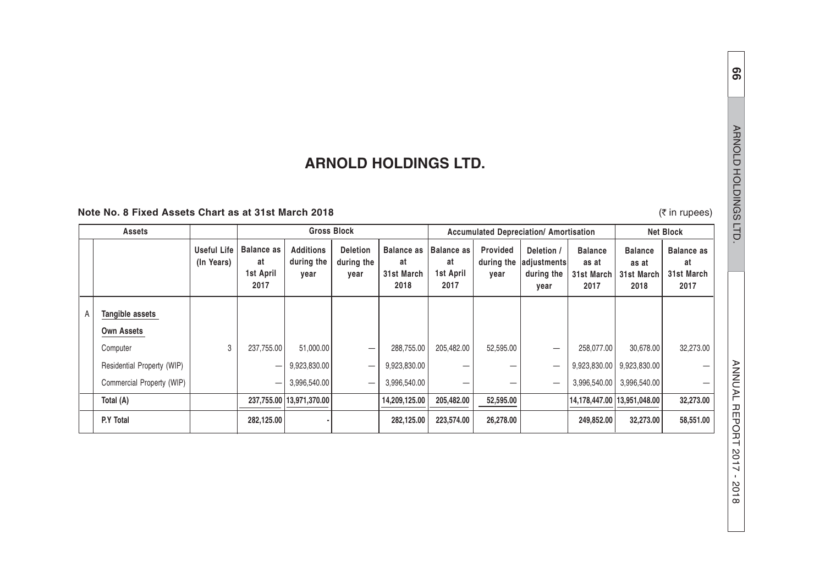# ARNOLD HOLDINGS LTD.

|             | Note No. 8 Fixed Assets Chart as at 31st March 2018 |                                  |                                              |                                        |                                       | <b>ARNOLD HOLDINGS LTD.</b>                   |                                              |                                |                                                 |                                               |                                               | (₹ in rupees)                                 |
|-------------|-----------------------------------------------------|----------------------------------|----------------------------------------------|----------------------------------------|---------------------------------------|-----------------------------------------------|----------------------------------------------|--------------------------------|-------------------------------------------------|-----------------------------------------------|-----------------------------------------------|-----------------------------------------------|
|             | <b>Assets</b>                                       |                                  |                                              |                                        | <b>Gross Block</b>                    |                                               |                                              |                                | <b>Accumulated Depreciation/ Amortisation</b>   |                                               |                                               | <b>Net Block</b>                              |
|             |                                                     | <b>Useful Life</b><br>(In Years) | <b>Balance as</b><br>at<br>1st April<br>2017 | <b>Additions</b><br>during the<br>year | <b>Deletion</b><br>during the<br>year | <b>Balance as</b><br>at<br>31st March<br>2018 | <b>Balance as</b><br>at<br>1st April<br>2017 | Provided<br>during the<br>year | Deletion /<br>adjustments<br>during the<br>year | <b>Balance</b><br>as at<br>31st March<br>2017 | <b>Balance</b><br>as at<br>31st March<br>2018 | <b>Balance as</b><br>at<br>31st March<br>2017 |
| $\mathsf A$ | Tangible assets<br><b>Own Assets</b>                |                                  |                                              |                                        |                                       |                                               |                                              |                                |                                                 |                                               |                                               |                                               |
|             | Computer                                            | 3                                | 237,755.00                                   | 51,000.00                              | $\overline{\phantom{0}}$              | 288,755.00                                    | 205,482.00                                   | 52,595.00                      |                                                 | 258,077.00                                    | 30,678.00                                     | 32,273.00                                     |
|             | Residential Property (WIP)                          |                                  |                                              | 9,923,830.00                           |                                       | 9,923,830.00                                  |                                              |                                | $\overline{\phantom{m}}$                        | 9,923,830.00                                  | 9,923,830.00                                  |                                               |
|             | Commercial Property (WIP)                           |                                  |                                              | 3,996,540.00                           |                                       | 3,996,540.00                                  |                                              |                                | $\overbrace{\phantom{12322111}}$                | 3,996,540.00                                  | 3,996,540.00                                  |                                               |
|             | Total (A)                                           |                                  |                                              | 237,755.00 13,971,370.00               |                                       | 14,209,125.00                                 | 205,482.00                                   | 52,595.00                      |                                                 | 14,178,447.00                                 | 13,951,048.00                                 | 32,273.00                                     |
|             | P.Y Total                                           |                                  | 282,125.00                                   |                                        |                                       | 282,125.00                                    | 223,574.00                                   | 26,278.00                      |                                                 | 249,852.00                                    | 32,273.00                                     | 58,551.00                                     |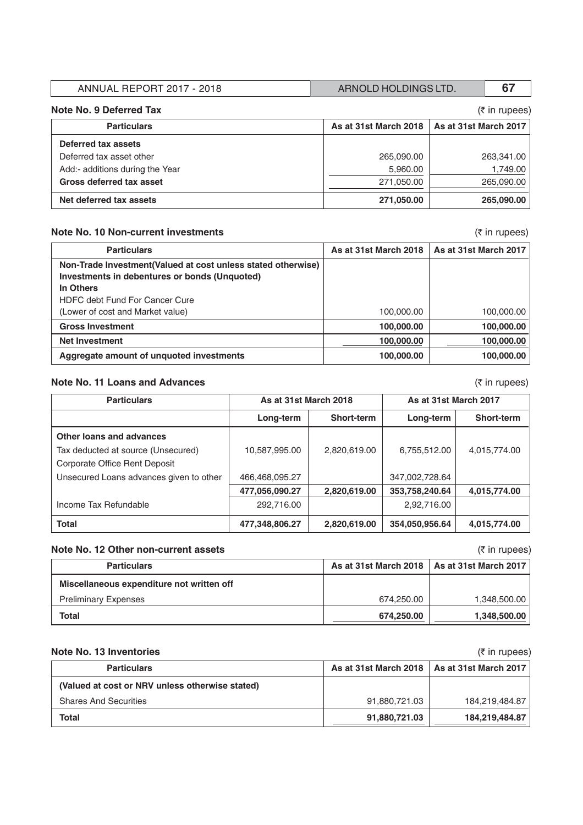| ANNUAL REPORT 2017<br>$-2018$ | ARNOLD HOLDINGS LTD. | ~- |
|-------------------------------|----------------------|----|
|                               |                      |    |

#### Note No. 9 Deferred Tax (₹ in rupees)

| <b>Particulars</b>              |            | As at 31st March 2018   As at 31st March 2017 |
|---------------------------------|------------|-----------------------------------------------|
| Deferred tax assets             |            |                                               |
| Deferred tax asset other        | 265,090.00 | 263,341.00                                    |
| Add:- additions during the Year | 5,960.00   | 1,749.00                                      |
| Gross deferred tax asset        | 271,050.00 | 265,090.00                                    |
| Net deferred tax assets         | 271,050.00 | 265,090.00                                    |

# Note No. 10 Non-current investments (₹ in rupees)

| <b>Particulars</b>                                           | As at 31st March 2018 | As at 31st March 2017 |
|--------------------------------------------------------------|-----------------------|-----------------------|
| Non-Trade Investment(Valued at cost unless stated otherwise) |                       |                       |
| Investments in debentures or bonds (Unquoted)                |                       |                       |
| In Others                                                    |                       |                       |
| <b>HDFC debt Fund For Cancer Cure</b>                        |                       |                       |
| (Lower of cost and Market value)                             | 100,000.00            | 100,000.00            |
| <b>Gross Investment</b>                                      | 100,000.00            | 100,000.00            |
| <b>Net Investment</b>                                        | 100,000.00            | 100,000.00            |
| Aggregate amount of unquoted investments                     | 100,000.00            | 100.000.00            |

# Note No. 11 Loans and Advances (₹ in rupees)

| <b>Particulars</b>                      | As at 31st March 2018 |              | As at 31st March 2017 |                   |
|-----------------------------------------|-----------------------|--------------|-----------------------|-------------------|
|                                         | Long-term             | Short-term   | Long-term             | <b>Short-term</b> |
| Other loans and advances                |                       |              |                       |                   |
| Tax deducted at source (Unsecured)      | 10,587,995.00         | 2,820,619.00 | 6,755,512.00          | 4,015,774.00      |
| Corporate Office Rent Deposit           |                       |              |                       |                   |
| Unsecured Loans advances given to other | 466,468,095.27        |              | 347,002,728.64        |                   |
|                                         | 477,056,090.27        | 2,820,619.00 | 353,758,240.64        | 4,015,774.00      |
| Income Tax Refundable                   | 292,716.00            |              | 2,92,716.00           |                   |
| <b>Total</b>                            | 477,348,806.27        | 2,820,619.00 | 354,050,956.64        | 4,015,774.00      |

# Note No. 12 Other non-current assets  $($  $\bar{z}$  in rupees)

| <b>Particulars</b>                        |            | As at 31st March 2018 $\vert$ As at 31st March 2017 |
|-------------------------------------------|------------|-----------------------------------------------------|
| Miscellaneous expenditure not written off |            |                                                     |
| <b>Preliminary Expenses</b>               | 674.250.00 | 1.348.500.00                                        |
| <b>Total</b>                              | 674,250.00 | 1,348,500.00                                        |

#### Note No. 13 Inventories and the set of the set of the set of the set of the set of the set of the set of the set of the set of the set of the set of the set of the set of the set of the set of the set of the set of the se

| <b>Particulars</b>                              | As at 31st March 2018   As at 31st March 2017 |                |
|-------------------------------------------------|-----------------------------------------------|----------------|
| (Valued at cost or NRV unless otherwise stated) |                                               |                |
| <b>Shares And Securities</b>                    | 91.880.721.03                                 | 184.219.484.87 |
| Total                                           | 91,880,721.03                                 | 184,219,484.87 |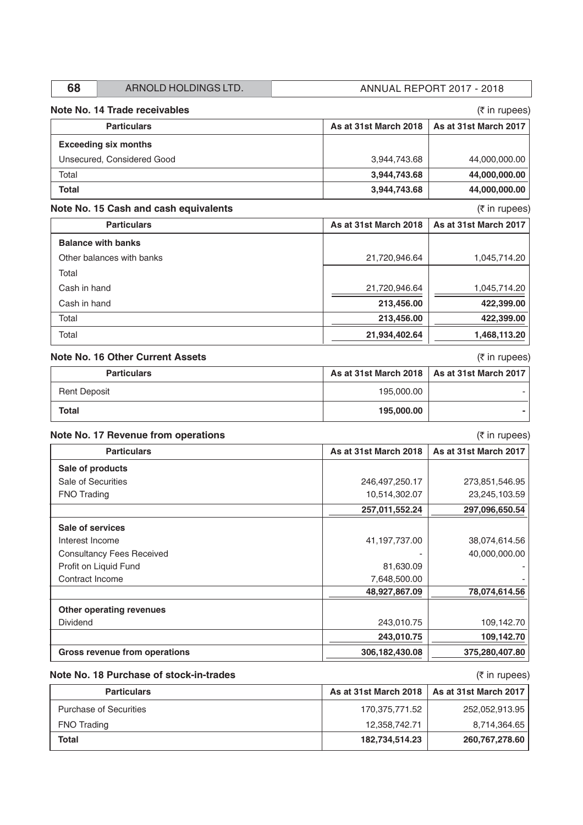| 68                                                       | ARNOLD HOLDINGS LTD.                        | <b>ANNUAL REPORT 2017 - 2018</b> |                         |                       |
|----------------------------------------------------------|---------------------------------------------|----------------------------------|-------------------------|-----------------------|
| Note No. 14 Trade receivables<br>$(5 \infty)$ in rupees) |                                             |                                  |                         |                       |
|                                                          | <b>Particulars</b><br>As at 31st March 2018 |                                  | As at 31st March 2017   |                       |
|                                                          | <b>Exceeding six months</b>                 |                                  |                         |                       |
|                                                          | Unsecured, Considered Good                  |                                  | 3,944,743.68            | 44,000,000.00         |
| Total                                                    |                                             |                                  | 3,944,743.68            | 44,000,000.00         |
| <b>Total</b>                                             |                                             |                                  | 3,944,743.68            | 44,000,000.00         |
| Note No. 15 Cash and cash equivalents                    |                                             |                                  | $(5 \infty)$ in rupees) |                       |
|                                                          | <b>Particulars</b>                          |                                  | As at 31st March 2018   | As at 31st March 2017 |
|                                                          | <b>Balance with banks</b>                   |                                  |                         |                       |
|                                                          | Other balances with banks                   |                                  | 21,720,946.64           | 1,045,714.20          |
| Total                                                    |                                             |                                  |                         |                       |
| Cash in hand                                             |                                             |                                  | 21,720,946.64           | 1,045,714.20          |
| Cash in hand                                             |                                             |                                  | 213,456.00              | 422,399.00            |
| Total                                                    |                                             |                                  | 213,456.00              | 422,399.00            |
| Total                                                    |                                             |                                  | 21,934,402.64           | 1,468,113.20          |
| Note No. 16 Other Current Assets                         |                                             |                                  | $(5 \infty)$ in rupees) |                       |
|                                                          | <b>Particulars</b>                          |                                  | As at 31st March 2018   | As at 31st March 2017 |
| <b>Rent Deposit</b>                                      |                                             |                                  | 195,000.00              |                       |
| <b>Total</b>                                             |                                             |                                  | 195,000.00              |                       |

| Note No. 17 Revenue from operations | $(5$ in rupees) |
|-------------------------------------|-----------------|
|-------------------------------------|-----------------|

 $\sqrt{ }$ 

| <b>Particulars</b>                   | As at 31st March 2018 | As at 31st March 2017 |
|--------------------------------------|-----------------------|-----------------------|
| Sale of products                     |                       |                       |
| Sale of Securities                   | 246,497,250.17        | 273,851,546.95        |
| <b>FNO Trading</b>                   | 10,514,302.07         | 23,245,103.59         |
|                                      | 257,011,552.24        | 297,096,650.54        |
| Sale of services                     |                       |                       |
| Interest Income                      | 41,197,737.00         | 38,074,614.56         |
| <b>Consultancy Fees Received</b>     |                       | 40,000,000.00         |
| Profit on Liquid Fund                | 81,630.09             |                       |
| Contract Income                      | 7,648,500.00          |                       |
|                                      | 48,927,867.09         | 78,074,614.56         |
| Other operating revenues             |                       |                       |
| <b>Dividend</b>                      | 243,010.75            | 109,142.70            |
|                                      | 243,010.75            | 109,142.70            |
| <b>Gross revenue from operations</b> | 306,182,430.08        | 375,280,407.80        |

| Note No. 18 Purchase of stock-in-trades |                       | $($ ₹ in rupees)      |
|-----------------------------------------|-----------------------|-----------------------|
| <b>Particulars</b>                      | As at 31st March 2018 | As at 31st March 2017 |
| <b>Purchase of Securities</b>           | 170,375,771.52        | 252,052,913.95        |
| <b>FNO Trading</b>                      | 12,358,742.71         | 8,714,364.65          |
| Total                                   | 182,734,514.23        | 260,767,278.60        |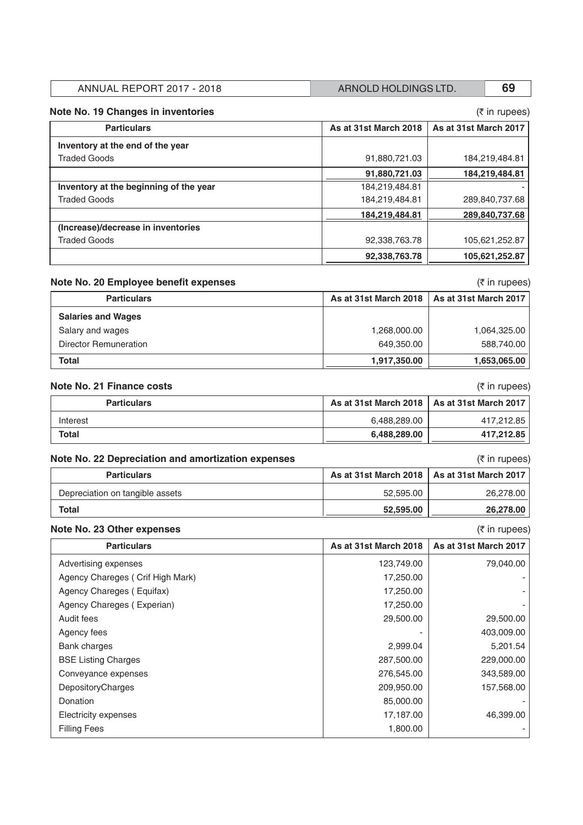| ARNOLD HOLDINGS LTD.<br><b>ANNUAL REPORT 2017 - 2018</b> |
|----------------------------------------------------------|
|----------------------------------------------------------|

### Note No. 19 Changes in inventories  $(\bar{z}$  in rupees)

| <b>Particulars</b>                     | As at 31st March 2018 | As at 31st March 2017 |
|----------------------------------------|-----------------------|-----------------------|
| Inventory at the end of the year       |                       |                       |
| <b>Traded Goods</b>                    | 91,880,721.03         | 184,219,484.81        |
|                                        | 91,880,721.03         | 184,219,484.81        |
| Inventory at the beginning of the year | 184,219,484.81        |                       |
| <b>Traded Goods</b>                    | 184,219,484.81        | 289,840,737.68        |
|                                        | 184,219,484.81        | 289,840,737.68        |
| (Increase)/decrease in inventories     |                       |                       |
| <b>Traded Goods</b>                    | 92,338,763.78         | 105,621,252.87        |
|                                        | 92,338,763.78         | 105,621,252.87        |
|                                        |                       |                       |

# Note No. 20 Employee benefit expenses (₹ in rupees)

| <b>Particulars</b>        |              | As at 31st March 2018 $\vert$ As at 31st March 2017 |
|---------------------------|--------------|-----------------------------------------------------|
| <b>Salaries and Wages</b> |              |                                                     |
| Salary and wages          | 1,268,000.00 | 1,064,325.00                                        |
| Director Remuneration     | 649,350.00   | 588,740.00                                          |
| Total                     | 1,917,350.00 | 1,653,065.00                                        |

# Note No. 21 Finance costs (₹ in rupees)

| <b>Particulars</b> |              | As at 31st March 2018 $\vert$ As at 31st March 2017 |
|--------------------|--------------|-----------------------------------------------------|
| Interest           | 6,488,289.00 | 417.212.85                                          |
| <b>Total</b>       | 6,488,289.00 | 417.212.85                                          |

### Note No. 22 Depreciation and amortization expenses  $(3 \times 10^{-10})$

| <b>Particulars</b>              | As at 31st March 2018   As at 31st March 2017 |           |
|---------------------------------|-----------------------------------------------|-----------|
| Depreciation on tangible assets | 52.595.00                                     | 26,278,00 |
| <b>Total</b>                    | 52,595.00                                     | 26,278.00 |

# Note No. 23 Other expenses (₹ in rupees)

| <b>Particulars</b>                | As at 31st March 2018 | As at 31st March 2017 |
|-----------------------------------|-----------------------|-----------------------|
| Advertising expenses              | 123,749.00            | 79,040.00             |
| Agency Chareges ( Crif High Mark) | 17,250.00             |                       |
| Agency Chareges (Equifax)         | 17,250.00             |                       |
| Agency Chareges (Experian)        | 17,250.00             |                       |
| Audit fees                        | 29,500.00             | 29,500.00             |
| Agency fees                       |                       | 403,009.00            |
| Bank charges                      | 2,999.04              | 5,201.54              |
| <b>BSE Listing Charges</b>        | 287,500.00            | 229,000.00            |
| Conveyance expenses               | 276,545.00            | 343,589.00            |
| DepositoryCharges                 | 209,950.00            | 157,568.00            |
| Donation                          | 85,000.00             |                       |
| Electricity expenses              | 17,187.00             | 46,399.00             |
| <b>Filling Fees</b>               | 1,800.00              |                       |
|                                   |                       |                       |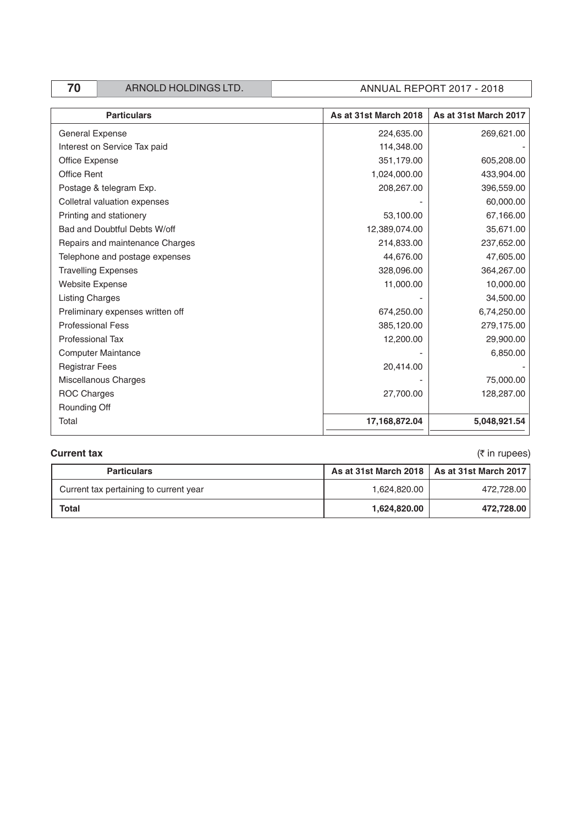# **70 ARNOLD HOLDINGS LTD.** ANNUAL REPORT 2017 - 2018

| <b>Particulars</b>               | As at 31st March 2018 | As at 31st March 2017 |
|----------------------------------|-----------------------|-----------------------|
| General Expense                  | 224,635.00            | 269,621.00            |
| Interest on Service Tax paid     | 114,348.00            |                       |
| Office Expense                   | 351,179.00            | 605,208.00            |
| <b>Office Rent</b>               | 1,024,000.00          | 433,904.00            |
| Postage & telegram Exp.          | 208,267.00            | 396,559.00            |
| Colletral valuation expenses     |                       | 60,000.00             |
| Printing and stationery          | 53,100.00             | 67,166.00             |
| Bad and Doubtful Debts W/off     | 12,389,074.00         | 35,671.00             |
| Repairs and maintenance Charges  | 214,833.00            | 237,652.00            |
| Telephone and postage expenses   | 44,676.00             | 47,605.00             |
| <b>Travelling Expenses</b>       | 328,096.00            | 364,267.00            |
| <b>Website Expense</b>           | 11,000.00             | 10,000.00             |
| <b>Listing Charges</b>           |                       | 34,500.00             |
| Preliminary expenses written off | 674,250.00            | 6,74,250.00           |
| <b>Professional Fess</b>         | 385,120.00            | 279,175.00            |
| <b>Professional Tax</b>          | 12,200.00             | 29,900.00             |
| <b>Computer Maintance</b>        |                       | 6,850.00              |
| <b>Registrar Fees</b>            | 20,414.00             |                       |
| Miscellanous Charges             |                       | 75,000.00             |
| <b>ROC Charges</b>               | 27,700.00             | 128,287.00            |
| Rounding Off                     |                       |                       |
| Total                            | 17,168,872.04         | 5,048,921.54          |
|                                  |                       |                       |

**Current tax**  $(\bar{\tau}$  in rupees)

| <b>Particulars</b>                     | As at 31st March 2018 $\vert$ As at 31st March 2017 |            |
|----------------------------------------|-----------------------------------------------------|------------|
| Current tax pertaining to current year | 1.624.820.00                                        | 472.728.00 |
| Total                                  | 1,624,820.00                                        | 472.728.00 |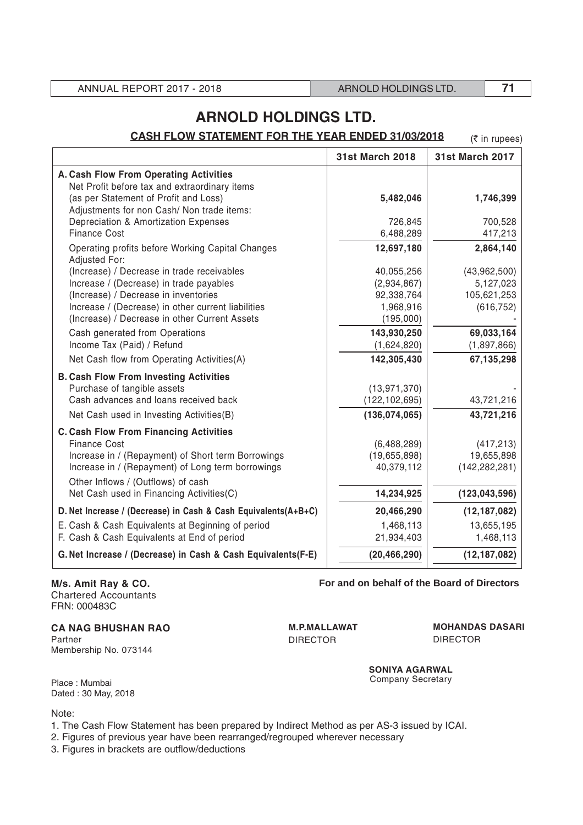ANNUAL REPORT 2017 - 2018 ARNOLD HOLDINGS LTD.

# ARNOLD HOLDINGS LTD.

CASH FLOW STATEMENT FOR THE YEAR ENDED 31/03/2018  $($ ₹ in rupees)

|                                                                                         | <b>31st March 2018</b> | <b>31st March 2017</b> |
|-----------------------------------------------------------------------------------------|------------------------|------------------------|
| A. Cash Flow From Operating Activities<br>Net Profit before tax and extraordinary items |                        |                        |
| (as per Statement of Profit and Loss)                                                   | 5,482,046              | 1,746,399              |
| Adjustments for non Cash/ Non trade items:                                              |                        |                        |
| Depreciation & Amortization Expenses<br><b>Finance Cost</b>                             | 726,845<br>6,488,289   | 700,528<br>417,213     |
| Operating profits before Working Capital Changes                                        | 12,697,180             | 2,864,140              |
| Adjusted For:                                                                           |                        |                        |
| (Increase) / Decrease in trade receivables                                              | 40,055,256             | (43,962,500)           |
| Increase / (Decrease) in trade payables                                                 | (2,934,867)            | 5,127,023              |
| (Increase) / Decrease in inventories                                                    | 92,338,764             | 105,621,253            |
| Increase / (Decrease) in other current liabilities                                      | 1,968,916              | (616, 752)             |
| (Increase) / Decrease in other Current Assets                                           | (195,000)              |                        |
| Cash generated from Operations                                                          | 143,930,250            | 69,033,164             |
| Income Tax (Paid) / Refund                                                              | (1,624,820)            | (1,897,866)            |
| Net Cash flow from Operating Activities(A)                                              | 142,305,430            | 67,135,298             |
| <b>B. Cash Flow From Investing Activities</b>                                           |                        |                        |
| Purchase of tangible assets                                                             | (13, 971, 370)         |                        |
| Cash advances and loans received back                                                   | (122, 102, 695)        | 43,721,216             |
| Net Cash used in Investing Activities(B)                                                | (136,074,065)          | 43,721,216             |
| <b>C. Cash Flow From Financing Activities</b>                                           |                        |                        |
| <b>Finance Cost</b>                                                                     | (6,488,289)            | (417, 213)             |
| Increase in / (Repayment) of Short term Borrowings                                      | (19,655,898)           | 19,655,898             |
| Increase in / (Repayment) of Long term borrowings                                       | 40,379,112             | (142, 282, 281)        |
| Other Inflows / (Outflows) of cash                                                      |                        |                        |
| Net Cash used in Financing Activities(C)                                                | 14,234,925             | (123, 043, 596)        |
| D. Net Increase / (Decrease) in Cash & Cash Equivalents(A+B+C)                          | 20,466,290             | (12, 187, 082)         |
| E. Cash & Cash Equivalents at Beginning of period                                       | 1,468,113              | 13,655,195             |
| F. Cash & Cash Equivalents at End of period                                             | 21,934,403             | 1,468,113              |
| G. Net Increase / (Decrease) in Cash & Cash Equivalents(F-E)                            | (20, 466, 290)         | (12, 187, 082)         |

### M/s. Amit Ray & CO. **For and on behalf of the Board of Directors**

Chartered Accountants FRN: 000483C

CA NAG BHUSHAN RAO Partner

Membership No. 073144

M.P.MALLAWAT DIRECTOR

MOHANDAS DASARI DIRECTOR

SONIYA AGARWAL Company Secretary

Place : Mumbai Dated : 30 May, 2018

Note:

- 1. The Cash Flow Statement has been prepared by Indirect Method as per AS-3 issued by ICAI.
- 2. Figures of previous year have been rearranged/regrouped wherever necessary
- 3. Figures in brackets are outflow/deductions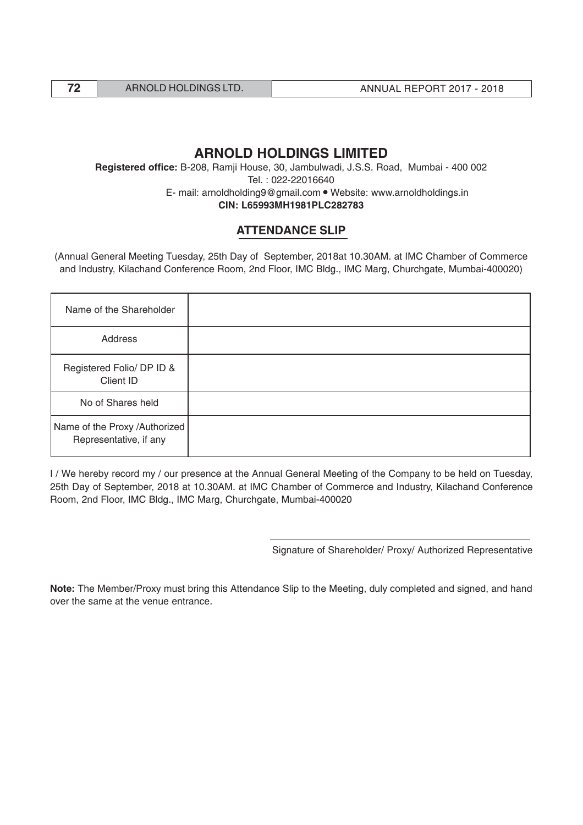## ARNOLD HOLDINGS LIMITED

Registered office: B-208, Ramji House, 30, Jambulwadi, J.S.S. Road, Mumbai - 400 002 Tel. : 022-22016640 E- mail: arnoldholding9@gmail.com Website: www.arnoldholdings.in CIN: L65993MH1981PLC282783

## ATTENDANCE SLIP

(Annual General Meeting Tuesday, 25th Day of September, 2018at 10.30AM. at IMC Chamber of Commerce and Industry, Kilachand Conference Room, 2nd Floor, IMC Bldg., IMC Marg, Churchgate, Mumbai-400020)

| Name of the Shareholder                                 |  |
|---------------------------------------------------------|--|
| Address                                                 |  |
| Registered Folio/ DP ID &<br>Client ID                  |  |
| No of Shares held                                       |  |
| Name of the Proxy /Authorized<br>Representative, if any |  |

I / We hereby record my / our presence at the Annual General Meeting of the Company to be held on Tuesday, 25th Day of September, 2018 at 10.30AM. at IMC Chamber of Commerce and Industry, Kilachand Conference Room, 2nd Floor, IMC Bldg., IMC Marg, Churchgate, Mumbai-400020

Signature of Shareholder/ Proxy/ Authorized Representative

Note: The Member/Proxy must bring this Attendance Slip to the Meeting, duly completed and signed, and hand over the same at the venue entrance.

72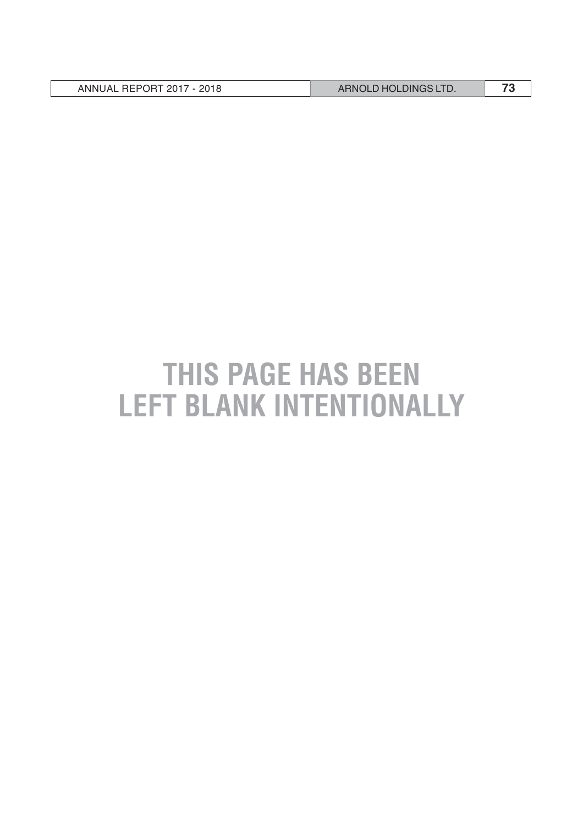| <b>ANNUAL REPORT 2017 - 2018</b> | ARNOLD HOLDINGS LTD. |  |
|----------------------------------|----------------------|--|
|----------------------------------|----------------------|--|

# THIS PAGE HAS BEEN LEFT BLANK INTENTIONALLY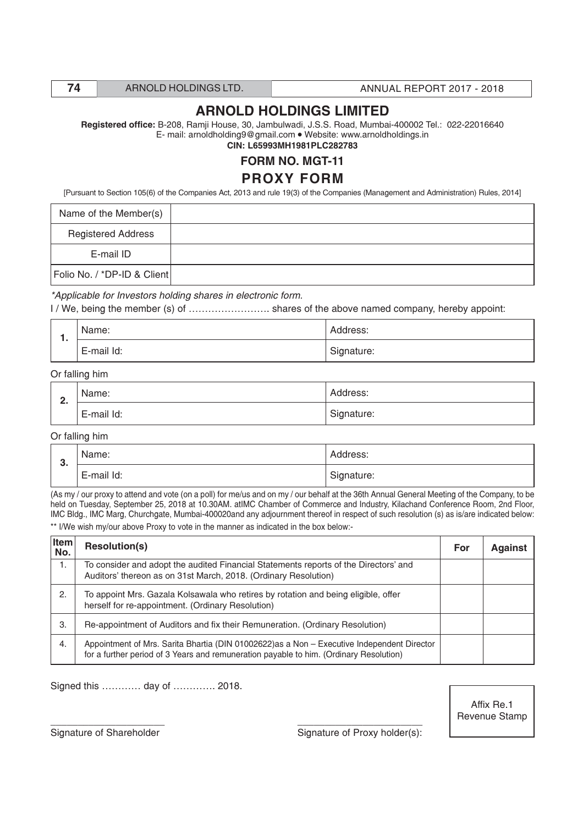ARNOLD HOLDINGS LTD. ANNUAL REPORT 2017 - 2018

# ARNOLD HOLDINGS LIMITED

Registered office: B-208, Ramji House, 30, Jambulwadi, J.S.S. Road, Mumbai-400002 Tel.: 022-22016640 E- mail: arnoldholding9@gmail.com Website: www.arnoldholdings.in

CIN: L65993MH1981PLC282783

## FORM NO. MGT-11

## PROXY FORM

[Pursuant to Section 105(6) of the Companies Act, 2013 and rule 19(3) of the Companies (Management and Administration) Rules, 2014]

| Name of the Member(s)       |  |
|-----------------------------|--|
| <b>Registered Address</b>   |  |
| E-mail ID                   |  |
| Folio No. / *DP-ID & Client |  |

#### \*Applicable for Investors holding shares in electronic form.

I / We, being the member (s) of ……………………. shares of the above named company, hereby appoint:

|     | Name:      | Address:   |
|-----|------------|------------|
| . . | E-mail Id: | Signature: |

#### Or falling him

| ,          | Name:      | Address:   |
|------------|------------|------------|
| <u>.</u> . | E-mail Id: | Signature: |

Or falling him

| ◠  | Name:      | Address:   |
|----|------------|------------|
| v. | E-mail Id: | Signature: |

(As my / our proxy to attend and vote (on a poll) for me/us and on my / our behalf at the 36th Annual General Meeting of the Company, to be held on Tuesday, September 25, 2018 at 10.30AM. atIMC Chamber of Commerce and Industry, Kilachand Conference Room, 2nd Floor, IMC Bldg., IMC Marg, Churchgate, Mumbai-400020and any adjournment thereof in respect of such resolution (s) as is/are indicated below: \*\* I/We wish my/our above Proxy to vote in the manner as indicated in the box below:-

| <b>Item</b><br>No. | <b>Resolution(s)</b>                                                                                                                                                                  | For | <b>Against</b> |
|--------------------|---------------------------------------------------------------------------------------------------------------------------------------------------------------------------------------|-----|----------------|
| 1.                 | To consider and adopt the audited Financial Statements reports of the Directors' and<br>Auditors' thereon as on 31st March, 2018. (Ordinary Resolution)                               |     |                |
| 2.                 | To appoint Mrs. Gazala Kolsawala who retires by rotation and being eligible, offer<br>herself for re-appointment. (Ordinary Resolution)                                               |     |                |
| З.                 | Re-appointment of Auditors and fix their Remuneration. (Ordinary Resolution)                                                                                                          |     |                |
| 4.                 | Appointment of Mrs. Sarita Bhartia (DIN 01002622) as a Non - Executive Independent Director<br>for a further period of 3 Years and remuneration payable to him. (Ordinary Resolution) |     |                |

\_\_\_\_\_\_\_\_\_\_\_\_\_\_\_\_\_\_\_\_\_ \_\_\_\_\_\_\_\_\_\_\_\_\_\_\_\_\_\_\_\_\_\_\_

Signed this ………… day of …………. 2018.

Affix Re.1 Revenue Stamp

Signature of Shareholder Signature of Proxy holder(s):

74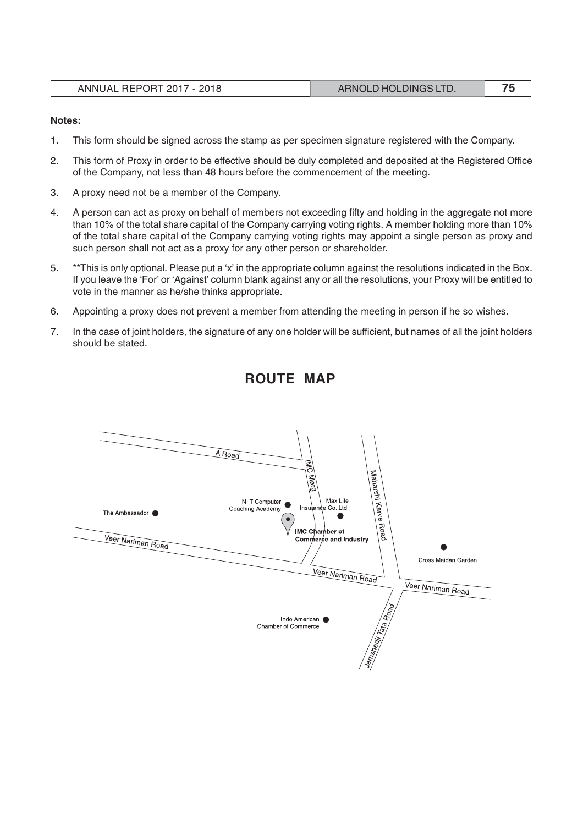| <b>ANNUAL REPORT 2017 - 2018</b> | ARNOLD HOLDINGS LTD. |  |
|----------------------------------|----------------------|--|
|----------------------------------|----------------------|--|

#### Notes:

- 1. This form should be signed across the stamp as per specimen signature registered with the Company.
- 2. This form of Proxy in order to be effective should be duly completed and deposited at the Registered Office of the Company, not less than 48 hours before the commencement of the meeting.
- 3. A proxy need not be a member of the Company.
- 4. A person can act as proxy on behalf of members not exceeding fifty and holding in the aggregate not more than 10% of the total share capital of the Company carrying voting rights. A member holding more than 10% of the total share capital of the Company carrying voting rights may appoint a single person as proxy and such person shall not act as a proxy for any other person or shareholder.
- 5. \*\*This is only optional. Please put a 'x' in the appropriate column against the resolutions indicated in the Box. If you leave the 'For' or 'Against' column blank against any or all the resolutions, your Proxy will be entitled to vote in the manner as he/she thinks appropriate.
- 6. Appointing a proxy does not prevent a member from attending the meeting in person if he so wishes.
- 7. In the case of joint holders, the signature of any one holder will be sufficient, but names of all the joint holders should be stated.



# ROUTE MAP